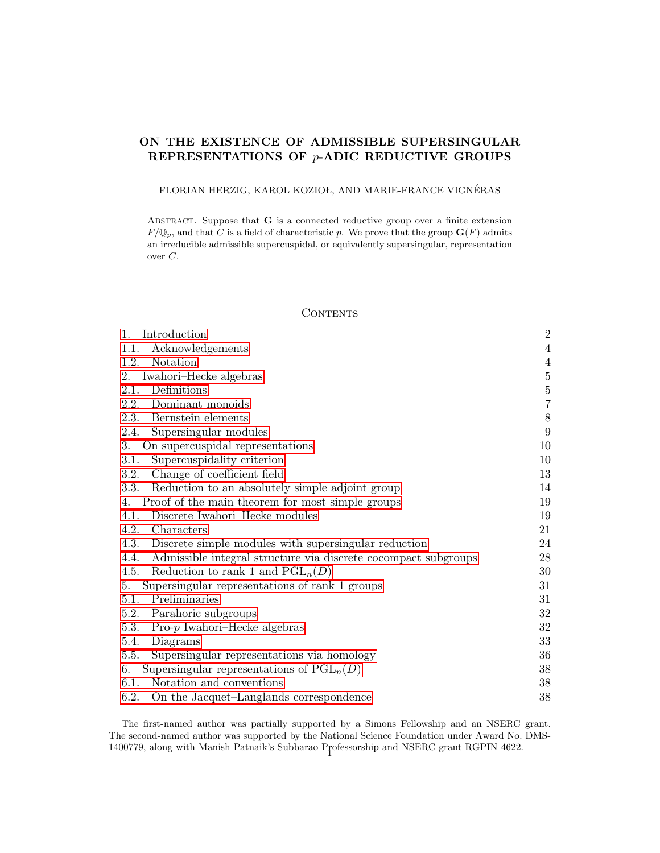# ON THE EXISTENCE OF ADMISSIBLE SUPERSINGULAR REPRESENTATIONS OF  $p$ -ADIC REDUCTIVE GROUPS

# FLORIAN HERZIG, KAROL KOZIOŁ, AND MARIE-FRANCE VIGNÉRAS

ABSTRACT. Suppose that  $G$  is a connected reductive group over a finite extension  $F/\mathbb{Q}_p$ , and that C is a field of characteristic p. We prove that the group  $\mathbf{G}(F)$  admits an irreducible admissible supercuspidal, or equivalently supersingular, representation over C.

## **CONTENTS**

| Acknowledgements<br>1.1.<br>Notation<br>1.2.<br>Iwahori-Hecke algebras<br>2.<br>Definitions<br>2.1.<br>2.2.<br>Dominant monoids<br>2.3.<br>Bernstein elements<br>Supersingular modules<br>2.4.<br>On supercuspidal representations<br>3.<br>3.1.<br>Supercuspidality criterion<br>Change of coefficient field<br>3.2.<br>Reduction to an absolutely simple adjoint group<br>3.3.<br>Proof of the main theorem for most simple groups<br>4.<br>Discrete Iwahori–Hecke modules<br>4.1.<br>4.2.<br>Characters<br>4.3.<br>Discrete simple modules with supersingular reduction<br>Admissible integral structure via discrete cocompact subgroups<br>4.4. | $\overline{4}$<br>$\overline{4}$<br>$\bf 5$<br>$\bf 5$<br>$\,7$<br>$8\,$<br>9<br>10<br>10 |
|------------------------------------------------------------------------------------------------------------------------------------------------------------------------------------------------------------------------------------------------------------------------------------------------------------------------------------------------------------------------------------------------------------------------------------------------------------------------------------------------------------------------------------------------------------------------------------------------------------------------------------------------------|-------------------------------------------------------------------------------------------|
|                                                                                                                                                                                                                                                                                                                                                                                                                                                                                                                                                                                                                                                      |                                                                                           |
|                                                                                                                                                                                                                                                                                                                                                                                                                                                                                                                                                                                                                                                      |                                                                                           |
|                                                                                                                                                                                                                                                                                                                                                                                                                                                                                                                                                                                                                                                      |                                                                                           |
|                                                                                                                                                                                                                                                                                                                                                                                                                                                                                                                                                                                                                                                      |                                                                                           |
|                                                                                                                                                                                                                                                                                                                                                                                                                                                                                                                                                                                                                                                      |                                                                                           |
|                                                                                                                                                                                                                                                                                                                                                                                                                                                                                                                                                                                                                                                      |                                                                                           |
|                                                                                                                                                                                                                                                                                                                                                                                                                                                                                                                                                                                                                                                      |                                                                                           |
|                                                                                                                                                                                                                                                                                                                                                                                                                                                                                                                                                                                                                                                      |                                                                                           |
|                                                                                                                                                                                                                                                                                                                                                                                                                                                                                                                                                                                                                                                      |                                                                                           |
|                                                                                                                                                                                                                                                                                                                                                                                                                                                                                                                                                                                                                                                      | 13                                                                                        |
|                                                                                                                                                                                                                                                                                                                                                                                                                                                                                                                                                                                                                                                      | 14                                                                                        |
|                                                                                                                                                                                                                                                                                                                                                                                                                                                                                                                                                                                                                                                      | 19                                                                                        |
|                                                                                                                                                                                                                                                                                                                                                                                                                                                                                                                                                                                                                                                      | 19                                                                                        |
|                                                                                                                                                                                                                                                                                                                                                                                                                                                                                                                                                                                                                                                      | 21                                                                                        |
|                                                                                                                                                                                                                                                                                                                                                                                                                                                                                                                                                                                                                                                      | 24                                                                                        |
|                                                                                                                                                                                                                                                                                                                                                                                                                                                                                                                                                                                                                                                      | 28                                                                                        |
| Reduction to rank 1 and $PGL_n(D)$<br>4.5.                                                                                                                                                                                                                                                                                                                                                                                                                                                                                                                                                                                                           | 30                                                                                        |
| Supersingular representations of rank 1 groups<br>5.                                                                                                                                                                                                                                                                                                                                                                                                                                                                                                                                                                                                 | 31                                                                                        |
| 5.1.<br>Preliminaries                                                                                                                                                                                                                                                                                                                                                                                                                                                                                                                                                                                                                                | 31                                                                                        |
| Parahoric subgroups<br>5.2.                                                                                                                                                                                                                                                                                                                                                                                                                                                                                                                                                                                                                          | 32                                                                                        |
| 5.3.<br>$Pro-p$ Iwahori-Hecke algebras                                                                                                                                                                                                                                                                                                                                                                                                                                                                                                                                                                                                               | 32                                                                                        |
| 5.4.<br>Diagrams                                                                                                                                                                                                                                                                                                                                                                                                                                                                                                                                                                                                                                     | 33                                                                                        |
| Supersingular representations via homology<br>5.5.                                                                                                                                                                                                                                                                                                                                                                                                                                                                                                                                                                                                   | 36                                                                                        |
| Supersingular representations of $PGL_n(D)$<br>6.                                                                                                                                                                                                                                                                                                                                                                                                                                                                                                                                                                                                    | 38                                                                                        |
| Notation and conventions<br>6.1.                                                                                                                                                                                                                                                                                                                                                                                                                                                                                                                                                                                                                     | 38                                                                                        |
| 6.2.<br>On the Jacquet-Langlands correspondence                                                                                                                                                                                                                                                                                                                                                                                                                                                                                                                                                                                                      | 38                                                                                        |

The first-named author was partially supported by a Simons Fellowship and an NSERC grant. The second-named author was supported by the National Science Foundation under Award No. DMS-1400779, along with Manish Patnaik's Subbarao Professorship and NSERC grant RGPIN 4622. <sup>1</sup>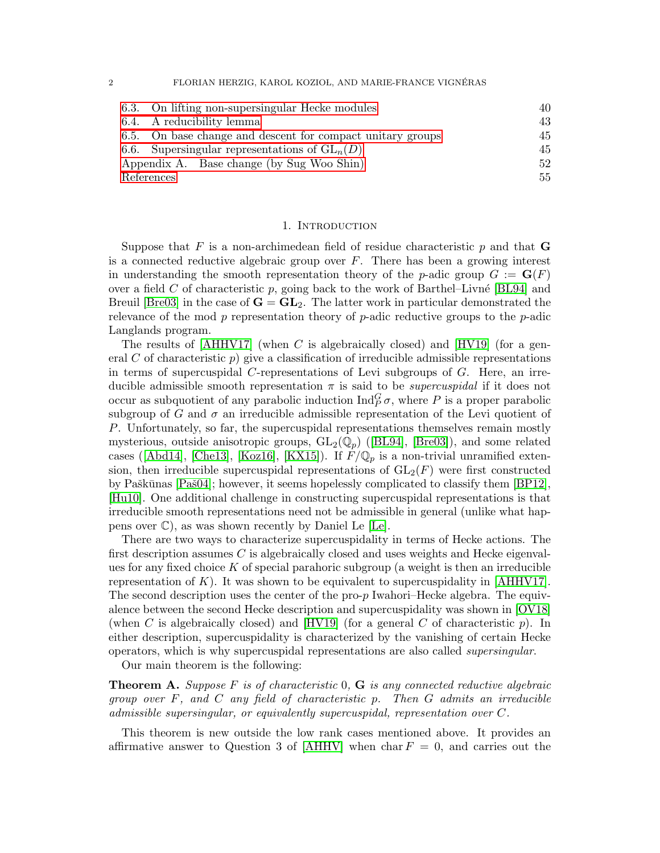2 FLORIAN HERZIG, KAROL KOZIOL, AND MARIE-FRANCE VIGNÉRAS

| 6.3. On lifting non-supersingular Hecke modules            | 40 |
|------------------------------------------------------------|----|
| 6.4. A reducibility lemma                                  | 43 |
| 6.5. On base change and descent for compact unitary groups | 45 |
| 6.6. Supersingular representations of $GL_n(D)$            | 45 |
| Appendix A. Base change (by Sug Woo Shin)                  | 52 |
| References                                                 | 55 |

#### 1. INTRODUCTION

<span id="page-1-0"></span>Suppose that F is a non-archimedean field of residue characteristic  $p$  and that G is a connected reductive algebraic group over  $F$ . There has been a growing interest in understanding the smooth representation theory of the p-adic group  $G := G(F)$ over a field C of characteristic p, going back to the work of Barthel–Livné [\[BL94\]](#page-54-1) and Breuil [\[Bre03\]](#page-55-0) in the case of  $G = GL_2$ . The latter work in particular demonstrated the relevance of the mod  $p$  representation theory of  $p$ -adic reductive groups to the  $p$ -adic Langlands program.

The results of  $[AHHV17]$  (when C is algebraically closed) and  $[HV19]$  (for a general C of characteristic p) give a classification of irreducible admissible representations in terms of supercuspidal C-representations of Levi subgroups of G. Here, an irreducible admissible smooth representation  $\pi$  is said to be *supercuspidal* if it does not occur as subquotient of any parabolic induction  $\text{Ind}_{P}^{G} \sigma$ , where P is a proper parabolic subgroup of G and  $\sigma$  an irreducible admissible representation of the Levi quotient of P. Unfortunately, so far, the supercuspidal representations themselves remain mostly mysterious,outside anisotropic groups,  $GL_2(\mathbb{Q}_p)$  ([\[BL94\]](#page-54-1), [\[Bre03\]](#page-55-0)), and some related cases([\[Abd14\]](#page-54-3), [\[Che13\]](#page-55-1), [\[Koz16\]](#page-56-1), [\[KX15\]](#page-56-2)). If  $F/\mathbb{Q}_p$  is a non-trivial unramified extension, then irreducible supercuspidal representations of  $GL_2(F)$  were first constructed by Paškūnas  $[Paš04]$ ; however, it seems hopelessly complicated to classify them  $[BP12]$ , [\[Hu10\]](#page-56-4). One additional challenge in constructing supercuspidal representations is that irreducible smooth representations need not be admissible in general (unlike what happens over  $\mathbb{C}$ , as was shown recently by Daniel Le [\[Le\]](#page-56-5).

There are two ways to characterize supercuspidality in terms of Hecke actions. The first description assumes C is algebraically closed and uses weights and Hecke eigenvalues for any fixed choice  $K$  of special parahoric subgroup (a weight is then an irreducible representation of K). It was shown to be equivalent to supercuspidality in  $[AHHV17]$ . The second description uses the center of the pro- $p$  Iwahori–Hecke algebra. The equivalence between the second Hecke description and supercuspidality was shown in [\[OV18\]](#page-56-6) (when C is algebraically closed) and  $[HV19]$  (for a general C of characteristic p). In either description, supercuspidality is characterized by the vanishing of certain Hecke operators, which is why supercuspidal representations are also called supersingular.

Our main theorem is the following:

<span id="page-1-1"></span>**Theorem A.** Suppose F is of characteristic  $0$ , **G** is any connected reductive algebraic group over  $F$ , and  $C$  any field of characteristic p. Then  $G$  admits an irreducible admissible supersingular, or equivalently supercuspidal, representation over C.

This theorem is new outside the low rank cases mentioned above. It provides an affirmative answer to Question 3 of [\[AHHV\]](#page-54-4) when char  $F = 0$ , and carries out the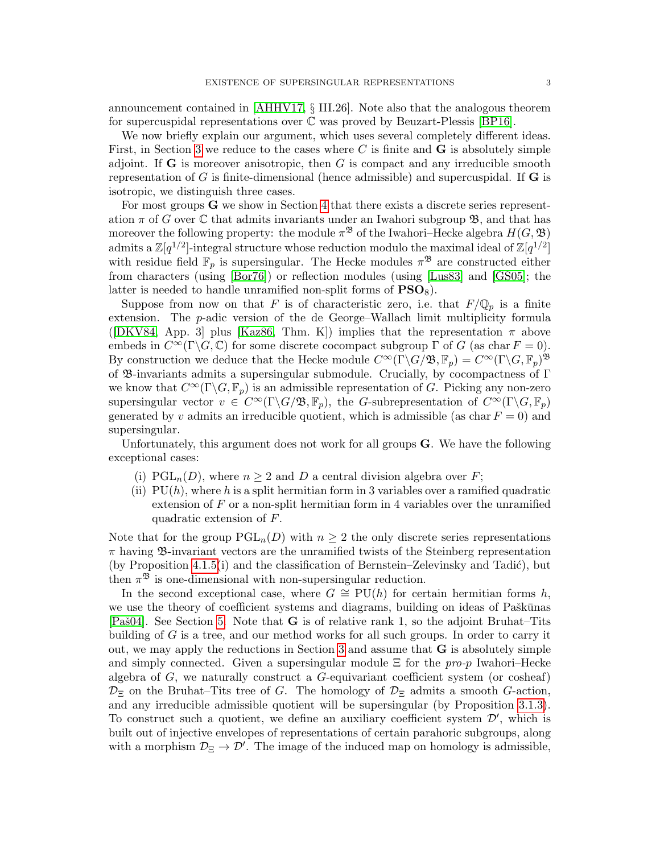announcement contained in [\[AHHV17,](#page-54-2) § III.26]. Note also that the analogous theorem for supercuspidal representations over C was proved by Beuzart-Plessis [\[BP16\]](#page-55-3).

We now briefly explain our argument, which uses several completely different ideas. First, in Section [3](#page-9-0) we reduce to the cases where  $C$  is finite and  $G$  is absolutely simple adjoint. If  $\bf{G}$  is moreover anisotropic, then  $G$  is compact and any irreducible smooth representation of  $G$  is finite-dimensional (hence admissible) and supercuspidal. If  $G$  is isotropic, we distinguish three cases.

For most groups G we show in Section [4](#page-18-0) that there exists a discrete series representation  $\pi$  of G over C that admits invariants under an Iwahori subgroup  $\mathfrak{B}$ , and that has moreover the following property: the module  $\pi^{\mathfrak{B}}$  of the Iwahori–Hecke algebra  $H(G, \mathfrak{B})$ admits a  $\mathbb{Z}[q^{1/2}]$ -integral structure whose reduction modulo the maximal ideal of  $\mathbb{Z}[q^{1/2}]$ with residue field  $\mathbb{F}_p$  is supersingular. The Hecke modules  $\pi^{\mathfrak{B}}$  are constructed either from characters (using [\[Bor76\]](#page-55-4)) or reflection modules (using [\[Lus83\]](#page-56-7) and [\[GS05\]](#page-55-5); the latter is needed to handle unramified non-split forms of  $PSO_8$ ).

Suppose from now on that F is of characteristic zero, i.e. that  $F/\mathbb{Q}_p$  is a finite extension. The p-adic version of the de George–Wallach limit multiplicity formula ([\[DKV84,](#page-55-6) App. 3] plus [\[Kaz86,](#page-56-8) Thm. K]) implies that the representation  $\pi$  above embeds in  $C^{\infty}(\Gamma \backslash G, \mathbb{C})$  for some discrete cocompact subgroup  $\Gamma$  of G (as char  $F = 0$ ). By construction we deduce that the Hecke module  $C^{\infty}(\Gamma \backslash G/\mathfrak{B}, \mathbb{F}_p) = C^{\infty}(\Gamma \backslash G, \mathbb{F}_p)^{\mathfrak{B}}$ of B-invariants admits a supersingular submodule. Crucially, by cocompactness of Γ we know that  $C^{\infty}(\Gamma \backslash G, \mathbb{F}_p)$  is an admissible representation of G. Picking any non-zero supersingular vector  $v \in C^{\infty}(\Gamma \backslash G/\mathfrak{B}, \mathbb{F}_p)$ , the G-subrepresentation of  $C^{\infty}(\Gamma \backslash G, \mathbb{F}_p)$ generated by v admits an irreducible quotient, which is admissible (as char  $F = 0$ ) and supersingular.

Unfortunately, this argument does not work for all groups G. We have the following exceptional cases:

- (i)  $PGL_n(D)$ , where  $n \geq 2$  and D a central division algebra over F;
- (ii)  $PU(h)$ , where h is a split hermitian form in 3 variables over a ramified quadratic extension of  $F$  or a non-split hermitian form in 4 variables over the unramified quadratic extension of F.

Note that for the group  $PGL_n(D)$  with  $n \geq 2$  the only discrete series representations  $\pi$  having  $\mathfrak{B}$ -invariant vectors are the unramified twists of the Steinberg representation (by Proposition [4.1.5\(](#page-19-0)i) and the classification of Bernstein–Zelevinsky and Tadić), but then  $\pi^{\mathfrak{B}}$  is one-dimensional with non-supersingular reduction.

In the second exceptional case, where  $G \cong \text{PU}(h)$  for certain hermitian forms h, we use the theory of coefficient systems and diagrams, building on ideas of Paškūnas [Pa $\delta$ 04]. See Section [5.](#page-30-0) Note that **G** is of relative rank 1, so the adjoint Bruhat–Tits building of G is a tree, and our method works for all such groups. In order to carry it out, we may apply the reductions in Section [3](#page-9-0) and assume that G is absolutely simple and simply connected. Given a supersingular module  $\Xi$  for the pro-p Iwahori–Hecke algebra of  $G$ , we naturally construct a  $G$ -equivariant coefficient system (or cosheaf)  $\mathcal{D}_{\Xi}$  on the Bruhat–Tits tree of G. The homology of  $\mathcal{D}_{\Xi}$  admits a smooth G-action, and any irreducible admissible quotient will be supersingular (by Proposition [3.1.3\)](#page-10-0). To construct such a quotient, we define an auxiliary coefficient system  $\mathcal{D}'$ , which is built out of injective envelopes of representations of certain parahoric subgroups, along with a morphism  $\mathcal{D}_{\Xi} \to \mathcal{D}'$ . The image of the induced map on homology is admissible,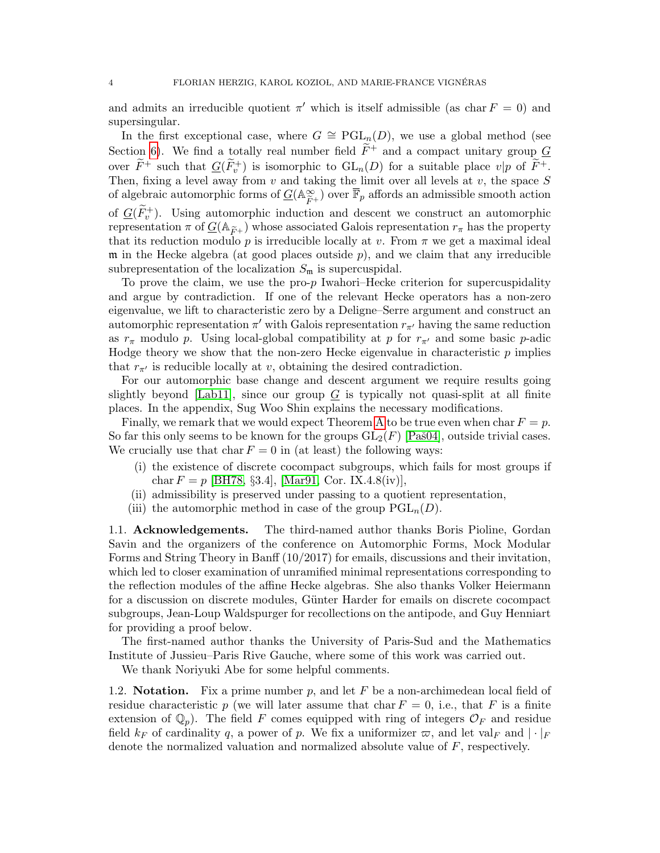and admits an irreducible quotient  $\pi'$  which is itself admissible (as char  $F = 0$ ) and supersingular.

In the first exceptional case, where  $G \cong \text{PGL}_n(D)$ , we use a global method (see Section [6\)](#page-37-0). We find a totally real number field  $\widetilde{F}^+$  and a compact unitary group G over  $\widetilde{F}^+$  such that  $G(\widetilde{F}_v^+)$  is isomorphic to  $GL_n(D)$  for a suitable place  $v|p$  of  $\widetilde{F}^+$ . Then, fixing a level away from  $v$  and taking the limit over all levels at  $v$ , the space  $S$ of algebraic automorphic forms of  $G(\mathbb{A}_{\widetilde{P}_n}^{\infty})$  $(\widetilde{F}_{F} + \widetilde{F}_{p})$  over  $\overline{\mathbb{F}}_{p}$  affords an admissible smooth action of  $G(\tilde{F}_v^+)$ . Using automorphic induction and descent we construct an automorphic representation  $\pi$  of  $\underline{G}(\mathbb{A}_{\widetilde{F}+})$  whose associated Galois representation  $r_{\pi}$  has the property that its reduction modulo p is irreducible locally at v. From  $\pi$  we get a maximal ideal  $m$  in the Hecke algebra (at good places outside  $p$ ), and we claim that any irreducible subrepresentation of the localization  $S_{\mathfrak{m}}$  is supercuspidal.

To prove the claim, we use the pro- $p$  Iwahori–Hecke criterion for supercuspidality and argue by contradiction. If one of the relevant Hecke operators has a non-zero eigenvalue, we lift to characteristic zero by a Deligne–Serre argument and construct an automorphic representation  $\pi'$  with Galois representation  $r_{\pi'}$  having the same reduction as  $r_{\pi}$  modulo p. Using local-global compatibility at p for  $r_{\pi'}$  and some basic p-adic Hodge theory we show that the non-zero Hecke eigenvalue in characteristic  $p$  implies that  $r_{\pi'}$  is reducible locally at v, obtaining the desired contradiction.

For our automorphic base change and descent argument we require results going slightly beyond [\[Lab11\]](#page-56-9), since our group  $G$  is typically not quasi-split at all finite places. In the appendix, Sug Woo Shin explains the necessary modifications.

Finally, we remark that we would expect Theorem [A](#page-1-1) to be true even when char  $F = p$ . So far this only seems to be known for the groups  $GL_2(F)$  [Paš04], outside trivial cases. We crucially use that char  $F = 0$  in (at least) the following ways:

- (i) the existence of discrete cocompact subgroups, which fails for most groups if char  $F = p$  [\[BH78,](#page-54-5) §3.4], [\[Mar91,](#page-56-10) Cor. IX.4.8(iv)],
- (ii) admissibility is preserved under passing to a quotient representation,
- (iii) the automorphic method in case of the group  $\mathrm{PGL}_n(D)$ .

<span id="page-3-0"></span>1.1. Acknowledgements. The third-named author thanks Boris Pioline, Gordan Savin and the organizers of the conference on Automorphic Forms, Mock Modular Forms and String Theory in Banff (10/2017) for emails, discussions and their invitation, which led to closer examination of unramified minimal representations corresponding to the reflection modules of the affine Hecke algebras. She also thanks Volker Heiermann for a discussion on discrete modules, Günter Harder for emails on discrete cocompact subgroups, Jean-Loup Waldspurger for recollections on the antipode, and Guy Henniart for providing a proof below.

The first-named author thanks the University of Paris-Sud and the Mathematics Institute of Jussieu–Paris Rive Gauche, where some of this work was carried out.

We thank Noriyuki Abe for some helpful comments.

<span id="page-3-1"></span>1.2. **Notation.** Fix a prime number p, and let F be a non-archimedean local field of residue characteristic p (we will later assume that char  $F = 0$ , i.e., that F is a finite extension of  $\mathbb{Q}_p$ . The field F comes equipped with ring of integers  $\mathcal{O}_F$  and residue field  $k_F$  of cardinality q, a power of p. We fix a uniformizer  $\varpi$ , and let val<sub>F</sub> and  $|\cdot|_F$ denote the normalized valuation and normalized absolute value of F, respectively.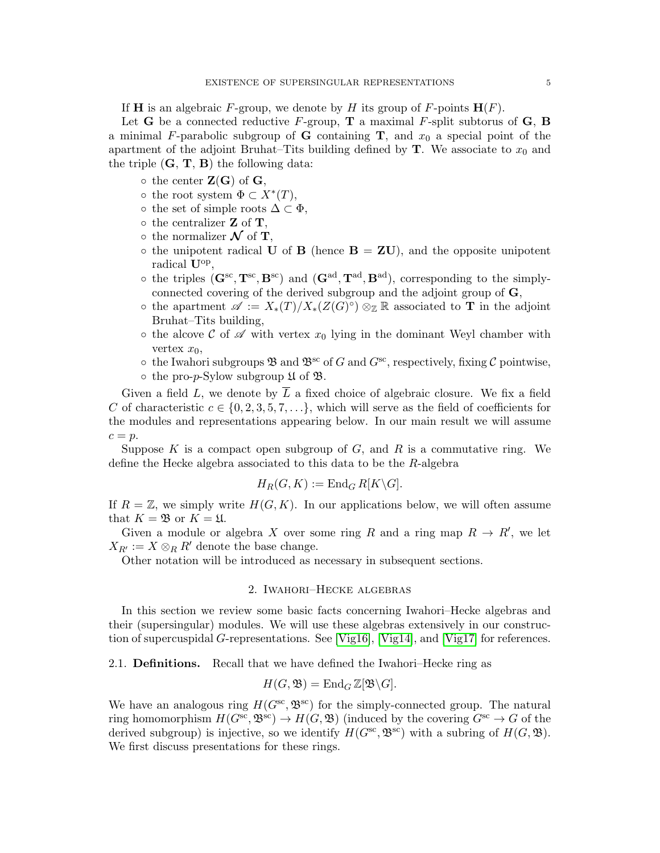If **H** is an algebraic F-group, we denote by H its group of F-points  $\mathbf{H}(F)$ .

Let **G** be a connected reductive F-group, **T** a maximal F-split subtorus of **G**, **B** a minimal F-parabolic subgroup of **G** containing **T**, and  $x_0$  a special point of the apartment of the adjoint Bruhat–Tits building defined by  $\mathbf{T}$ . We associate to  $x_0$  and the triple  $(G, T, B)$  the following data:

- $\circ$  the center  $\mathbf{Z}(\mathbf{G})$  of  $\mathbf{G}$ ,
- $\circ$  the root system  $\Phi \subset X^*(T)$ ,
- $\circ$  the set of simple roots  $\Delta \subset \Phi$ ,
- $\circ$  the centralizer **Z** of **T**,
- the normalizer  $\mathcal N$  of **T**,
- $\circ$  the unipotent radical U of B (hence  $B = ZU$ ), and the opposite unipotent radical  $U^{op}$ ,
- $\circ$  the triples  $(\mathbf{G}^{\rm sc}, \mathbf{T}^{\rm sc}, \mathbf{B}^{\rm sc})$  and  $(\mathbf{G}^{\rm ad}, \mathbf{T}^{\rm ad}, \mathbf{B}^{\rm ad})$ , corresponding to the simplyconnected covering of the derived subgroup and the adjoint group of **,**
- **○** the apartment  $\mathscr{A} := X_*(T)/X_*(Z(G)^{\circ}) \otimes_{\mathbb{Z}} \mathbb{R}$  associated to **T** in the adjoint Bruhat–Tits building,
- $\circ$  the alcove C of  $\mathscr A$  with vertex  $x_0$  lying in the dominant Weyl chamber with vertex  $x_0$ ,
- $\circ$  the Iwahori subgroups  $\mathfrak{B}$  and  $\mathfrak{B}^{\rm sc}$  of G and  $G^{\rm sc}$ , respectively, fixing C pointwise,
- $\circ$  the pro-p-Sylow subgroup  $\mathfrak U$  of  $\mathfrak B$ .

Given a field L, we denote by  $\overline{L}$  a fixed choice of algebraic closure. We fix a field C of characteristic  $c \in \{0, 2, 3, 5, 7, \ldots\}$ , which will serve as the field of coefficients for the modules and representations appearing below. In our main result we will assume  $c = p$ .

Suppose  $K$  is a compact open subgroup of  $G$ , and  $R$  is a commutative ring. We define the Hecke algebra associated to this data to be the R-algebra

$$
H_R(G, K) := \operatorname{End}_G R[K \backslash G].
$$

If  $R = \mathbb{Z}$ , we simply write  $H(G, K)$ . In our applications below, we will often assume that  $K = \mathfrak{B}$  or  $K = \mathfrak{U}$ .

Given a module or algebra X over some ring R and a ring map  $R \to R'$ , we let  $X_{R'} := X \otimes_R R'$  denote the base change.

Other notation will be introduced as necessary in subsequent sections.

### 2. Iwahori–Hecke algebras

<span id="page-4-0"></span>In this section we review some basic facts concerning Iwahori–Hecke algebras and their (supersingular) modules. We will use these algebras extensively in our construction of supercuspidal G-representations. See [\[Vig16\]](#page-57-0), [\[Vig14\]](#page-57-1), and [\[Vig17\]](#page-57-2) for references.

<span id="page-4-1"></span>2.1. Definitions. Recall that we have defined the Iwahori–Hecke ring as

$$
H(G, \mathfrak{B}) = \operatorname{End}_G \mathbb{Z}[\mathfrak{B} \backslash G].
$$

We have an analogous ring  $H(G^{sc}, \mathfrak{B}^{sc})$  for the simply-connected group. The natural ring homomorphism  $H(G^{sc}, \mathfrak{B}^{sc}) \to H(G, \mathfrak{B})$  (induced by the covering  $G^{sc} \to G$  of the derived subgroup) is injective, so we identify  $H(G^{\rm sc}, \mathfrak{B}^{\rm sc})$  with a subring of  $H(G, \mathfrak{B})$ . We first discuss presentations for these rings.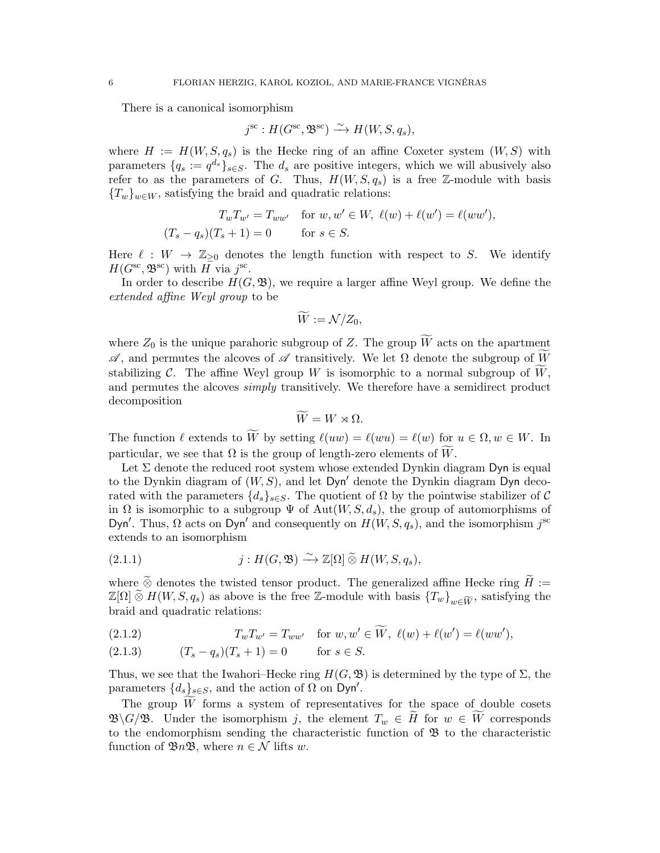There is a canonical isomorphism

$$
j^{\text{sc}}: H(G^{\text{sc}}, \mathfrak{B}^{\text{sc}}) \xrightarrow{\sim} H(W, S, q_s),
$$

where  $H := H(W, S, q_s)$  is the Hecke ring of an affine Coxeter system  $(W, S)$  with parameters  $\{q_s := q^{d_s}\}_{s \in S}$ . The  $d_s$  are positive integers, which we will abusively also refer to as the parameters of G. Thus,  $H(W, S, q_s)$  is a free Z-module with basis  ${T_w}_{w \in W}$ , satisfying the braid and quadratic relations:

$$
T_w T_{w'} = T_{ww'} \quad \text{for } w, w' \in W, \ \ell(w) + \ell(w') = \ell(ww'),
$$
  

$$
(T_s - q_s)(T_s + 1) = 0 \quad \text{for } s \in S.
$$

Here  $\ell : W \to \mathbb{Z}_{\geq 0}$  denotes the length function with respect to S. We identify  $H(G^{\text{sc}}, \mathfrak{B}^{\text{sc}})$  with  $H \text{ via } j^{\text{sc}}$ .

In order to describe  $H(G, \mathfrak{B})$ , we require a larger affine Weyl group. We define the extended affine Weyl group to be

$$
\widetilde{W} := \mathcal{N}/Z_0,
$$

where  $Z_0$  is the unique parahoric subgroup of Z. The group  $\widetilde{W}$  acts on the apartment  $\mathscr A$ , and permutes the alcoves of  $\mathscr A$  transitively. We let Ω denote the subgroup of  $\widetilde W$ stabilizing C. The affine Weyl group W is isomorphic to a normal subgroup of  $\widetilde{W}$ , and permutes the alcoves simply transitively. We therefore have a semidirect product decomposition

$$
\widetilde{W} = W \rtimes \Omega.
$$

The function  $\ell$  extends to We by setting  $\ell(uw) = \ell(wu) = \ell(w)$  for  $u \in \Omega, w \in W$ . In particular, we see that  $\Omega$  is the group of length-zero elements of W.

Let  $\Sigma$  denote the reduced root system whose extended Dynkin diagram Dyn is equal to the Dynkin diagram of  $(W, S)$ , and let Dyn' denote the Dynkin diagram Dyn decorated with the parameters  $\{d_s\}_{s\in\mathcal{S}}$ . The quotient of  $\Omega$  by the pointwise stabilizer of C in  $\Omega$  is isomorphic to a subgroup  $\Psi$  of  $Aut(W, S, d_s)$ , the group of automorphisms of Dyn'. Thus,  $\Omega$  acts on Dyn' and consequently on  $H(W, S, q_s)$ , and the isomorphism  $j^{sc}$ extends to an isomorphism

(2.1.1) 
$$
j: H(G, \mathfrak{B}) \xrightarrow{\sim} \mathbb{Z}[\Omega] \widetilde{\otimes} H(W, S, q_s),
$$

where  $\widetilde{\otimes}$  denotes the twisted tensor product. The generalized affine Hecke ring  $\widetilde{H} :=$  $\mathbb{Z}[\Omega] \widetilde{\otimes} H(W, S, q_s)$  as above is the free Z-module with basis  $\{T_w\}_{w\in \widetilde{W}}$ , satisfying the braid and quadratic relations:

<span id="page-5-0"></span>(2.1.2) 
$$
T_w T_{w'} = T_{ww'} \text{ for } w, w' \in \widetilde{W}, \ \ell(w) + \ell(w') = \ell(ww'),
$$

<span id="page-5-1"></span>
$$
(2.1.3) \t(Ts - qs)(Ts + 1) = 0 \tfor s \in S.
$$

Thus, we see that the Iwahori–Hecke ring  $H(G, \mathfrak{B})$  is determined by the type of  $\Sigma$ , the parameters  $\{d_s\}_{s\in S}$ , and the action of  $\Omega$  on Dyn'.

The group  $W$  forms a system of representatives for the space of double cosets  $\mathfrak{B}\backslash G/\mathfrak{B}$ . Under the isomorphism j, the element  $T_w \in \tilde{H}$  for  $w \in \tilde{W}$  corresponds to the endomorphism sending the characteristic function of  $\mathfrak{B}$  to the characteristic function of  $\mathfrak{B}_n\mathfrak{B}$ , where  $n \in \mathcal{N}$  lifts w.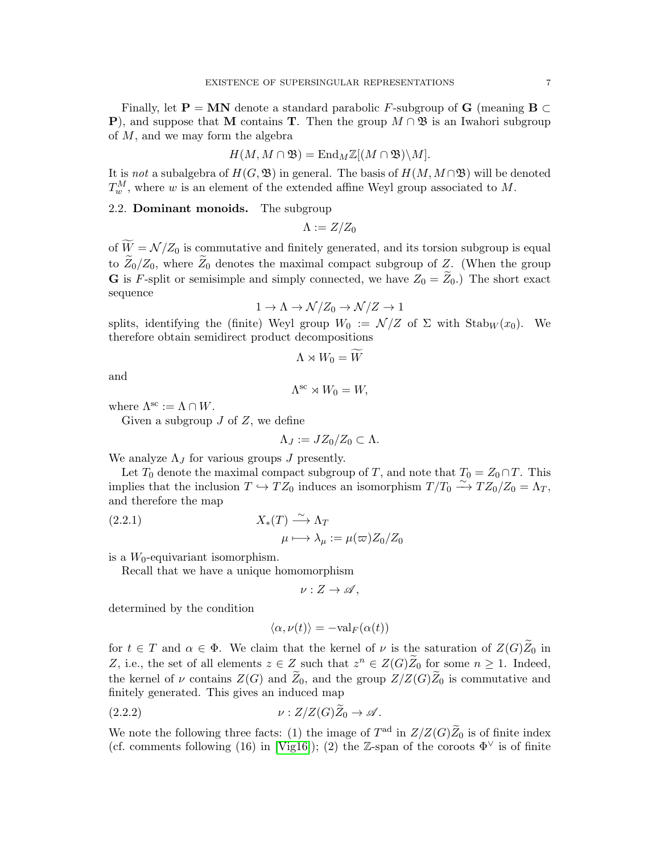Finally, let **P** = **MN** denote a standard parabolic F-subgroup of **G** (meaning **B**  $\subset$ **P**), and suppose that M contains **T**. Then the group  $M \cap \mathfrak{B}$  is an Iwahori subgroup of  $M$ , and we may form the algebra

$$
H(M, M \cap \mathfrak{B}) = \mathrm{End}_{M}\mathbb{Z}[(M \cap \mathfrak{B})\backslash M].
$$

It is not a subalgebra of  $H(G, \mathfrak{B})$  in general. The basis of  $H(M, M \cap \mathfrak{B})$  will be denoted  $T^M_w$ , where w is an element of the extended affine Weyl group associated to M.

<span id="page-6-0"></span>2.2. Dominant monoids. The subgroup

 $\Lambda := Z/Z_0$ 

of  $\widetilde{W} = \mathcal{N}/Z_0$  is commutative and finitely generated, and its torsion subgroup is equal to  $\widetilde{Z}_0/Z_0$ , where  $\widetilde{Z}_0$  denotes the maximal compact subgroup of Z. (When the group **G** is F-split or semisimple and simply connected, we have  $Z_0 = \tilde{Z}_0$ .) The short exact sequence

$$
1 \to \Lambda \to \mathcal{N}/Z_0 \to \mathcal{N}/Z \to 1
$$

splits, identifying the (finite) Weyl group  $W_0 := \mathcal{N}/Z$  of  $\Sigma$  with  $\text{Stab}_W(x_0)$ . We therefore obtain semidirect product decompositions

$$
\Lambda \rtimes W_0 = \widetilde{W}
$$

and

$$
\Lambda^{\text{sc}} \rtimes W_0 = W,
$$

where  $\Lambda^{sc} := \Lambda \cap W$ .

Given a subgroup  $J$  of  $Z$ , we define

$$
\Lambda_J := JZ_0/Z_0 \subset \Lambda.
$$

We analyze  $\Lambda_J$  for various groups J presently.

Let  $T_0$  denote the maximal compact subgroup of T, and note that  $T_0 = Z_0 \cap T$ . This implies that the inclusion  $T \hookrightarrow TZ_0$  induces an isomorphism  $T/T_0 \xrightarrow{\sim} TZ_0/Z_0 = \Lambda_T$ , and therefore the map

<span id="page-6-2"></span>(2.2.1) 
$$
X_*(T) \xrightarrow{\sim} \Lambda_T
$$

$$
\mu \longmapsto \lambda_\mu := \mu(\varpi) Z_0/Z_0
$$

is a  $W_0$ -equivariant isomorphism.

Recall that we have a unique homomorphism

 $\nu: Z \to \mathscr{A}$ .

determined by the condition

<span id="page-6-1"></span>
$$
\langle \alpha, \nu(t) \rangle = -\text{val}_{F}(\alpha(t))
$$

for  $t \in T$  and  $\alpha \in \Phi$ . We claim that the kernel of  $\nu$  is the saturation of  $Z(G)\widetilde{Z}_0$  in Z, i.e., the set of all elements  $z \in Z$  such that  $z^n \in Z(G)\widetilde{Z}_0$  for some  $n \geq 1$ . Indeed, the kernel of  $\nu$  contains  $Z(G)$  and  $\bar{Z}_0$ , and the group  $Z/Z(G)\bar{Z}_0$  is commutative and finitely generated. This gives an induced map

$$
\nu: Z/Z(G)Z_0 \to \mathscr{A}.
$$

We note the following three facts: (1) the image of  $T^{ad}$  in  $Z/Z(G)\widetilde{Z}_0$  is of finite index (cf. comments following (16) in [\[Vig16\]](#page-57-0)); (2) the Z-span of the coroots  $\Phi^{\vee}$  is of finite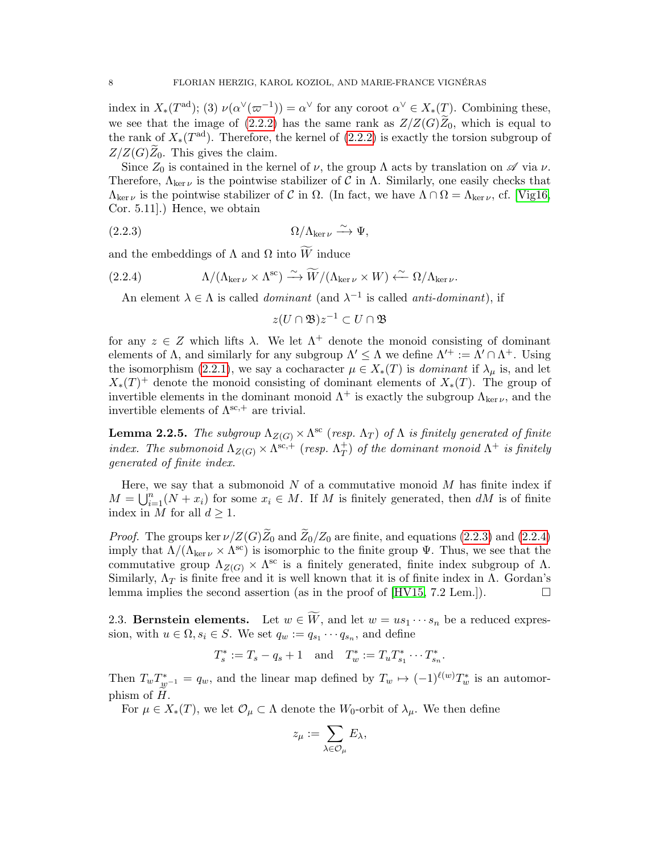index in  $X_*(T^{\text{ad}})$ ; (3)  $\nu(\alpha^{\vee}(\varpi^{-1})) = \alpha^{\vee}$  for any coroot  $\alpha^{\vee} \in X_*(T)$ . Combining these, we see that the image of [\(2.2.2\)](#page-6-1) has the same rank as  $Z/Z(G)\bar{Z}_0$ , which is equal to the rank of  $X_*(T^{\text{ad}})$ . Therefore, the kernel of  $(2.2.2)$  is exactly the torsion subgroup of  $Z/Z(G)\widetilde{Z}_0$ . This gives the claim.

Since  $Z_0$  is contained in the kernel of  $\nu$ , the group  $\Lambda$  acts by translation on  $\mathscr A$  via  $\nu$ . Therefore,  $\Lambda_{\ker \nu}$  is the pointwise stabilizer of C in  $\Lambda$ . Similarly, one easily checks that  $\Lambda_{\ker \nu}$  is the pointwise stabilizer of C in  $\Omega$ . (In fact, we have  $\Lambda \cap \Omega = \Lambda_{\ker \nu}$ , cf. [\[Vig16,](#page-57-0) Cor. 5.11].) Hence, we obtain

$$
(2.2.3) \t\t \t\t \Omega/\Lambda_{\ker\nu} \xrightarrow{\sim} \Psi,
$$

and the embeddings of  $\Lambda$  and  $\Omega$  into  $\widetilde{W}$  induce

(2.2.4) 
$$
\Lambda/(\Lambda_{\ker \nu} \times \Lambda^{\text{sc}}) \xrightarrow{\sim} \widetilde{W}/(\Lambda_{\ker \nu} \times W) \xleftarrow{\sim} \Omega/\Lambda_{\ker \nu}.
$$

<span id="page-7-2"></span>An element  $\lambda \in \Lambda$  is called *dominant* (and  $\lambda^{-1}$  is called *anti-dominant*), if

<span id="page-7-1"></span> $z(U\cap \mathfrak{B})z^{-1}\subset U\cap \mathfrak{B}$ 

for any  $z \in Z$  which lifts  $\lambda$ . We let  $\Lambda^+$  denote the monoid consisting of dominant elements of  $\Lambda$ , and similarly for any subgroup  $\Lambda' \leq \Lambda$  we define  $\Lambda'^{+} := \Lambda' \cap \Lambda^{+}$ . Using the isomorphism [\(2.2.1\)](#page-6-2), we say a cocharacter  $\mu \in X_*(T)$  is *dominant* if  $\lambda_{\mu}$  is, and let  $X_*(T)^+$  denote the monoid consisting of dominant elements of  $X_*(T)$ . The group of invertible elements in the dominant monoid  $\Lambda^+$  is exactly the subgroup  $\Lambda_{\ker \nu}$ , and the invertible elements of  $\Lambda^{\text{sc},+}$  are trivial.

<span id="page-7-3"></span>**Lemma 2.2.5.** The subgroup  $\Lambda_{Z(G)} \times \Lambda^{\text{sc}}$  (resp.  $\Lambda_T$ ) of  $\Lambda$  is finitely generated of finite index. The submonoid  $\Lambda_{Z(G)} \times \Lambda^{\text{sc},+}$  (resp.  $\Lambda_T^+$ )  $_{T}^{+})$  of the dominant monoid  $\Lambda^{+}$  is finitely generated of finite index.

Here, we say that a submonoid  $N$  of a commutative monoid  $M$  has finite index if  $M = \bigcup_{i=1}^{n} (N + x_i)$  for some  $x_i \in M$ . If M is finitely generated, then dM is of finite index in M for all  $d \geq 1$ .

*Proof.* The groups ker  $\nu/Z(G)\widetilde{Z}_0$  and  $\widetilde{Z}_0/Z_0$  are finite, and equations [\(2.2.3\)](#page-7-1) and [\(2.2.4\)](#page-7-2) imply that  $\Lambda/(\Lambda_{\ker \nu} \times \Lambda^{sc})$  is isomorphic to the finite group  $\Psi$ . Thus, we see that the commutative group  $\Lambda_{Z(G)} \times \Lambda^{\text{sc}}$  is a finitely generated, finite index subgroup of  $\Lambda$ . Similarly,  $\Lambda_T$  is finite free and it is well known that it is of finite index in  $\Lambda$ . Gordan's lemma implies the second assertion (as in the proof of  $[HV15, 7.2 \text{ Lem.}].$ 

<span id="page-7-0"></span>2.3. Bernstein elements. Let  $w \in \widetilde{W}$ , and let  $w = us_1 \cdots s_n$  be a reduced expression, with  $u \in \Omega$ ,  $s_i \in S$ . We set  $q_w := q_{s_1} \cdots q_{s_n}$ , and define

$$
T_s^* := T_s - q_s + 1
$$
 and  $T_w^* := T_u T_{s_1}^* \cdots T_{s_n}^*$ .

Then  $T_w T_{w^{-1}}^* = q_w$ , and the linear map defined by  $T_w \mapsto (-1)^{\ell(w)} T_w^*$  is an automorphism of  $H$ .

For  $\mu \in X_*(T)$ , we let  $\mathcal{O}_\mu \subset \Lambda$  denote the  $W_0$ -orbit of  $\lambda_\mu$ . We then define

$$
z_\mu := \sum_{\lambda \in \mathcal{O}_\mu} E_\lambda,
$$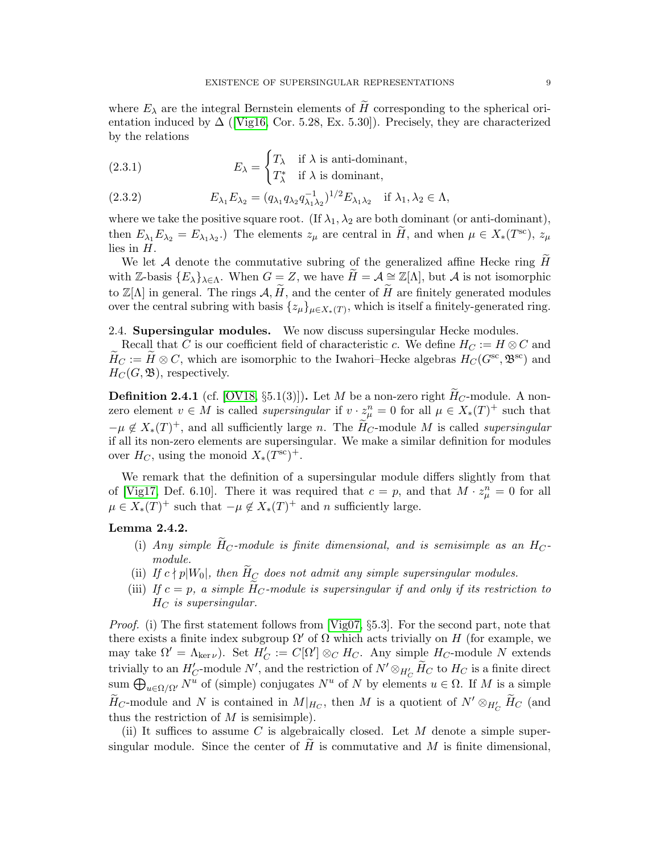where  $E_{\lambda}$  are the integral Bernstein elements of  $\tilde{H}$  corresponding to the spherical orientationinduced by  $\Delta$  ([\[Vig16,](#page-57-0) Cor. 5.28, Ex. 5.30]). Precisely, they are characterized by the relations

(2.3.1) 
$$
E_{\lambda} = \begin{cases} T_{\lambda} & \text{if } \lambda \text{ is anti-dominant,} \\ T_{\lambda}^{*} & \text{if } \lambda \text{ is dominant,} \end{cases}
$$

<span id="page-8-1"></span>(2.3.2) 
$$
E_{\lambda_1} E_{\lambda_2} = (q_{\lambda_1} q_{\lambda_2} q_{\lambda_1 \lambda_2}^{-1})^{1/2} E_{\lambda_1 \lambda_2} \text{ if } \lambda_1, \lambda_2 \in \Lambda,
$$

where we take the positive square root. (If  $\lambda_1, \lambda_2$  are both dominant (or anti-dominant), then  $E_{\lambda_1} E_{\lambda_2} = E_{\lambda_1 \lambda_2}$ . The elements  $z_{\mu}$  are central in  $\widetilde{H}$ , and when  $\mu \in X_*(T^{\text{sc}})$ ,  $z_{\mu}$ lies in H.

We let  $A$  denote the commutative subring of the generalized affine Hecke ring  $H$ with Z-basis  ${E_\lambda}_{\lambda \in \Lambda}$ . When  $G = Z$ , we have  $H = A \cong \mathbb{Z}[\Lambda]$ , but A is not isomorphic to  $\mathbb{Z}[\Lambda]$  in general. The rings  $\mathcal{A}, \widetilde{H}$ , and the center of  $\widetilde{H}$  are finitely generated modules over the central subring with basis  $\{z_{\mu}\}_{\mu \in X_*(T)}$ , which is itself a finitely-generated ring.

## <span id="page-8-0"></span>2.4. Supersingular modules. We now discuss supersingular Hecke modules.

Recall that C is our coefficient field of characteristic c. We define  $H_C := H \otimes C$  and  $\widetilde{H}_C := \widetilde{H} \otimes C$ , which are isomorphic to the Iwahori–Hecke algebras  $H_C(G^{sc}, \mathfrak{B}^{sc})$  and  $H_C(G, \mathfrak{B})$ , respectively.

<span id="page-8-3"></span>**Definition 2.4.1** (cf. [\[OV18,](#page-56-6) §5.1(3)]). Let M be a non-zero right  $H_C$ -module. A nonzero element  $v \in M$  is called *supersingular* if  $v \cdot z_{\mu}^{n} = 0$  for all  $\mu \in X_{*}(T)^{+}$  such that  $-\mu \notin X_*(T)^+$ , and all sufficiently large n. The  $\widetilde{H}_C$ -module M is called *supersingular* if all its non-zero elements are supersingular. We make a similar definition for modules over  $H_C$ , using the monoid  $X_*(T^{\text{sc}})^+$ .

We remark that the definition of a supersingular module differs slightly from that of [\[Vig17,](#page-57-2) Def. 6.10]. There it was required that  $c = p$ , and that  $M \cdot z_{\mu}^{n} = 0$  for all  $\mu \in X_*(T)^+$  such that  $-\mu \notin X_*(T)^+$  and n sufficiently large.

### <span id="page-8-4"></span>Lemma 2.4.2.

- (i) Any simple  $\widetilde{H}_C$ -module is finite dimensional, and is semisimple as an  $H_C$ module.
- <span id="page-8-2"></span>(ii) If  $c \nmid p|W_0|$ , then  $\widetilde{H}_C$  does not admit any simple supersingular modules.
- <span id="page-8-5"></span>(iii) If  $c = p$ , a simple H<sub>C</sub>-module is supersingular if and only if its restriction to  $H_C$  is supersingular.

*Proof.* (i) The first statement follows from [\[Vig07,](#page-57-3) §5.3]. For the second part, note that there exists a finite index subgroup  $\Omega'$  of  $\Omega$  which acts trivially on H (for example, we may take  $\Omega' = \Lambda_{\ker \nu}$ ). Set  $H'_C := C[\Omega'] \otimes_C H_C$ . Any simple  $H_C$ -module N extends trivially to an  $H'_C$ -module N', and the restriction of  $N' \otimes_{H'_C} \widetilde{H}_C$  to  $H_C$  is a finite direct sum  $\bigoplus_{u\in\Omega/\Omega'} N^u$  of (simple) conjugates  $N^u$  of N by elements  $u \in \Omega$ . If M is a simple  $\widetilde{H}_C$ -module and N is contained in  $M|_{H_C}$ , then M is a quotient of  $N' \otimes_{H_C'} \widetilde{H}_C$  (and thus the restriction of  $M$  is semisimple).

(ii) It suffices to assume C is algebraically closed. Let  $M$  denote a simple supersingular module. Since the center of  $\tilde{H}$  is commutative and  $M$  is finite dimensional,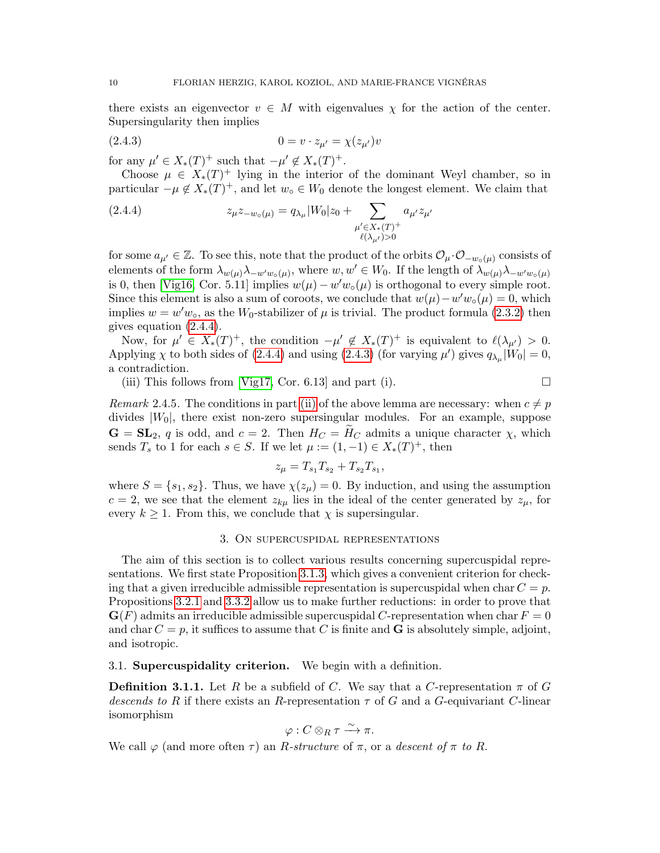there exists an eigenvector  $v \in M$  with eigenvalues  $\chi$  for the action of the center. Supersingularity then implies

<span id="page-9-3"></span>(2.4.3) 
$$
0 = v \cdot z_{\mu'} = \chi(z_{\mu'})v
$$

for any  $\mu' \in X_*(T)^+$  such that  $-\mu' \notin X_*(T)^+$ .

Choose  $\mu \in X_*(T)^+$  lying in the interior of the dominant Weyl chamber, so in particular  $-\mu \notin X_*(T)^+$ , and let  $w_\circ \in W_0$  denote the longest element. We claim that

<span id="page-9-2"></span>(2.4.4) 
$$
z_{\mu} z_{-w_{\circ}(\mu)} = q_{\lambda_{\mu}} |W_0| z_0 + \sum_{\substack{\mu' \in X_*(T)^+\\ \ell(\lambda_{\mu'}) > 0}} a_{\mu'} z_{\mu'}
$$

for some  $a_{\mu'} \in \mathbb{Z}$ . To see this, note that the product of the orbits  $\mathcal{O}_{\mu} \cdot \mathcal{O}_{-w_{\circ}(\mu)}$  consists of elements of the form  $\lambda_{w(\mu)}\lambda_{-w'w\circ(\mu)}$ , where  $w, w' \in W_0$ . If the length of  $\lambda_{w(\mu)}\lambda_{-w'w\circ(\mu)}$ is 0, then [\[Vig16,](#page-57-0) Cor. 5.11] implies  $w(\mu) - w'w_0(\mu)$  is orthogonal to every simple root. Since this element is also a sum of coroots, we conclude that  $w(\mu) - w'w_0(\mu) = 0$ , which implies  $w = w'w_{\text{o}}$ , as the  $W_0$ -stabilizer of  $\mu$  is trivial. The product formula [\(2.3.2\)](#page-8-1) then gives equation [\(2.4.4\)](#page-9-2).

Now, for  $\mu' \in X_*(T)^+$ , the condition  $-\mu' \notin X_*(T)^+$  is equivalent to  $\ell(\lambda_{\mu'}) > 0$ . Applying  $\chi$  to both sides of [\(2.4.4\)](#page-9-2) and using [\(2.4.3\)](#page-9-3) (for varying  $\mu'$ ) gives  $q_{\lambda\mu}|W_0|=0$ , a contradiction.

(iii) This follows from [\[Vig17,](#page-57-2) Cor. 6.13] and part (i).  $\Box$ 

Remark 2.4.5. The conditions in part [\(ii\)](#page-8-2) of the above lemma are necessary: when  $c \neq p$ divides  $|W_0|$ , there exist non-zero supersingular modules. For an example, suppose  $\mathbf{G} = \mathbf{SL}_2$ , q is odd, and  $c = 2$ . Then  $H_C = H_C$  admits a unique character  $\chi$ , which sends  $T_s$  to 1 for each  $s \in S$ . If we let  $\mu := (1, -1) \in X_*(T)^+$ , then

$$
z_{\mu} = T_{s_1} T_{s_2} + T_{s_2} T_{s_1},
$$

where  $S = \{s_1, s_2\}$ . Thus, we have  $\chi(z_\mu) = 0$ . By induction, and using the assumption  $c = 2$ , we see that the element  $z_{k\mu}$  lies in the ideal of the center generated by  $z_{\mu}$ , for every  $k \geq 1$ . From this, we conclude that  $\chi$  is supersingular.

### 3. On supercuspidal representations

<span id="page-9-0"></span>The aim of this section is to collect various results concerning supercuspidal representations. We first state Proposition [3.1.3,](#page-10-0) which gives a convenient criterion for checking that a given irreducible admissible representation is supercuspidal when char  $C = p$ . Propositions [3.2.1](#page-12-1) and [3.3.2](#page-13-1) allow us to make further reductions: in order to prove that  $\mathbf{G}(F)$  admits an irreducible admissible supercuspidal C-representation when char  $F = 0$ and char  $C = p$ , it suffices to assume that C is finite and **G** is absolutely simple, adjoint, and isotropic.

<span id="page-9-1"></span>3.1. Supercuspidality criterion. We begin with a definition.

**Definition 3.1.1.** Let R be a subfield of C. We say that a C-representation  $\pi$  of G descends to R if there exists an R-representation  $\tau$  of G and a G-equivariant C-linear isomorphism

$$
\varphi: C\otimes_R \tau \xrightarrow{\sim} \pi.
$$

We call  $\varphi$  (and more often  $\tau$ ) an R-structure of  $\pi$ , or a descent of  $\pi$  to R.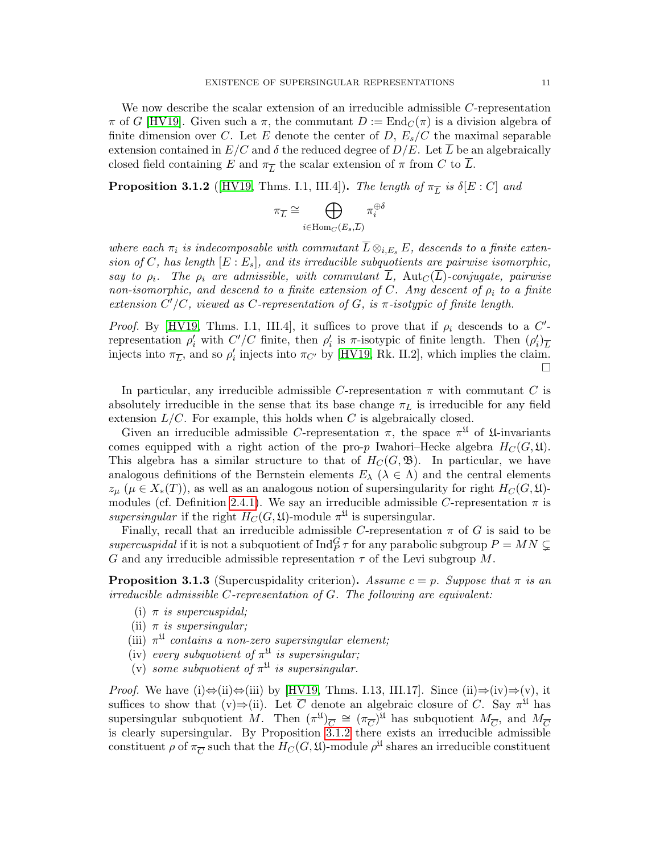We now describe the scalar extension of an irreducible admissible C-representation  $\pi$  of G [\[HV19\]](#page-56-0). Given such a  $\pi$ , the commutant  $D := \text{End}_{C}(\pi)$  is a division algebra of finite dimension over C. Let E denote the center of D,  $E_s/C$  the maximal separable extension contained in  $E/C$  and  $\delta$  the reduced degree of  $D/E$ . Let  $\overline{L}$  be an algebraically closed field containing E and  $\pi_{\overline{L}}$  the scalar extension of  $\pi$  from C to L.

<span id="page-10-1"></span>**Proposition 3.1.2** ([\[HV19,](#page-56-0) Thms. I.1, III.4]). The length of  $\pi_{\overline{L}}$  is  $\delta[E:C]$  and

$$
\pi_{\overline{L}} \cong \bigoplus_{i \in \operatorname{Hom}_C(E_s, \overline{L})} \pi_i^{\oplus \delta}
$$

where each  $\pi_i$  is indecomposable with commutant  $\overline{L} \otimes_{i,E_s} E$ , descends to a finite extension of C, has length  $[E: E_s]$ , and its irreducible subquotients are pairwise isomorphic, say to  $\rho_i$ . The  $\rho_i$  are admissible, with commutant L, Aut<sub>C</sub>(L)-conjugate, pairwise non-isomorphic, and descend to a finite extension of C. Any descent of  $\rho_i$  to a finite extension  $C'/C$ , viewed as C-representation of G, is  $\pi$ -isotypic of finite length.

*Proof.* By [\[HV19,](#page-56-0) Thms. I.1, III.4], it suffices to prove that if  $\rho_i$  descends to a C'representation  $ρ'_i$  with  $C'/C$  finite, then  $ρ'_i$  is π-isotypic of finite length. Then  $(ρ'_i)_{\overline{L}}$ injects into  $\pi_{\overline{L}}$ , and so  $\rho'_i$  injects into  $\pi_{C'}$  by [\[HV19,](#page-56-0) Rk. II.2], which implies the claim.  $\Box$ 

In particular, any irreducible admissible C-representation  $\pi$  with commutant C is absolutely irreducible in the sense that its base change  $\pi_L$  is irreducible for any field extension  $L/C$ . For example, this holds when C is algebraically closed.

Given an irreducible admissible C-representation  $\pi$ , the space  $\pi^{\mathfrak{U}}$  of  $\mathfrak{U}$ -invariants comes equipped with a right action of the pro-p Iwahori–Hecke algebra  $H_C(G, \mathfrak{U})$ . This algebra has a similar structure to that of  $H_C(G, \mathfrak{B})$ . In particular, we have analogous definitions of the Bernstein elements  $E_\lambda$  ( $\lambda \in \Lambda$ ) and the central elements  $z_{\mu}$  ( $\mu \in X_*(T)$ ), as well as an analogous notion of supersingularity for right  $H_C(G, \mathfrak{U})$ -modules (cf. Definition [2.4.1\)](#page-8-3). We say an irreducible admissible C-representation  $\pi$  is supersingular if the right  $H_C(G, \mathfrak{U})$ -module  $\pi^{\mathfrak{U}}$  is supersingular.

Finally, recall that an irreducible admissible C-representation  $\pi$  of G is said to be supercuspidal if it is not a subquotient of  $\text{Ind}_P^G \tau$  for any parabolic subgroup  $P = MN \subsetneq$ G and any irreducible admissible representation  $\tau$  of the Levi subgroup M.

<span id="page-10-0"></span>**Proposition 3.1.3** (Supercuspidality criterion). Assume  $c = p$ . Suppose that  $\pi$  is an irreducible admissible C-representation of G. The following are equivalent:

- (i)  $\pi$  is supercuspidal;
- (ii)  $\pi$  is supersingular;
- (iii)  $\pi^{\mathfrak{U}}$  contains a non-zero supersingular element;
- (iv) every subquotient of  $\pi^{\mathfrak{U}}$  is supersingular;
- (v) some subquotient of  $\pi^{\mathfrak{U}}$  is supersingular.

*Proof.* We have (i) $\Leftrightarrow$ (ii)  $\Leftrightarrow$ (iii) by [\[HV19,](#page-56-0) Thms. I.13, III.17]. Since (ii) $\Leftrightarrow$ (iv) $\Rightarrow$ (v), it suffices to show that (v) $\Rightarrow$ (ii). Let  $\overline{C}$  denote an algebraic closure of C. Say  $\pi^{\mathfrak{U}}$  has supersingular subquotient M. Then  $(\pi^{\mathfrak{U}})_{\overline{C}} \cong (\pi_{\overline{C}})^{\overline{\mathfrak{U}}}$  has subquotient  $M_{\overline{C}}$ , and  $M_{\overline{C}}$ is clearly supersingular. By Proposition  $3.1.2$  there exists an irreducible admissible constituent  $\rho$  of  $\pi_{\overline{C}}$  such that the  $H_C(G, \mathfrak{U})$ -module  $\rho^{\mathfrak{U}}$  shares an irreducible constituent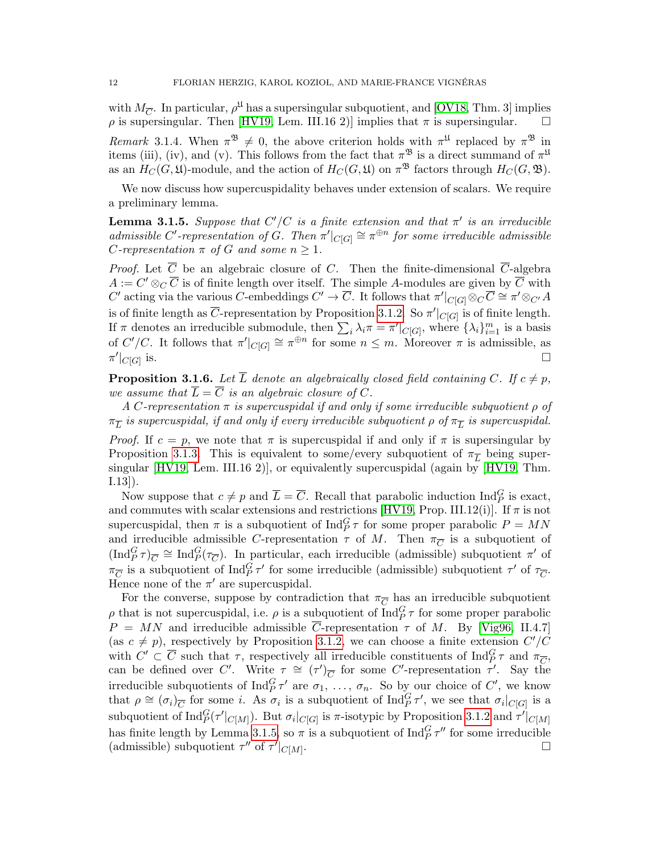with  $M_{\overline{C}}$ . In particular,  $\rho^{\mathfrak{U}}$  has a supersingular subquotient, and [\[OV18,](#page-56-6) Thm. 3] implies  $\rho$  is supersingular. Then [\[HV19,](#page-56-0) Lem. III.16 2)] implies that  $\pi$  is supersingular.  $\square$ 

Remark 3.1.4. When  $\pi^{\mathfrak{B}} \neq 0$ , the above criterion holds with  $\pi^{\mathfrak{U}}$  replaced by  $\pi^{\mathfrak{B}}$  in items (iii), (iv), and (v). This follows from the fact that  $\pi^{\mathfrak{B}}$  is a direct summand of  $\pi^{\mathfrak{U}}$ as an  $H_C(G, \mathfrak{U})$ -module, and the action of  $H_C(G, \mathfrak{U})$  on  $\pi^{\mathfrak{B}}$  factors through  $H_C(G, \mathfrak{B})$ .

We now discuss how supercuspidality behaves under extension of scalars. We require a preliminary lemma.

<span id="page-11-0"></span>**Lemma 3.1.5.** Suppose that  $C'/C$  is a finite extension and that  $\pi'$  is an irreducible admissible C'-representation of G. Then  $\pi'|_{C[G]} \cong \pi^{\oplus n}$  for some irreducible admissible *C*-representation  $\pi$  of *G* and some  $n \geq 1$ .

*Proof.* Let  $\overline{C}$  be an algebraic closure of C. Then the finite-dimensional  $\overline{C}$ -algebra  $A := C' \otimes_C \overline{C}$  is of finite length over itself. The simple A-modules are given by  $\overline{C}$  with C' acting via the various C-embeddings  $C' \to \overline{C}$ . It follows that  $\pi'|_{C[G]} \otimes_C \overline{C} \cong \pi' \otimes_{C'} A$ is of finite length as  $\overline{C}$ -representation by Proposition [3.1.2.](#page-10-1) So  $\pi'|_{C[G]}$  is of finite length. If  $\pi$  denotes an irreducible submodule, then  $\sum_i \lambda_i \pi = \pi' |_{C[G]}$ , where  $\{\lambda_i\}_{i=1}^m$  is a basis of  $C'/C$ . It follows that  $\pi'|_{C[G]} \cong \pi^{\oplus n}$  for some  $n \leq m$ . Moreover  $\pi$  is admissible, as  $\pi'|_{C[G]}$ is.  $\Box$ 

<span id="page-11-1"></span>**Proposition 3.1.6.** Let  $\overline{L}$  denote an algebraically closed field containing C. If  $c \neq p$ , we assume that  $\overline{L} = \overline{C}$  is an algebraic closure of C.

A C-representation  $\pi$  is supercuspidal if and only if some irreducible subquotient  $\rho$  of  $\pi_{\overline{L}}$  is supercuspidal, if and only if every irreducible subquotient  $\rho$  of  $\pi_{\overline{L}}$  is supercuspidal.

*Proof.* If  $c = p$ , we note that  $\pi$  is supercuspidal if and only if  $\pi$  is supersingular by Proposition [3.1.3.](#page-10-0) This is equivalent to some/every subquotient of  $\pi_{\overline{L}}$  being supersingular [\[HV19,](#page-56-0) Lem. III.16 2)], or equivalently supercuspidal (again by [\[HV19,](#page-56-0) Thm. I.13]).

Now suppose that  $c \neq p$  and  $\overline{L} = \overline{C}$ . Recall that parabolic induction  $\text{Ind}_{P}^{G}$  is exact, and commutes with scalar extensions and restrictions  $[HV19, Prop. III.12(i)]$ . If  $\pi$  is not supercuspidal, then  $\pi$  is a subquotient of  $\text{Ind}_{P}^{G} \tau$  for some proper parabolic  $P = MN$ and irreducible admissible C-representation  $\tau$  of M. Then  $\pi_{\overline{C}}$  is a subquotient of  $(\text{Ind}_{P}^{G}\tau)_{\overline{C}} \cong \text{Ind}_{P}^{G}(\tau_{\overline{C}})$ . In particular, each irreducible (admissible) subquotient  $\pi'$  of  $\pi_{\overline{C}}$  is a subquotient of  $\text{Ind}_P^G \tau'$  for some irreducible (admissible) subquotient  $\tau'$  of  $\tau_{\overline{C}}$ . Hence none of the  $\pi'$  are supercuspidal.

For the converse, suppose by contradiction that  $\pi_{\overline{C}}$  has an irreducible subquotient  $\rho$  that is not supercuspidal, i.e.  $\rho$  is a subquotient of  $\text{Ind}_{P}^{G} \tau$  for some proper parabolic  $P = MN$  and irreducible admissible  $\overline{C}$ -representation  $\tau$  of M. By [\[Vig96,](#page-56-12) II.4.7] (as  $c \neq p$ ), respectively by Proposition [3.1.2,](#page-10-1) we can choose a finite extension  $C'/C$ with  $C' \subset \overline{C}$  such that  $\tau$ , respectively all irreducible constituents of  $\text{Ind}_{P}^{G} \tau$  and  $\pi_{\overline{C}}$ , can be defined over C'. Write  $\tau \cong (\tau')_{\overline{C}}$  for some C'-representation  $\tau'$ . Say the irreducible subquotients of  $\text{Ind}_{P}^{G} \tau'$  are  $\sigma_1, \ldots, \sigma_n$ . So by our choice of C', we know that  $\rho \cong (\sigma_i)_{\overline{C}}$  for some *i*. As  $\sigma_i$  is a subquotient of Ind $_{P}^{G} \tau'$ , we see that  $\sigma_i|_{C[G]}$  is a subquotient of  $\text{Ind}_{P}^G(\tau'|_{C[M]})$ . But  $\sigma_i|_{C[G]}$  is  $\pi$ -isotypic by Proposition [3.1.2](#page-10-1) and  $\tau'|_{C[M]}$ has finite length by Lemma [3.1.5,](#page-11-0) so  $\pi$  is a subquotient of  $\text{Ind}_{P}^{G} \tau''$  for some irreducible (admissible) subquotient  $\tau''$  of  $\tau'|_{C[M]}$ .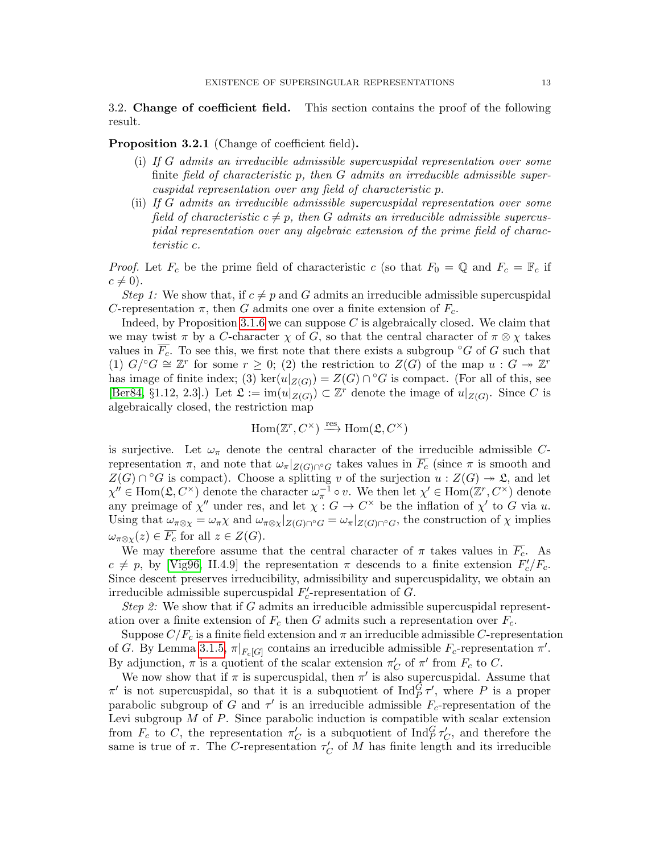<span id="page-12-0"></span>3.2. Change of coefficient field. This section contains the proof of the following result.

<span id="page-12-1"></span>Proposition 3.2.1 (Change of coefficient field).

- (i) If G admits an irreducible admissible supercuspidal representation over some finite field of characteristic p, then  $G$  admits an irreducible admissible supercuspidal representation over any field of characteristic p.
- (ii) If G admits an irreducible admissible supercuspidal representation over some field of characteristic  $c \neq p$ , then G admits an irreducible admissible supercuspidal representation over any algebraic extension of the prime field of characteristic c.

*Proof.* Let  $F_c$  be the prime field of characteristic c (so that  $F_0 = \mathbb{Q}$  and  $F_c = \mathbb{F}_c$  if  $c \neq 0$ ).

Step 1: We show that, if  $c \neq p$  and G admits an irreducible admissible supercuspidal C-representation  $\pi$ , then G admits one over a finite extension of  $F_c$ .

Indeed, by Proposition [3.1.6](#page-11-1) we can suppose  $C$  is algebraically closed. We claim that we may twist  $\pi$  by a C-character  $\chi$  of G, so that the central character of  $\pi \otimes \chi$  takes values in  $\overline{F_c}$ . To see this, we first note that there exists a subgroup °G of G such that (1)  $G^{\prime} \circ G \cong \mathbb{Z}^r$  for some  $r \geq 0$ ; (2) the restriction to  $Z(G)$  of the map  $u : G \twoheadrightarrow \mathbb{Z}^r$ has image of finite index; (3) ker $(u|_{Z(G)}) = Z(G) \cap {}^{\circ}G$  is compact. (For all of this, see [\[Ber84,](#page-54-6) §1.12, 2.3].) Let  $\mathfrak{L} := \text{im}(u|_{Z(G)}) \subset \mathbb{Z}^r$  denote the image of  $u|_{Z(G)}$ . Since C is algebraically closed, the restriction map

$$
\operatorname{Hom}(\mathbb{Z}^r, C^\times) \xrightarrow{\text{res}} \operatorname{Hom}(\mathfrak{L}, C^\times)
$$

is surjective. Let  $\omega_{\pi}$  denote the central character of the irreducible admissible Crepresentation  $\pi$ , and note that  $\omega_{\pi}|_{Z(G)\cap\sigma G}$  takes values in  $\overline{F_c}$  (since  $\pi$  is smooth and  $Z(G) \cap {}^{\circ}G$  is compact). Choose a splitting v of the surjection  $u : Z(G) \rightarrow \mathfrak{L}$ , and let  $\chi'' \in \text{Hom}(\mathfrak{L}, C^{\times})$  denote the character  $\omega_{\pi}^{-1} \circ v$ . We then let  $\chi' \in \text{Hom}(\mathbb{Z}^r, C^{\times})$  denote any preimage of  $\chi''$  under res, and let  $\chi: G \to C^{\times}$  be the inflation of  $\chi'$  to G via u. Using that  $\omega_{\pi \otimes \chi} = \omega_{\pi} \chi$  and  $\omega_{\pi \otimes \chi} |_{Z(G) \cap {^{\circ}G}} = \omega_{\pi} |_{Z(G) \cap {^{\circ}G}}$ , the construction of  $\chi$  implies  $\omega_{\pi \otimes \chi}(z) \in \overline{F_c}$  for all  $z \in Z(G)$ .

We may therefore assume that the central character of  $\pi$  takes values in  $\overline{F_c}$ . As  $c \neq p$ , by [\[Vig96,](#page-56-12) II.4.9] the representation  $\pi$  descends to a finite extension  $F_c'/F_c$ . Since descent preserves irreducibility, admissibility and supercuspidality, we obtain an irreducible admissible supercuspidal  $F'_{c}$ -representation of G.

*Step 2:* We show that if G admits an irreducible admissible supercuspidal representation over a finite extension of  $F_c$  then G admits such a representation over  $F_c$ .

Suppose  $C/F_c$  is a finite field extension and  $\pi$  an irreducible admissible C-representation of G. By Lemma [3.1.5,](#page-11-0)  $\pi|_{F_c[G]}$  contains an irreducible admissible  $F_c$ -representation  $\pi'$ . By adjunction,  $\pi$  is a quotient of the scalar extension  $\pi'_{C}$  of  $\pi'$  from  $F_c$  to C.

We now show that if  $\pi$  is supercuspidal, then  $\pi'$  is also supercuspidal. Assume that  $\pi'$  is not supercuspidal, so that it is a subquotient of  $\text{Ind}_{P}^{\tilde{G}}\tau'$ , where P is a proper parabolic subgroup of G and  $\tau'$  is an irreducible admissible  $F_c$ -representation of the Levi subgroup  $M$  of  $P$ . Since parabolic induction is compatible with scalar extension from  $F_c$  to C, the representation  $\pi'_C$  is a subquotient of  $\text{Ind}_P^G \tau'_C$ , and therefore the same is true of  $\pi$ . The *C*-representation  $\tau_C'$  of M has finite length and its irreducible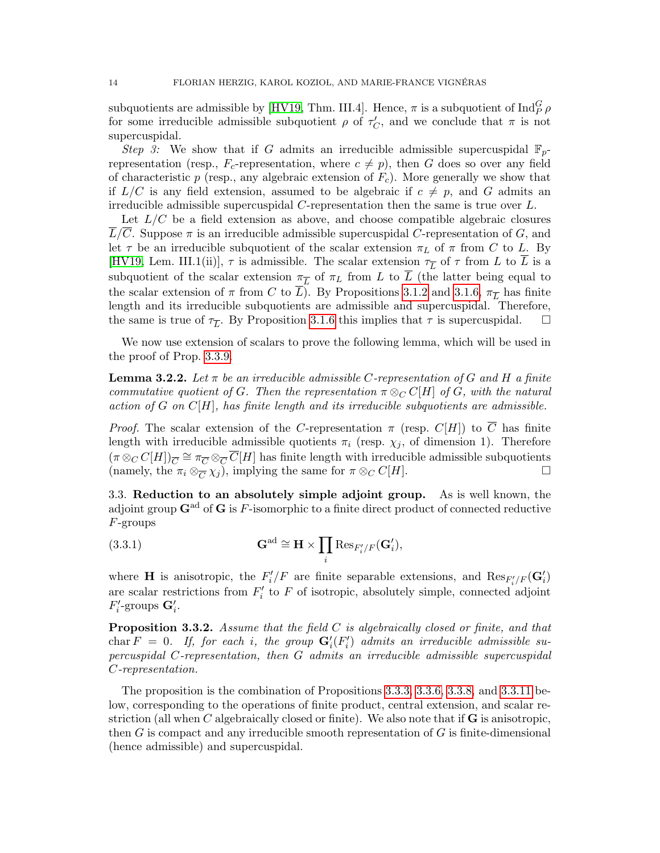subquotients are admissible by [\[HV19,](#page-56-0) Thm. III.4]. Hence,  $\pi$  is a subquotient of  $\text{Ind}_{P}^{G} \rho$ for some irreducible admissible subquotient  $\rho$  of  $\tau_C'$ , and we conclude that  $\pi$  is not supercuspidal.

<span id="page-13-3"></span>Step 3: We show that if G admits an irreducible admissible supercuspidal  $\mathbb{F}_n$ representation (resp.,  $F_c$ -representation, where  $c \neq p$ ), then G does so over any field of characteristic  $p$  (resp., any algebraic extension of  $F_c$ ). More generally we show that if  $L/C$  is any field extension, assumed to be algebraic if  $c \neq p$ , and G admits an irreducible admissible supercuspidal C-representation then the same is true over L.

Let  $L/C$  be a field extension as above, and choose compatible algebraic closures  $\overline{L}/\overline{C}$ . Suppose  $\pi$  is an irreducible admissible supercuspidal C-representation of G, and let  $\tau$  be an irreducible subquotient of the scalar extension  $\pi_L$  of  $\pi$  from C to L. By [\[HV19,](#page-56-0) Lem. III.1(ii)],  $\tau$  is admissible. The scalar extension  $\tau_{\overline{L}}$  of  $\tau$  from L to L is a subquotient of the scalar extension  $\pi_{\overline{L}}$  of  $\pi_L$  from L to L (the latter being equal to the scalar extension of  $\pi$  from C to L). By Propositions [3.1.2](#page-10-1) and [3.1.6,](#page-11-1)  $\pi$ <sub>L</sub> has finite length and its irreducible subquotients are admissible and supercuspidal. Therefore, the same is true of  $\tau_L$ . By Proposition [3.1.6](#page-11-1) this implies that  $\tau$  is supercuspidal.  $\Box$ 

We now use extension of scalars to prove the following lemma, which will be used in the proof of Prop. [3.3.9.](#page-17-0)

<span id="page-13-2"></span>**Lemma 3.2.2.** Let  $\pi$  be an irreducible admissible C-representation of G and H a finite commutative quotient of G. Then the representation  $\pi \otimes_C C[H]$  of G, with the natural action of G on  $C[H]$ , has finite length and its irreducible subquotients are admissible.

*Proof.* The scalar extension of the C-representation  $\pi$  (resp. C[H]) to C has finite length with irreducible admissible quotients  $\pi_i$  (resp.  $\chi_j$ , of dimension 1). Therefore  $(\pi \otimes_C C[H])_{\overline{C}} \cong \pi_{\overline{C}} \otimes_{\overline{C}} \overline{C}[H]$  has finite length with irreducible admissible subquotients (namely, the  $\pi_i \otimes_{\overline{C}} \chi_j$ ), implying the same for  $\pi \otimes_C C[H]$ .

<span id="page-13-0"></span>3.3. Reduction to an absolutely simple adjoint group. As is well known, the adjoint group  $\mathbf{G}^{\text{ad}}$  of  $\mathbf{G}$  is F-isomorphic to a finite direct product of connected reductive F-groups

(3.3.1) 
$$
\mathbf{G}^{\text{ad}} \cong \mathbf{H} \times \prod_{i} \text{Res}_{F'_{i}/F}(\mathbf{G}'_{i}),
$$

where **H** is anisotropic, the  $F'_i/F$  are finite separable extensions, and  $\text{Res}_{F'_i/F}(\mathbf{G}'_i)$ are scalar restrictions from  $F_i'$  to F of isotropic, absolutely simple, connected adjoint  $F_i'$ -groups  $\mathbf{G}_i'$ .

<span id="page-13-1"></span>**Proposition 3.3.2.** Assume that the field  $C$  is algebraically closed or finite, and that char  $F = 0$ . If, for each i, the group  $G_i'(F_i')$  admits an irreducible admissible supercuspidal C-representation, then G admits an irreducible admissible supercuspidal C-representation.

The proposition is the combination of Propositions [3.3.3,](#page-14-0) [3.3.6,](#page-15-0) [3.3.8,](#page-16-0) and [3.3.11](#page-18-2) below, corresponding to the operations of finite product, central extension, and scalar restriction (all when C algebraically closed or finite). We also note that if  $\bf{G}$  is anisotropic, then  $G$  is compact and any irreducible smooth representation of  $G$  is finite-dimensional (hence admissible) and supercuspidal.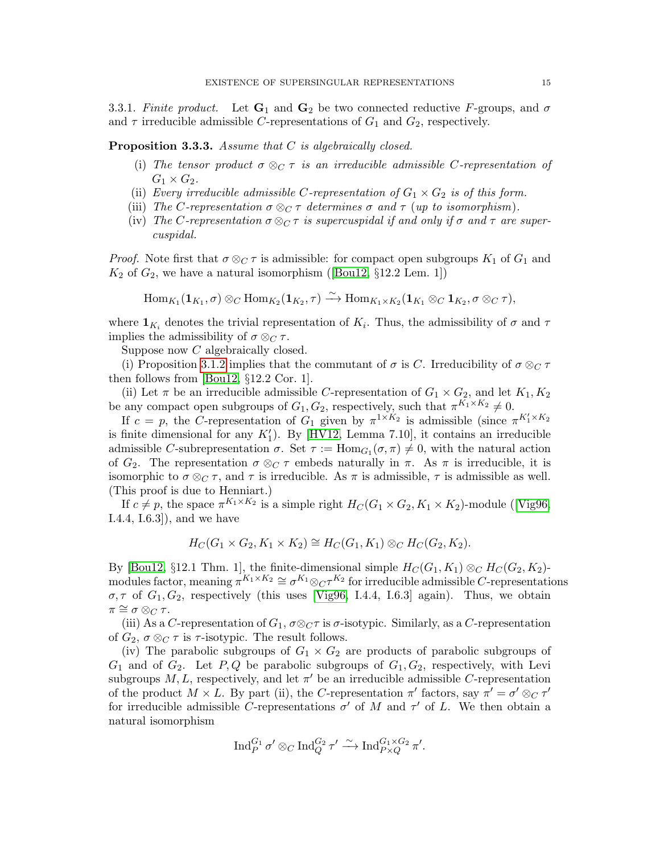<span id="page-14-1"></span>3.3.1. Finite product. Let  $G_1$  and  $G_2$  be two connected reductive F-groups, and  $\sigma$ and  $\tau$  irreducible admissible C-representations of  $G_1$  and  $G_2$ , respectively.

<span id="page-14-0"></span>Proposition 3.3.3. Assume that C is algebraically closed.

- (i) The tensor product  $\sigma \otimes_{\mathbb{C}} \tau$  is an irreducible admissible C-representation of  $G_1 \times G_2$ .
- (ii) Every irreducible admissible C-representation of  $G_1 \times G_2$  is of this form.
- (iii) The C-representation  $\sigma \otimes_C \tau$  determines  $\sigma$  and  $\tau$  (up to isomorphism).
- (iv) The C-representation  $\sigma \otimes_C \tau$  is supercuspidal if and only if  $\sigma$  and  $\tau$  are supercuspidal.

*Proof.* Note first that  $\sigma \otimes_{C} \tau$  is admissible: for compact open subgroups  $K_1$  of  $G_1$  and  $K_2$ of  $G_2$ , we have a natural isomorphism ([\[Bou12,](#page-55-7) §12.2 Lem. 1])

 $\mathrm{Hom}_{K_1}(\mathbf{1}_{K_1}, \sigma) \otimes_C \mathrm{Hom}_{K_2}(\mathbf{1}_{K_2}, \tau) \stackrel{\sim}{\longrightarrow} \mathrm{Hom}_{K_1 \times K_2}(\mathbf{1}_{K_1} \otimes_C \mathbf{1}_{K_2}, \sigma \otimes_C \tau),$ 

where  $\mathbf{1}_{K_i}$  denotes the trivial representation of  $K_i$ . Thus, the admissibility of  $\sigma$  and  $\tau$ implies the admissibility of  $\sigma \otimes_C \tau$ .

Suppose now C algebraically closed.

(i) Proposition [3.1.2](#page-10-1) implies that the commutant of  $\sigma$  is C. Irreducibility of  $\sigma \otimes_{\mathbb{C}} \tau$ then follows from [\[Bou12,](#page-55-7) §12.2 Cor. 1].

(ii) Let  $\pi$  be an irreducible admissible C-representation of  $G_1 \times G_2$ , and let  $K_1, K_2$ be any compact open subgroups of  $G_1, G_2$ , respectively, such that  $\pi^{K_1 \times K_2} \neq 0$ .

If  $c = p$ , the C-representation of  $G_1$  given by  $\pi^{1 \times K_2}$  is admissible (since  $\pi^{K_1' \times K_2}$ is finite dimensional for any  $K_1'$ ). By [\[HV12,](#page-56-13) Lemma 7.10], it contains an irreducible admissible C-subrepresentation  $\sigma$ . Set  $\tau := \text{Hom}_{G_1}(\sigma, \pi) \neq 0$ , with the natural action of  $G_2$ . The representation  $\sigma \otimes_{\mathbb{C}} \tau$  embeds naturally in  $\pi$ . As  $\pi$  is irreducible, it is isomorphic to  $\sigma \otimes_{\mathcal{C}} \tau$ , and  $\tau$  is irreducible. As  $\pi$  is admissible,  $\tau$  is admissible as well. (This proof is due to Henniart.)

If $c \neq p$ , the space  $\pi^{K_1 \times K_2}$  is a simple right  $H_C(G_1 \times G_2, K_1 \times K_2)$ -module ([\[Vig96,](#page-56-12) I.4.4, I.6.3]), and we have

$$
H_C(G_1 \times G_2, K_1 \times K_2) \cong H_C(G_1, K_1) \otimes_C H_C(G_2, K_2).
$$

By [\[Bou12,](#page-55-7) §12.1 Thm. 1], the finite-dimensional simple  $H_C(G_1, K_1) \otimes_C H_C(G_2, K_2)$ modules factor, meaning  $\pi^{K_1 \times K_2} \cong \sigma^{K_1} \otimes_{C} \tau^{K_2}$  for irreducible admissible C-representations  $\sigma, \tau$  of  $G_1, G_2$ , respectively (this uses [\[Vig96,](#page-56-12) I.4.4, I.6.3] again). Thus, we obtain  $\pi \cong \sigma \otimes_C \tau$ .

(iii) As a C-representation of  $G_1$ ,  $\sigma \otimes_C \tau$  is  $\sigma$ -isotypic. Similarly, as a C-representation of  $G_2$ ,  $\sigma \otimes_C \tau$  is  $\tau$ -isotypic. The result follows.

(iv) The parabolic subgroups of  $G_1 \times G_2$  are products of parabolic subgroups of  $G_1$  and of  $G_2$ . Let P, Q be parabolic subgroups of  $G_1, G_2$ , respectively, with Levi subgroups  $M, L$ , respectively, and let  $\pi'$  be an irreducible admissible C-representation of the product  $M \times L$ . By part (ii), the C-representation  $\pi'$  factors, say  $\pi' = \sigma' \otimes_C \tau'$ for irreducible admissible C-representations  $\sigma'$  of M and  $\tau'$  of L. We then obtain a natural isomorphism

$$
\operatorname{Ind}_P^{G_1} \sigma' \otimes_C \operatorname{Ind}_Q^{G_2} \tau' \xrightarrow{\sim} \operatorname{Ind}_{P \times Q}^{G_1 \times G_2} \pi'.
$$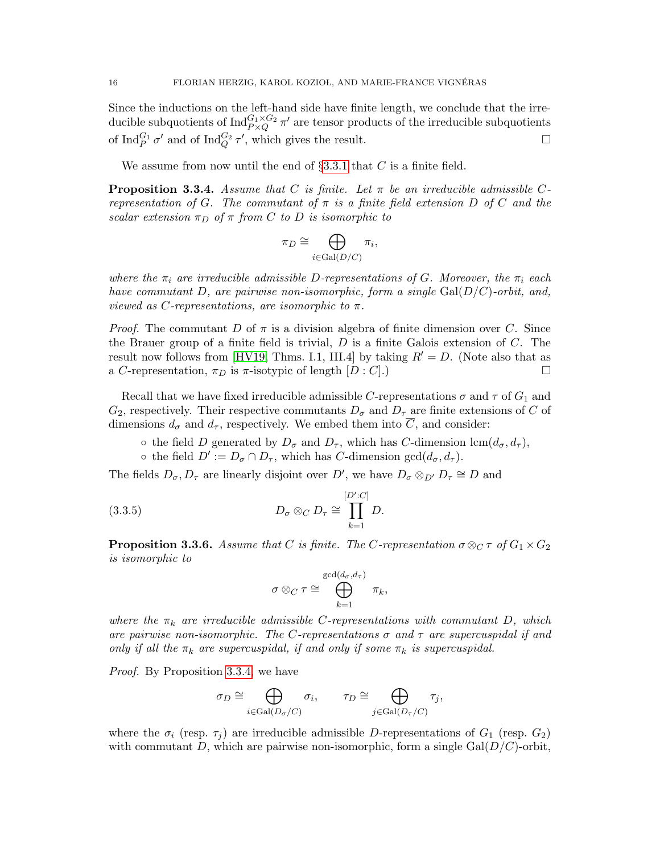Since the inductions on the left-hand side have finite length, we conclude that the irreducible subquotients of  ${\rm Ind}_{P \times Q}^{G_1 \times G_2} \pi'$  are tensor products of the irreducible subquotients of  $\text{Ind}_{P}^{G_1} \sigma'$  and of  $\text{Ind}_{Q}^{G_2} \tau'$ , which gives the result.

We assume from now until the end of  $\S 3.3.1$  $\S 3.3.1$  that C is a finite field.

<span id="page-15-1"></span>**Proposition 3.3.4.** Assume that C is finite. Let  $\pi$  be an irreducible admissible Crepresentation of G. The commutant of  $\pi$  is a finite field extension D of C and the scalar extension  $\pi_D$  of  $\pi$  from C to D is isomorphic to

$$
\pi_D \cong \bigoplus_{i \in \text{Gal}(D/C)} \pi_i,
$$

where the  $\pi_i$  are irreducible admissible D-representations of G. Moreover, the  $\pi_i$  each have commutant D, are pairwise non-isomorphic, form a single  $Gal(D/C)$ -orbit, and, viewed as C-representations, are isomorphic to  $\pi$ .

*Proof.* The commutant D of  $\pi$  is a division algebra of finite dimension over C. Since the Brauer group of a finite field is trivial,  $D$  is a finite Galois extension of  $C$ . The result now follows from [\[HV19,](#page-56-0) Thms. I.1, III.4] by taking  $R' = D$ . (Note also that as a C-representation,  $\pi_D$  is  $\pi$ -isotypic of length  $[D : C]$ .)

Recall that we have fixed irreducible admissible C-representations  $\sigma$  and  $\tau$  of  $G_1$  and  $G_2$ , respectively. Their respective commutants  $D_{\sigma}$  and  $D_{\tau}$  are finite extensions of C of dimensions  $d_{\sigma}$  and  $d_{\tau}$ , respectively. We embed them into  $\overline{C}$ , and consider:

- $\circ$  the field D generated by  $D_{\sigma}$  and  $D_{\tau}$ , which has C-dimension lcm $(d_{\sigma}, d_{\tau})$ ,
- the field  $D' := D_{\sigma} \cap D_{\tau}$ , which has C-dimension  $gcd(d_{\sigma}, d_{\tau})$ .

The fields  $D_{\sigma}, D_{\tau}$  are linearly disjoint over D', we have  $D_{\sigma} \otimes_{D'} D_{\tau} \cong D$  and

(3.3.5) 
$$
D_{\sigma} \otimes_C D_{\tau} \cong \prod_{k=1}^{[D':C]} D.
$$

<span id="page-15-0"></span>**Proposition 3.3.6.** Assume that C is finite. The C-representation  $\sigma \otimes_C \tau$  of  $G_1 \times G_2$ is isomorphic to

<span id="page-15-2"></span>
$$
\sigma \otimes_C \tau \cong \bigoplus_{k=1}^{\gcd(d_\sigma,d_\tau)} \pi_k,
$$

where the  $\pi_k$  are irreducible admissible C-representations with commutant D, which are pairwise non-isomorphic. The C-representations  $\sigma$  and  $\tau$  are supercuspidal if and only if all the  $\pi_k$  are supercuspidal, if and only if some  $\pi_k$  is supercuspidal.

Proof. By Proposition [3.3.4,](#page-15-1) we have

$$
\sigma_D \cong \bigoplus_{i \in \text{Gal}(D_{\sigma}/C)} \sigma_i, \qquad \tau_D \cong \bigoplus_{j \in \text{Gal}(D_{\tau}/C)} \tau_j,
$$

where the  $\sigma_i$  (resp.  $\tau_j$ ) are irreducible admissible D-representations of  $G_1$  (resp.  $G_2$ ) with commutant D, which are pairwise non-isomorphic, form a single  $Gal(D/C)$ -orbit,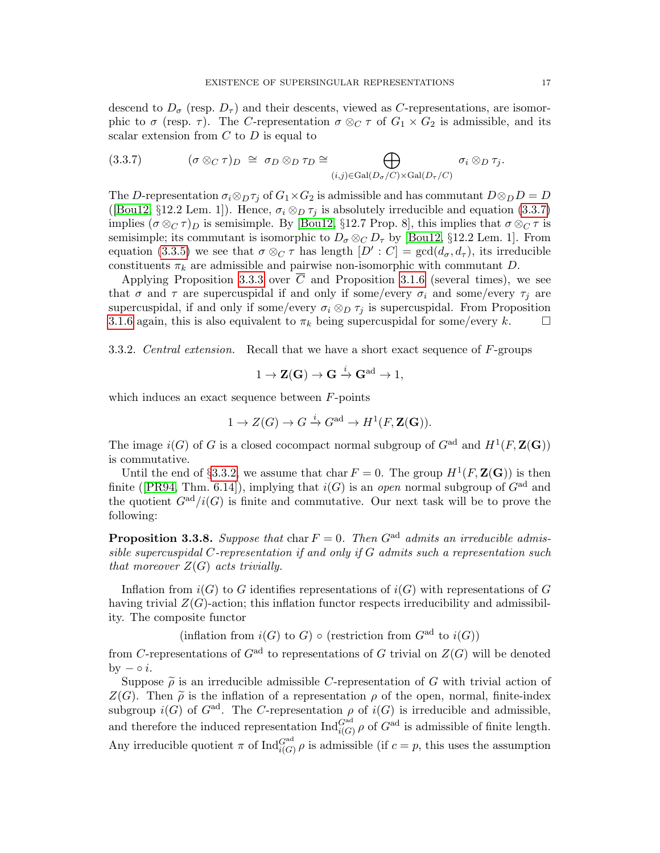descend to  $D_{\sigma}$  (resp.  $D_{\tau}$ ) and their descents, viewed as C-representations, are isomorphic to  $\sigma$  (resp.  $\tau$ ). The C-representation  $\sigma \otimes_{C} \tau$  of  $G_1 \times G_2$  is admissible, and its scalar extension from  $C$  to  $D$  is equal to

<span id="page-16-1"></span>
$$
(3.3.7) \t\t (\sigma \otimes_C \tau)_D \cong \sigma_D \otimes_D \tau_D \cong \bigoplus_{(i,j)\in \text{Gal}(D_{\sigma}/C)\times \text{Gal}(D_{\tau}/C)} \sigma_i \otimes_D \tau_j.
$$

The D-representation  $\sigma_i \otimes_D \tau_j$  of  $G_1 \times G_2$  is admissible and has commutant  $D \otimes_D D = D$ ([\[Bou12,](#page-55-7) §12.2 Lem. 1]). Hence,  $\sigma_i \otimes_D \tau_j$  is absolutely irreducible and equation [\(3.3.7\)](#page-16-1) implies  $(\sigma \otimes_C \tau)_D$  is semisimple. By [\[Bou12,](#page-55-7) §12.7 Prop. 8], this implies that  $\sigma \otimes_C \tau$  is semisimple; its commutant is isomorphic to  $D_{\sigma} \otimes_{C} D_{\tau}$  by [\[Bou12,](#page-55-7) §12.2 Lem. 1]. From equation [\(3.3.5\)](#page-15-2) we see that  $\sigma \otimes_{C} \tau$  has length  $[D':C] = \gcd(d_{\sigma}, d_{\tau})$ , its irreducible constituents  $\pi_k$  are admissible and pairwise non-isomorphic with commutant D.

Applying Proposition [3.3.3](#page-14-0) over  $\overline{C}$  and Proposition [3.1.6](#page-11-1) (several times), we see that  $\sigma$  and  $\tau$  are supercuspidal if and only if some/every  $\sigma_i$  and some/every  $\tau_i$  are supercuspidal, if and only if some/every  $\sigma_i \otimes_D \tau_j$  is supercuspidal. From Proposition [3.1.6](#page-11-1) again, this is also equivalent to  $\pi_k$  being supercuspidal for some/every k.

<span id="page-16-2"></span>3.3.2. Central extension. Recall that we have a short exact sequence of F-groups

$$
1 \to \mathbf{Z}(\mathbf{G}) \to \mathbf{G} \xrightarrow{i} \mathbf{G}^{ad} \to 1,
$$

which induces an exact sequence between  $F$ -points

$$
1 \to Z(G) \to G \xrightarrow{i} G^{\text{ad}} \to H^1(F, \mathbf{Z}(\mathbf{G})).
$$

The image  $i(G)$  of G is a closed cocompact normal subgroup of  $G^{ad}$  and  $H^1(F, \mathbf{Z}(G))$ is commutative.

Until the end of §[3.3.2,](#page-16-2) we assume that char  $F = 0$ . The group  $H^1(F, \mathbf{Z}(G))$  is then finite([\[PR94,](#page-56-14) Thm. 6.14]), implying that  $i(G)$  is an *open* normal subgroup of  $G^{ad}$  and the quotient  $G^{ad}/i(G)$  is finite and commutative. Our next task will be to prove the following:

<span id="page-16-0"></span>**Proposition 3.3.8.** Suppose that char  $F = 0$ . Then  $G^{ad}$  admits an irreducible admissible supercuspidal  $C$ -representation if and only if  $G$  admits such a representation such that moreover  $Z(G)$  acts trivially.

Inflation from  $i(G)$  to G identifies representations of  $i(G)$  with representations of G having trivial  $Z(G)$ -action; this inflation functor respects irreducibility and admissibility. The composite functor

(inflation from  $i(G)$  to G)  $\circ$  (restriction from  $G^{ad}$  to  $i(G)$ )

from C-representations of  $G<sup>ad</sup>$  to representations of G trivial on  $Z(G)$  will be denoted by  $-\circ i$ .

Suppose  $\tilde{\rho}$  is an irreducible admissible *C*-representation of *G* with trivial action of  $Z(G)$ . Then  $\tilde{\rho}$  is the inflation of a representation  $\rho$  of the open, normal, finite-index  $Z(G)$ . Then  $\tilde{\rho}$  is the inflation of a representation  $\rho$  of the open, normal, finite-index subgroup  $i(G)$  of  $G^{ad}$ . The C-representation  $\rho$  of  $i(G)$  is irreducible and admissible, and therefore the induced representation  $\text{Ind}_{i(G)}^{G^{ad}} \rho$  of  $G^{ad}$  is admissible of finite length. Any irreducible quotient  $\pi$  of  $\text{Ind}_{i(G)}^{G^{ad}} \rho$  is admissible (if  $c = p$ , this uses the assumption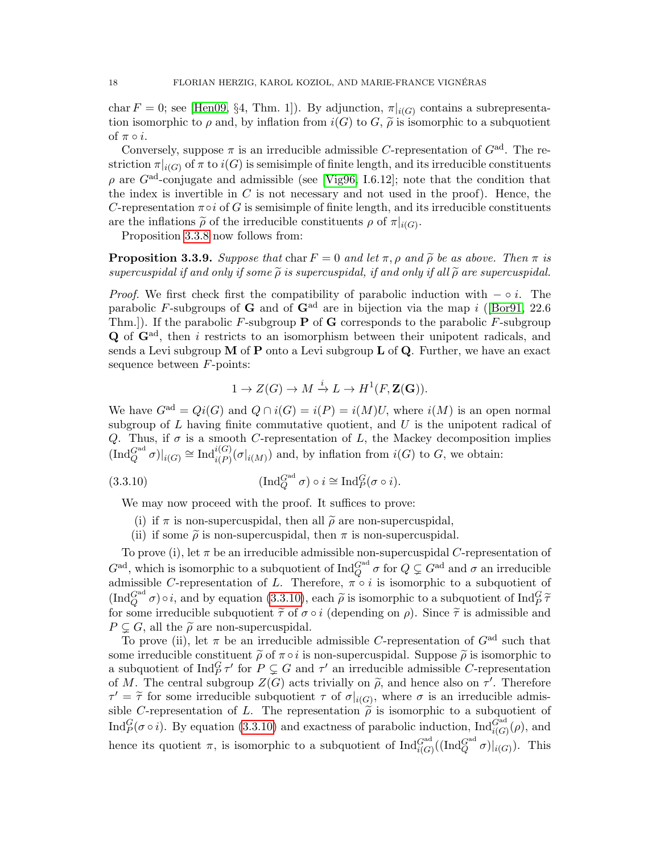char  $F = 0$ ; see [\[Hen09,](#page-55-8) §4, Thm. 1]). By adjunction,  $\pi|_{i(G)}$  contains a subrepresentation isomorphic to  $\rho$  and, by inflation from  $i(G)$  to  $G, \tilde{\rho}$  is isomorphic to a subquotient of  $\pi \circ i$ .

Conversely, suppose  $\pi$  is an irreducible admissible C-representation of  $G^{ad}$ . The restriction  $\pi|_{i(G)}$  of  $\pi$  to  $i(G)$  is semisimple of finite length, and its irreducible constituents  $\rho$  are  $G^{ad}$ -conjugate and admissible (see [\[Vig96,](#page-56-12) I.6.12]; note that the condition that the index is invertible in  $C$  is not necessary and not used in the proof). Hence, the C-representation  $\pi \circ i$  of G is semisimple of finite length, and its irreducible constituents are the inflations  $\tilde{\rho}$  of the irreducible constituents  $\rho$  of  $\pi|_{i(G)}$ .<br>Proposition 3.3.8 pow follows from:

Proposition [3.3.8](#page-16-0) now follows from:

<span id="page-17-0"></span>**Proposition 3.3.9.** Suppose that char  $F = 0$  and let  $\pi$ ,  $\rho$  and  $\tilde{\rho}$  be as above. Then  $\pi$  is supercuspidal if and only if some  $\tilde{\rho}$  is supercuspidal, if and only if all  $\tilde{\rho}$  are supercuspidal.

*Proof.* We first check first the compatibility of parabolic induction with  $-\circ i$ . The parabolic F-subgroups of G and of  $G^{ad}$  are in bijection via the map i ([\[Bor91,](#page-55-9) 22.6] Thm.]). If the parabolic  $F$ -subgroup **P** of **G** corresponds to the parabolic  $F$ -subgroup  $\bf{Q}$  of  $\bf{G}^{\rm ad}$ , then i restricts to an isomorphism between their unipotent radicals, and sends a Levi subgroup  $M$  of  $P$  onto a Levi subgroup  $L$  of  $Q$ . Further, we have an exact sequence between F-points:

<span id="page-17-1"></span>
$$
1 \to Z(G) \to M \xrightarrow{i} L \to H^1(F, \mathbf{Z}(\mathbf{G})).
$$

We have  $G^{ad} = Qi(G)$  and  $Q \cap i(G) = i(P) = i(M)U$ , where  $i(M)$  is an open normal subgroup of  $L$  having finite commutative quotient, and  $U$  is the unipotent radical of Q. Thus, if  $\sigma$  is a smooth C-representation of L, the Mackey decomposition implies  $(\text{Ind}_{Q}^{G^{ad}} \sigma)|_{i(G)} \cong \text{Ind}_{i(P)}^{i(G)}(\sigma|_{i(M)})$  and, by inflation from  $i(G)$  to G, we obtain:

(3.3.10) 
$$
(\text{Ind}_{Q}^{G^{ad}} \sigma) \circ i \cong \text{Ind}_{P}^{G}(\sigma \circ i).
$$

We may now proceed with the proof. It suffices to prove:

- (i) if  $\pi$  is non-supercuspidal, then all  $\tilde{\rho}$  are non-supercuspidal,
- (ii) if some  $\tilde{\rho}$  is non-supercuspidal, then  $\pi$  is non-supercuspidal.

To prove (i), let  $\pi$  be an irreducible admissible non-supercuspidal C-representation of  $G^{\rm ad}$ , which is isomorphic to a subquotient of  $\text{Ind}_Q^{G^{\rm ad}} \sigma$  for  $Q \subsetneq G^{\rm ad}$  and  $\sigma$  an irreducible admissible C-representation of L. Therefore,  $\pi \circ i$  is isomorphic to a subquotient of  $(\text{Ind}_{Q}^{Gal} \sigma) \circ i$ , and by equation [\(3.3.10\)](#page-17-1), each  $\tilde{\rho}$  is isomorphic to a subquotient of Ind ${}_{P}^{G} \tilde{\tau}$ <br>for some irreducible subquotient  $\tilde{\tau}$  of  $\sigma$  oi (depending on a). Since  $\tilde{\tau}$  is admissible and for some irreducible subquotient  $\tilde{\tau}$  of  $\sigma \circ i$  (depending on  $\rho$ ). Since  $\tilde{\tau}$  is admissible and  $P \subseteq G$ , all the  $\tilde{\rho}$  are non-supercuspidal.

To prove (ii), let  $\pi$  be an irreducible admissible C-representation of  $G<sup>ad</sup>$  such that some irreducible constituent  $\tilde{\rho}$  of  $\pi \circ i$  is non-supercuspidal. Suppose  $\tilde{\rho}$  is isomorphic to a subquotient of  $\text{Ind}_{P}^{G} \tau'$  for  $P \subsetneq G$  and  $\tau'$  an irreducible admissible C-representation of M. The central subgroup  $Z(G)$  acts trivially on  $\tilde{\rho}$ , and hence also on  $\tau'$ . Therefore  $\tau' = \tilde{\tau}$  for some irreducible subquotient  $\tau$  of  $\sigma|_{i(G)}$ , where  $\sigma$  is an irreducible admissible C representation of L. The representation  $\tilde{\lambda}$  is isomorphic to a subquotient of sible C-representation of L. The representation  $\tilde{\rho}$  is isomorphic to a subquotient of Ind $_G^G(\sigma \circ i)$ . By equation [\(3.3.10\)](#page-17-1) and exactness of parabolic induction,  $\text{Ind}_{i(G)}^{G^{ad}}(\rho)$ , and hence its quotient  $\pi$ , is isomorphic to a subquotient of  $\text{Ind}_{i(G)}^{G^{ad}}((\text{Ind}_{Q}^{G^{ad}} \sigma)|_{i(G)})$ . This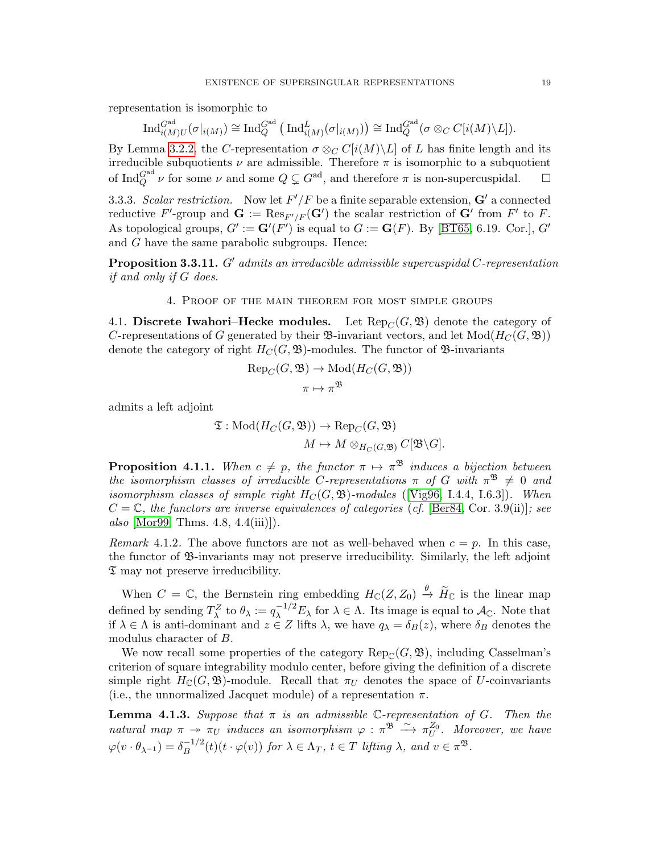representation is isomorphic to

$$
\operatorname{Ind}_{i(M)U}^{G^{\text{ad}}}(\sigma|_{i(M)}) \cong \operatorname{Ind}_{Q}^{G^{\text{ad}}}(\operatorname{Ind}_{i(M)}^{L}(\sigma|_{i(M)})) \cong \operatorname{Ind}_{Q}^{G^{\text{ad}}}(\sigma \otimes_{C} C[i(M) \setminus L]).
$$

By Lemma [3.2.2,](#page-13-2) the C-representation  $\sigma \otimes_C C[i(M) \backslash L]$  of L has finite length and its irreducible subquotients  $\nu$  are admissible. Therefore  $\pi$  is isomorphic to a subquotient of Ind $_Q^{\text{Gal}}\nu$  for some  $\nu$  and some  $Q \subsetneq G^{\text{ad}}$ , and therefore  $\pi$  is non-supercuspidal.  $\Box$ 

3.3.3. Scalar restriction. Now let  $F'/F$  be a finite separable extension,  $G'$  a connected reductive F'-group and  $\mathbf{G} := \text{Res}_{F'/F}(\mathbf{G}')$  the scalar restriction of  $\mathbf{G}'$  from  $F'$  to F. As topological groups,  $G' := \mathbf{G}'(F')$  is equal to  $G := \mathbf{G}(F)$ . By [\[BT65,](#page-55-10) 6.19. Cor.],  $G'$ and G have the same parabolic subgroups. Hence:

<span id="page-18-2"></span>**Proposition 3.3.11.** G' admits an irreducible admissible supercuspidal C-representation if and only if G does.

4. Proof of the main theorem for most simple groups

<span id="page-18-1"></span><span id="page-18-0"></span>4.1. Discrete Iwahori–Hecke modules. Let  $\text{Rep}_{\mathbb{C}}(G,\mathfrak{B})$  denote the category of C-representations of G generated by their  $\mathfrak{B}$ -invariant vectors, and let  $Mod(H_C(G, \mathfrak{B}))$ denote the category of right  $H_C(G, \mathfrak{B})$ -modules. The functor of  $\mathfrak{B}$ -invariants

$$
Rep_C(G, \mathfrak{B}) \to Mod(H_C(G, \mathfrak{B}))
$$

$$
\pi \mapsto \pi^{\mathfrak{B}}
$$

admits a left adjoint

$$
\mathfrak{T}: \mathrm{Mod}(H_C(G, \mathfrak{B})) \to \mathrm{Rep}_C(G, \mathfrak{B}) \\ M \mapsto M \otimes_{H_C(G, \mathfrak{B})} C[\mathfrak{B} \backslash G].
$$

**Proposition 4.1.1.** When  $c \neq p$ , the functor  $\pi \mapsto \pi^{\mathfrak{B}}$  induces a bijection between the isomorphism classes of irreducible C-representations  $\pi$  of G with  $\pi^{\mathfrak{B}} \neq 0$  and isomorphism classes of simple right  $H_C(G, \mathfrak{B})$ -modules ([\[Vig96,](#page-56-12) I.4.4, I.6.3]). When  $C = \mathbb{C}$ , the functors are inverse equivalences of categories (cf. [\[Ber84,](#page-54-6) Cor. 3.9(ii)]; see also  $[Mor99, Thms. 4.8, 4.4(iii)]$  $[Mor99, Thms. 4.8, 4.4(iii)]$ .

Remark 4.1.2. The above functors are not as well-behaved when  $c = p$ . In this case, the functor of B-invariants may not preserve irreducibility. Similarly, the left adjoint  $\mathfrak T$  may not preserve irreducibility.

When  $C = \mathbb{C}$ , the Bernstein ring embedding  $H_{\mathbb{C}}(Z, Z_0) \stackrel{\theta}{\to} \widetilde{H}_{\mathbb{C}}$  is the linear map defined by sending  $T_\lambda^Z$  to  $\theta_\lambda := q_\lambda^{-1/2} E_\lambda$  for  $\lambda \in \Lambda$ . Its image is equal to  $\mathcal{A}_{\mathbb{C}}$ . Note that if  $\lambda \in \Lambda$  is anti-dominant and  $z \in Z$  lifts  $\lambda$ , we have  $q_{\lambda} = \delta_B(z)$ , where  $\delta_B$  denotes the modulus character of B.

We now recall some properties of the category  $\text{Rep}_{\mathcal{C}}(G,\mathfrak{B})$ , including Casselman's criterion of square integrability modulo center, before giving the definition of a discrete simple right  $H_{\mathbb{C}}(G,\mathfrak{B})$ -module. Recall that  $\pi_U$  denotes the space of U-coinvariants (i.e., the unnormalized Jacquet module) of a representation  $\pi$ .

<span id="page-18-3"></span>**Lemma 4.1.3.** Suppose that  $\pi$  is an admissible C-representation of G. Then the natural map  $\pi \to \pi_U$  induces an isomorphism  $\varphi : \pi^{\mathfrak{B}} \to \pi_U^{Z_0}$ . Moreover, we have  $\varphi(v \cdot \theta_{\lambda^{-1}}) = \delta_B^{-1/2}$  $B^{-1/2}(t)(t \cdot \varphi(v))$  for  $\lambda \in \Lambda_T$ ,  $t \in T$  lifting  $\lambda$ , and  $v \in \pi^{\mathfrak{B}}$ .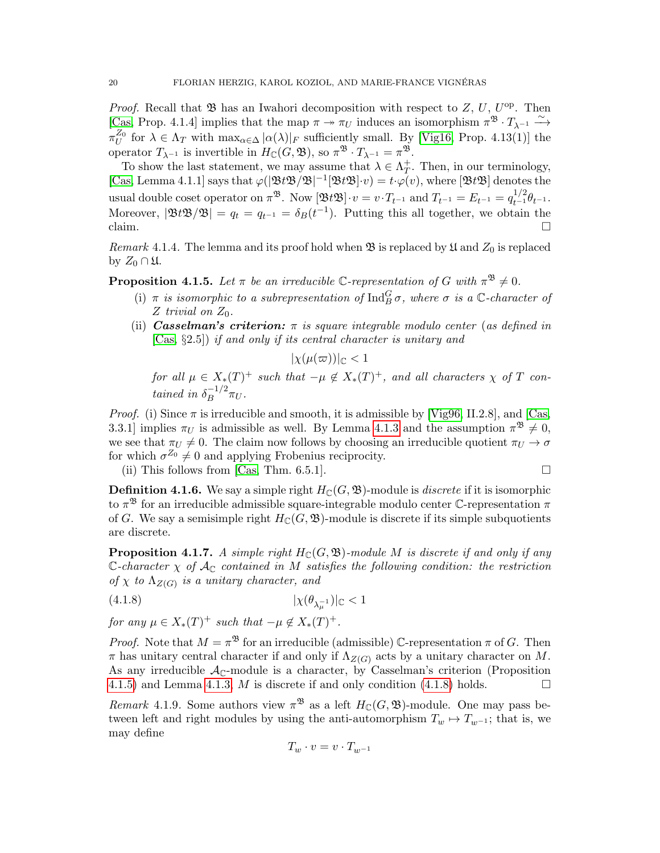*Proof.* Recall that  $\mathfrak{B}$  has an Iwahori decomposition with respect to Z, U, U<sup>op</sup>. Then [\[Cas,](#page-55-11) Prop. 4.1.4] implies that the map  $\pi \to \pi_U$  induces an isomorphism  $\pi^{\mathfrak{B}} \cdot T_{\lambda^{-1}} \xrightarrow{\sim}$  $\pi_U^{Z_0}$  for  $\lambda \in \Lambda_T$  with  $\max_{\alpha \in \Delta} |\alpha(\lambda)|_F$  sufficiently small. By [\[Vig16,](#page-57-0) Prop. 4.13(1)] the operator  $T_{\lambda^{-1}}$  is invertible in  $H_{\mathbb{C}}(G,\mathfrak{B}),$  so  $\pi^{\mathfrak{B}} \cdot T_{\lambda^{-1}} = \pi^{\mathfrak{B}}.$ 

To show the last statement, we may assume that  $\lambda \in \Lambda_T^+$  $_T^+$ . Then, in our terminology, [\[Cas,](#page-55-11) Lemma 4.1.1] says that  $\varphi(|\mathfrak{B}t\mathfrak{B}/\mathfrak{B}|^{-1}|\mathfrak{B}t\mathfrak{B}|v) = t \cdot \varphi(v)$ , where  $|\mathfrak{B}t\mathfrak{B}|$  denotes the usual double coset operator on  $\pi^{\mathfrak{B}}$ . Now  $[\mathfrak{B}t\mathfrak{B}] \cdot v = v \cdot T_{t^{-1}}$  and  $T_{t^{-1}} = E_{t^{-1}} = q_{t^{-1}}^{1/2} \theta_{t^{-1}}$ . Moreover,  $|\mathfrak{B}t\mathfrak{B}/\mathfrak{B}| = q_t = q_{t^{-1}} = \delta_B(t^{-1})$ . Putting this all together, we obtain the claim.  $\Box$ 

<span id="page-19-3"></span>Remark 4.1.4. The lemma and its proof hold when  $\mathfrak B$  is replaced by  $\mathfrak U$  and  $Z_0$  is replaced by  $Z_0 \cap \mathfrak{U}$ .

<span id="page-19-0"></span>**Proposition 4.1.5.** Let  $\pi$  be an irreducible C-representation of G with  $\pi^{\mathfrak{B}} \neq 0$ .

- (i)  $\pi$  is isomorphic to a subrepresentation of  $\text{Ind}_{B}^{G} \sigma$ , where  $\sigma$  is a  $\mathbb{C}$ -character of  $Z$  trivial on  $Z_0$ .
- (ii) **Casselman's criterion:**  $\pi$  is square integrable modulo center (as defined in [\[Cas,](#page-55-11) §2.5]) if and only if its central character is unitary and

 $|\chi(\mu(\varpi))|_{\mathbb{C}} < 1$ 

for all  $\mu \in X_*(T)^+$  such that  $-\mu \notin X_*(T)^+$ , and all characters  $\chi$  of T contained in  $\delta_R^{-1/2}$  $B^{-1/2} \pi_U$ .

*Proof.* (i) Since  $\pi$  is irreducible and smooth, it is admissible by [\[Vig96,](#page-56-12) II.2.8], and [\[Cas,](#page-55-11) 3.3.1] implies  $\pi_U$  is admissible as well. By Lemma [4.1.3](#page-18-3) and the assumption  $\pi^{\mathfrak{B}} \neq 0$ , we see that  $\pi_U \neq 0$ . The claim now follows by choosing an irreducible quotient  $\pi_U \to \sigma$ for which  $\sigma^{Z_0} \neq 0$  and applying Frobenius reciprocity.

(ii) This follows from [\[Cas,](#page-55-11) Thm. 6.5.1].  $\square$ 

**Definition 4.1.6.** We say a simple right  $H_{\mathbb{C}}(G,\mathfrak{B})$ -module is *discrete* if it is isomorphic to  $\pi^{\mathfrak{B}}$  for an irreducible admissible square-integrable modulo center C-representation  $\pi$ of G. We say a semisimple right  $H_{\mathbb{C}}(G,\mathfrak{B})$ -module is discrete if its simple subquotients are discrete.

<span id="page-19-2"></span>**Proposition 4.1.7.** A simple right  $H_{\mathbb{C}}(G,\mathfrak{B})$ -module M is discrete if and only if any C-character  $\chi$  of  $\mathcal{A}_{\mathbb{C}}$  contained in M satisfies the following condition: the restriction of  $\chi$  to  $\Lambda_{Z(G)}$  is a unitary character, and

$$
(4.1.8)\t\t\t |\chi(\theta_{\lambda_{\mu}^{-1}})|_{\mathbb{C}} < 1
$$

for any  $\mu \in X_*(T)^+$  such that  $-\mu \notin X_*(T)^+$ .

*Proof.* Note that  $M = \pi^{3}$  for an irreducible (admissible) C-representation  $\pi$  of G. Then  $\pi$  has unitary central character if and only if  $\Lambda_{Z(G)}$  acts by a unitary character on M. As any irreducible  $A_{\mathbb{C}}$ -module is a character, by Casselman's criterion (Proposition [4.1.5\)](#page-19-0) and Lemma [4.1.3,](#page-18-3) M is discrete if and only condition [\(4.1.8\)](#page-19-1) holds.  $\square$ 

Remark 4.1.9. Some authors view  $\pi^{\mathfrak{B}}$  as a left  $H_{\mathbb{C}}(G,\mathfrak{B})$ -module. One may pass between left and right modules by using the anti-automorphism  $T_w \mapsto T_{w^{-1}}$ ; that is, we may define

<span id="page-19-1"></span>
$$
T_w\cdot v=v\cdot T_{w^{-1}}
$$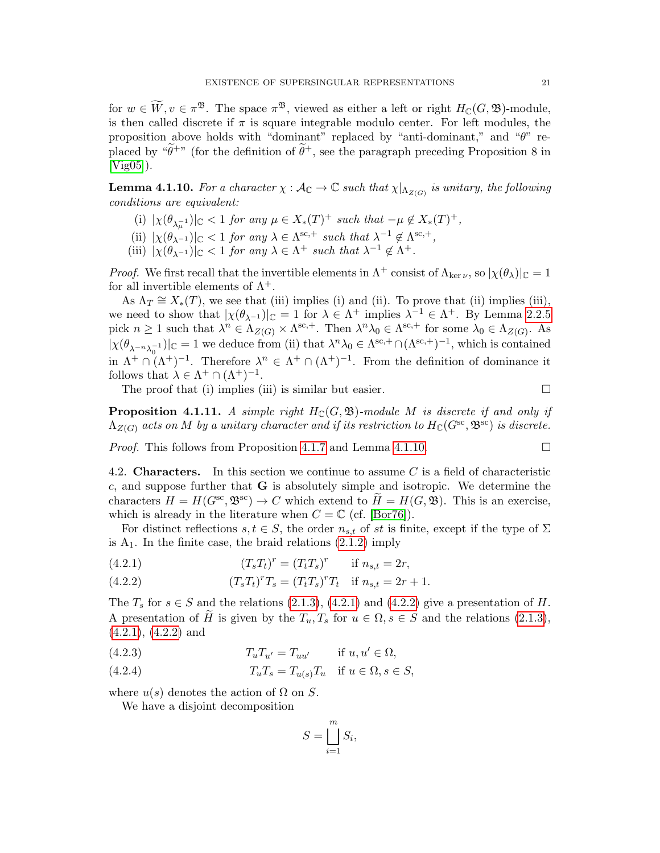for  $w \in W, v \in \pi^{\mathfrak{B}}$ . The space  $\pi^{\mathfrak{B}}$ , viewed as either a left or right  $H_{\mathbb{C}}(G, \mathfrak{B})$ -module, is then called discrete if  $\pi$  is square integrable modulo center. For left modules, the proposition above holds with "dominant" replaced by "anti-dominant," and "θ" replaced by " $\tilde{\theta}^+$ " (for the definition of  $\tilde{\theta}^+$ , see the paragraph preceding Proposition 8 in [Vig<sub>05</sub>].

<span id="page-20-1"></span>**Lemma 4.1.10.** For a character  $\chi : \mathcal{A}_{\mathbb{C}} \to \mathbb{C}$  such that  $\chi|_{\Lambda_{Z(G)}}$  is unitary, the following conditions are equivalent:

- (i)  $|\chi(\theta_{\lambda_{\mu}^{-1}})|_{\mathbb{C}} < 1$  for any  $\mu \in X_*(T)^+$  such that  $-\mu \notin X_*(T)^+$ ,
- (ii)  $|\chi(\theta_{\lambda^{-1}})|_{\mathbb{C}} < 1$  for any  $\lambda \in \Lambda^{sc,+}$  such that  $\lambda^{-1} \notin \Lambda^{sc,+}$ ,
- (iii)  $|\chi(\theta_{\lambda^{-1}})|_{\mathbb{C}} < 1$  for any  $\lambda \in \Lambda^+$  such that  $\lambda^{-1} \notin \Lambda^+$ .

*Proof.* We first recall that the invertible elements in  $\Lambda^+$  consist of  $\Lambda_{\ker \nu}$ , so  $|\chi(\theta_\lambda)|_{\mathbb{C}} = 1$ for all invertible elements of  $\Lambda^+$ .

As  $\Lambda_T \cong X_*(T)$ , we see that (iii) implies (i) and (ii). To prove that (ii) implies (iii), we need to show that  $|\chi(\theta_{\lambda^{-1}})|_{\mathbb{C}} = 1$  for  $\lambda \in \Lambda^+$  implies  $\lambda^{-1} \in \Lambda^+$ . By Lemma [2.2.5](#page-7-3) pick  $n \geq 1$  such that  $\lambda^n \in \Lambda_{Z(G)} \times \Lambda^{\text{sc},+}$ . Then  $\lambda^n \lambda_0 \in \Lambda^{\text{sc},+}$  for some  $\lambda_0 \in \Lambda_{Z(G)}$ . As  $|\chi(\theta_{\lambda^{-n}\lambda_0^{-1}})|_{\mathbb{C}}=1$  we deduce from (ii) that  $\lambda^n\lambda_0 \in \Lambda^{\text{sc},+} \cap (\Lambda^{\text{sc},+})^{-1}$ , which is contained in  $\Lambda^+ \cap (\Lambda^+)^{-1}$ . Therefore  $\lambda^n \in \Lambda^+ \cap (\Lambda^+)^{-1}$ . From the definition of dominance it follows that  $\lambda \in \Lambda^+ \cap (\Lambda^+)^{-1}$ .

The proof that (i) implies (iii) is similar but easier.  $\Box$ 

<span id="page-20-5"></span>**Proposition 4.1.11.** A simple right  $H_{\mathbb{C}}(G, \mathfrak{B})$ -module M is discrete if and only if  $\Lambda_{Z(G)}$  acts on M by a unitary character and if its restriction to  $H_{\mathbb{C}}(G^{\text{sc}}, \mathfrak{B}^{\text{sc}})$  is discrete.

*Proof.* This follows from Proposition [4.1.7](#page-19-2) and Lemma [4.1.10.](#page-20-1)

<span id="page-20-0"></span>4.2. **Characters.** In this section we continue to assume C is a field of characteristic c, and suppose further that  $\bf{G}$  is absolutely simple and isotropic. We determine the characters  $H = H(G<sup>sc</sup>, \mathfrak{B}^{sc}) \to C$  which extend to  $\widetilde{H} = H(G, \mathfrak{B})$ . This is an exercise, which is already in the literature when  $C = \mathbb{C}$  (cf. [\[Bor76\]](#page-55-4)).

For distinct reflections  $s, t \in S$ , the order  $n_{s,t}$  of st is finite, except if the type of  $\Sigma$ is  $A_1$ . In the finite case, the braid relations  $(2.1.2)$  imply

<span id="page-20-2"></span>(4.2.1) 
$$
(T_s T_t)^r = (T_t T_s)^r \quad \text{if } n_{s,t} = 2r,
$$

<span id="page-20-3"></span>(4.2.2) 
$$
(T_s T_t)^r T_s = (T_t T_s)^r T_t \text{ if } n_{s,t} = 2r + 1.
$$

The  $T_s$  for  $s \in S$  and the relations  $(2.1.3)$ ,  $(4.2.1)$  and  $(4.2.2)$  give a presentation of H. A presentation of H is given by the  $T_u, T_s$  for  $u \in \Omega, s \in S$  and the relations [\(2.1.3\)](#page-5-1), [\(4.2.1\)](#page-20-2), [\(4.2.2\)](#page-20-3) and

(4.2.3) 
$$
T_u T_{u'} = T_{uu'} \quad \text{if } u, u' \in \Omega,
$$

<span id="page-20-4"></span>(4.2.4) 
$$
T_u T_s = T_{u(s)} T_u \quad \text{if } u \in \Omega, s \in S,
$$

where  $u(s)$  denotes the action of  $\Omega$  on  $S$ .

We have a disjoint decomposition

$$
S = \bigsqcup_{i=1}^{m} S_i,
$$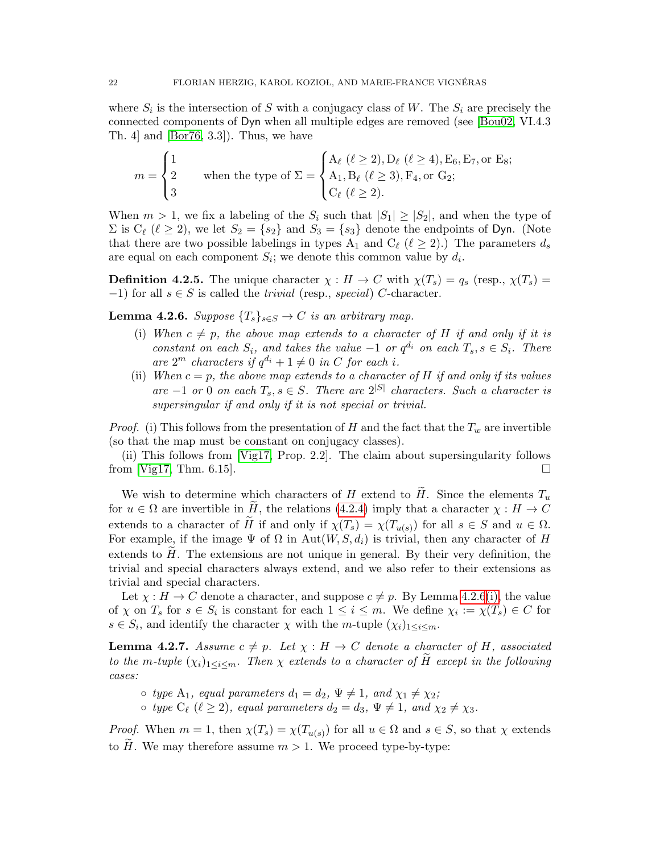where  $S_i$  is the intersection of S with a conjugacy class of W. The  $S_i$  are precisely the connected components of Dyn when all multiple edges are removed (see [\[Bou02,](#page-55-12) VI.4.3 Th. 4] and [\[Bor76,](#page-55-4) 3.3]). Thus, we have

$$
m = \begin{cases} 1 & \text{when the type of } \Sigma = \begin{cases} A_{\ell} \ (\ell \geq 2), D_{\ell} \ (\ell \geq 4), E_6, E_7, \text{or } E_8; \\ A_1, B_{\ell} \ (\ell \geq 3), F_4, \text{or } G_2; \\ C_{\ell} \ (\ell \geq 2). \end{cases} \end{cases}
$$

When  $m > 1$ , we fix a labeling of the  $S_i$  such that  $|S_1| \geq |S_2|$ , and when the type of  $\Sigma$  is  $C_{\ell}$  ( $\ell \geq 2$ ), we let  $S_2 = \{s_2\}$  and  $S_3 = \{s_3\}$  denote the endpoints of Dyn. (Note that there are two possible labelings in types A<sub>1</sub> and C<sub> $\ell$ </sub> ( $\ell \geq 2$ ).) The parameters  $d_s$ are equal on each component  $S_i$ ; we denote this common value by  $d_i$ .

**Definition 4.2.5.** The unique character  $\chi : H \to C$  with  $\chi(T_s) = q_s$  (resp.,  $\chi(T_s) =$ −1) for all  $s \in S$  is called the *trivial* (resp., *special*) C-character.

<span id="page-21-1"></span><span id="page-21-0"></span>**Lemma 4.2.6.** Suppose  ${T_s}_{s \in S} \rightarrow C$  is an arbitrary map.

- (i) When  $c \neq p$ , the above map extends to a character of H if and only if it is constant on each  $S_i$ , and takes the value  $-1$  or  $q^{d_i}$  on each  $T_s$ ,  $s \in S_i$ . There are  $2^m$  characters if  $q^{d_i} + 1 \neq 0$  in C for each i.
- (ii) When  $c = p$ , the above map extends to a character of H if and only if its values are  $-1$  or 0 on each  $T_s$ ,  $s \in S$ . There are  $2^{|S|}$  characters. Such a character is supersingular if and only if it is not special or trivial.

*Proof.* (i) This follows from the presentation of H and the fact that the  $T_w$  are invertible (so that the map must be constant on conjugacy classes).

(ii) This follows from [\[Vig17,](#page-57-2) Prop. 2.2]. The claim about supersingularity follows from [\[Vig17,](#page-57-2) Thm. 6.15].

We wish to determine which characters of H extend to H. Since the elements  $T_u$ for  $u \in \Omega$  are invertible in H, the relations [\(4.2.4\)](#page-20-4) imply that a character  $\chi : H \to C$ extends to a character of H if and only if  $\chi(T_s) = \chi(T_{u(s)})$  for all  $s \in S$  and  $u \in \Omega$ . For example, if the image  $\Psi$  of  $\Omega$  in Aut $(W, S, d_i)$  is trivial, then any character of H extends to  $H$ . The extensions are not unique in general. By their very definition, the trivial and special characters always extend, and we also refer to their extensions as trivial and special characters.

Let  $\chi : H \to C$  denote a character, and suppose  $c \neq p$ . By Lemma [4.2.6](#page-21-0)[\(i\),](#page-21-1) the value of  $\chi$  on  $T_s$  for  $s \in S_i$  is constant for each  $1 \leq i \leq m$ . We define  $\chi_i := \chi(T_s) \in C$  for  $s \in S_i$ , and identify the character  $\chi$  with the m-tuple  $(\chi_i)_{1 \leq i \leq m}$ .

<span id="page-21-2"></span>**Lemma 4.2.7.** Assume  $c \neq p$ . Let  $\chi : H \to C$  denote a character of H, associated to the m-tuple  $(\chi_i)_{1\leq i\leq m}$ . Then  $\chi$  extends to a character of H except in the following cases:

- $\circ$  type A<sub>1</sub>, equal parameters  $d_1 = d_2$ ,  $\Psi \neq 1$ , and  $\chi_1 \neq \chi_2$ ;
- $\circ$  type  $C_{\ell}$   $(\ell \geq 2)$ , equal parameters  $d_2 = d_3$ ,  $\Psi \neq 1$ , and  $\chi_2 \neq \chi_3$ .

*Proof.* When  $m = 1$ , then  $\chi(T_s) = \chi(T_{u(s)})$  for all  $u \in \Omega$  and  $s \in S$ , so that  $\chi$  extends to  $H$ . We may therefore assume  $m > 1$ . We proceed type-by-type: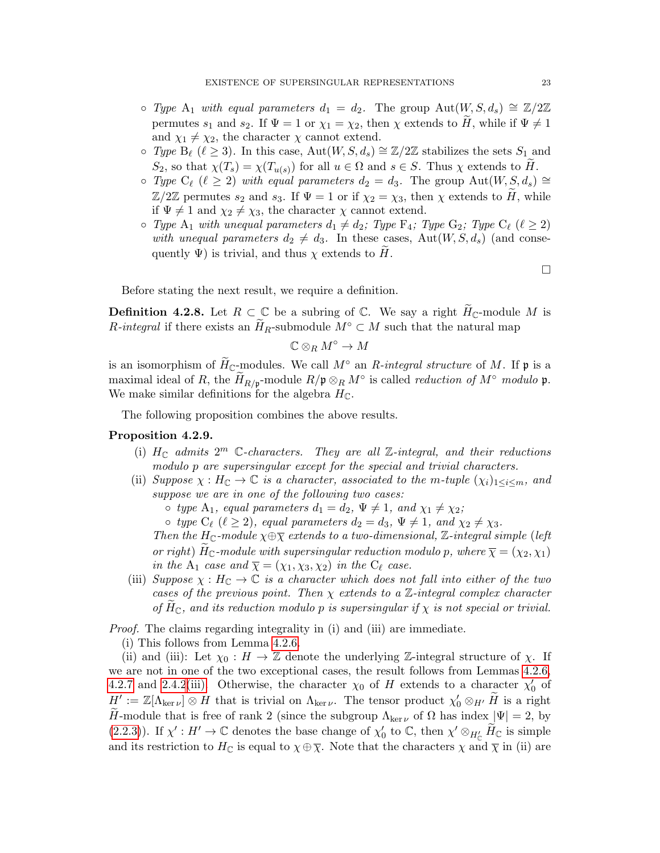- ⊙ Type A<sub>1</sub> with equal parameters  $d_1 = d_2$ . The group Aut $(W, S, d_s) \cong \mathbb{Z}/2\mathbb{Z}$ permutes  $s_1$  and  $s_2$ . If  $\Psi = 1$  or  $\chi_1 = \chi_2$ , then  $\chi$  extends to H, while if  $\Psi \neq 1$ and  $\chi_1 \neq \chi_2$ , the character  $\chi$  cannot extend.
- ⊙ Type B<sub>l</sub>  $(\ell \geq 3)$ . In this case, Aut $(W, S, d_s) \cong \mathbb{Z}/2\mathbb{Z}$  stabilizes the sets  $S_1$  and  $S_2$ , so that  $\chi(T_s) = \chi(T_{u(s)})$  for all  $u \in \Omega$  and  $s \in S$ . Thus  $\chi$  extends to H.
- Type C<sub>l</sub> ( $\ell \geq 2$ ) with equal parameters  $d_2 = d_3$ . The group Aut $(W, S, d_s) \cong$  $\mathbb{Z}/2\mathbb{Z}$  permutes  $s_2$  and  $s_3$ . If  $\Psi = 1$  or if  $\chi_2 = \chi_3$ , then  $\chi$  extends to H, while if  $\Psi \neq 1$  and  $\chi_2 \neq \chi_3$ , the character  $\chi$  cannot extend.
- $\circ$  Type A<sub>1</sub> with unequal parameters  $d_1 \neq d_2$ ; Type  $F_4$ ; Type  $G_2$ ; Type  $C_{\ell}$  ( $\ell \geq 2$ ) with unequal parameters  $d_2 \neq d_3$ . In these cases, Aut $(W, S, d_s)$  (and consequently  $\Psi$ ) is trivial, and thus  $\chi$  extends to H.

 $\Box$ 

Before stating the next result, we require a definition.

**Definition 4.2.8.** Let  $R \subset \mathbb{C}$  be a subring of  $\mathbb{C}$ . We say a right  $H_{\mathbb{C}}$ -module M is R-integral if there exists an  $H_R$ -submodule  $M^\circ \subset M$  such that the natural map

$$
\mathbb{C} \otimes_R M^\circ \to M
$$

is an isomorphism of  $H_{\mathbb{C}}$ -modules. We call  $M^{\circ}$  an R-integral structure of M. If p is a maximal ideal of R, the  $\widetilde{H}_{R/\mathfrak{p}}$ -module  $R/\mathfrak{p} \otimes_R M^{\circ}$  is called *reduction of*  $M^{\circ}$  *modulo*  $\mathfrak{p}$ . We make similar definitions for the algebra  $H_{\mathbb{C}}$ .

The following proposition combines the above results.

### <span id="page-22-0"></span>Proposition 4.2.9.

- (i)  $H_{\mathbb{C}}$  admits  $2^m$  C-characters. They are all Z-integral, and their reductions modulo p are supersingular except for the special and trivial characters.
- (ii) Suppose  $\chi : H_{\mathbb{C}} \to \mathbb{C}$  is a character, associated to the m-tuple  $(\chi_i)_{1 \leq i \leq m}$ , and suppose we are in one of the following two cases:

 $\circ$  type A<sub>1</sub>, equal parameters  $d_1 = d_2$ ,  $\Psi \neq 1$ , and  $\chi_1 \neq \chi_2$ ;

 $\circ$  type  $C_{\ell}$  ( $\ell \geq 2$ ), equal parameters  $d_2 = d_3$ ,  $\Psi \neq 1$ , and  $\chi_2 \neq \chi_3$ .

Then the H<sub>C</sub>-module  $\chi \oplus \overline{\chi}$  extends to a two-dimensional, Z-integral simple (left or right)  $H_C$ -module with supersingular reduction modulo p, where  $\overline{\chi} = (\chi_2, \chi_1)$ in the A<sub>1</sub> case and  $\overline{\chi} = (\chi_1, \chi_3, \chi_2)$  in the  $C_{\ell}$  case.

(iii) Suppose  $\chi : H_{\mathbb{C}} \to \mathbb{C}$  is a character which does not fall into either of the two cases of the previous point. Then  $\chi$  extends to a  $\mathbb{Z}\text{-integral complex character}$ of  $H_{\mathbb{C}}$ , and its reduction modulo p is supersingular if  $\chi$  is not special or trivial.

Proof. The claims regarding integrality in (i) and (iii) are immediate.

(i) This follows from Lemma [4.2.6.](#page-21-0)

(ii) and (iii): Let  $\chi_0 : H \to \mathbb{Z}$  denote the underlying  $\mathbb{Z}$ -integral structure of  $\chi$ . If we are not in one of the two exceptional cases, the result follows from Lemmas [4.2.6,](#page-21-0) [4.2.7](#page-21-2) and [2.4.2](#page-8-4)[\(iii\).](#page-8-5) Otherwise, the character  $\chi_0$  of H extends to a character  $\chi'_0$  of  $H' := \mathbb{Z}[\Lambda_{\ker \nu}] \otimes H$  that is trivial on  $\Lambda_{\ker \nu}$ . The tensor product  $\chi'_0 \otimes_{H'} \widetilde{H}$  is a right H-module that is free of rank 2 (since the subgroup  $\Lambda_{\ker \nu}$  of  $\Omega$  has index  $|\Psi| = 2$ , by [\(2.2.3\)](#page-7-1)). If  $\chi' : H' \to \mathbb{C}$  denotes the base change of  $\chi'_0$  to  $\mathbb{C}$ , then  $\chi' \otimes_{H'_{\mathbb{C}}} \widetilde{H}_{\mathbb{C}}$  is simple and its restriction to  $H_{\mathbb{C}}$  is equal to  $\chi \oplus \overline{\chi}$ . Note that the characters  $\chi$  and  $\overline{\chi}$  in (ii) are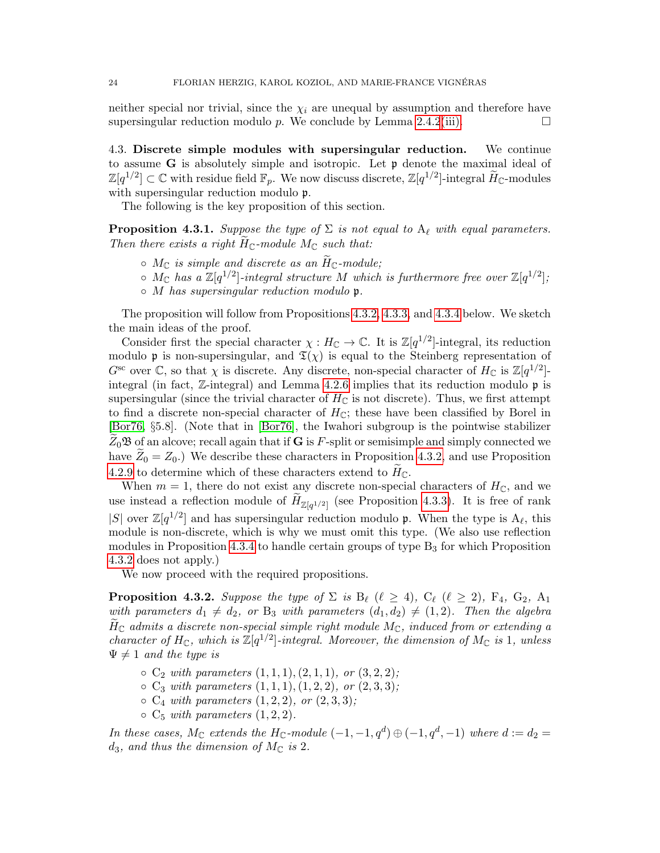neither special nor trivial, since the  $\chi_i$  are unequal by assumption and therefore have supersingular reduction modulo p. We conclude by Lemma [2.4.2](#page-8-4)[\(iii\).](#page-8-5)

<span id="page-23-0"></span>4.3. Discrete simple modules with supersingular reduction. We continue to assume G is absolutely simple and isotropic. Let  $\mathfrak p$  denote the maximal ideal of  $\mathbb{Z}[q^{1/2}] \subset \mathbb{C}$  with residue field  $\mathbb{F}_p$ . We now discuss discrete,  $\mathbb{Z}[q^{1/2}]$ -integral  $\widetilde{H}_{\mathbb{C}}$ -modules with supersingular reduction modulo  $\mathfrak{p}$ .

The following is the key proposition of this section.

<span id="page-23-2"></span>**Proposition 4.3.1.** Suppose the type of  $\Sigma$  is not equal to  $A_\ell$  with equal parameters. Then there exists a right  $H_{\mathbb{C}}$ -module  $M_{\mathbb{C}}$  such that:

- $\circ M_{\mathbb{C}}$  is simple and discrete as an  $\widetilde{H}_{\mathbb{C}}$ -module;
- $\circ$  M<sub>C</sub> has a  $\mathbb{Z}[q^{1/2}]$ -integral structure M which is furthermore free over  $\mathbb{Z}[q^{1/2}]$ ;
- $\circ$  M has supersingular reduction modulo p.

The proposition will follow from Propositions [4.3.2,](#page-23-1) [4.3.3,](#page-25-0) and [4.3.4](#page-26-0) below. We sketch the main ideas of the proof.

Consider first the special character  $\chi : H_{\mathbb{C}} \to \mathbb{C}$ . It is  $\mathbb{Z}[q^{1/2}]$ -integral, its reduction modulo p is non-supersingular, and  $\mathfrak{T}(\chi)$  is equal to the Steinberg representation of  $G^{\rm sc}$  over  $\mathbb{C}$ , so that  $\chi$  is discrete. Any discrete, non-special character of  $H_{\mathbb{C}}$  is  $\mathbb{Z}[q^{1/2}]$ integral (in fact, Z-integral) and Lemma [4.2.6](#page-21-0) implies that its reduction modulo p is supersingular (since the trivial character of  $H_{\mathbb{C}}$  is not discrete). Thus, we first attempt to find a discrete non-special character of  $H_{\mathbb{C}}$ ; these have been classified by Borel in [\[Bor76,](#page-55-4) §5.8]. (Note that in [\[Bor76\]](#page-55-4), the Iwahori subgroup is the pointwise stabilizer  $Z_0$ **B** of an alcove; recall again that if **G** is F-split or semisimple and simply connected we have  $Z_0 = Z_0$ .) We describe these characters in Proposition [4.3.2,](#page-23-1) and use Proposition [4.2.9](#page-22-0) to determine which of these characters extend to  $H_{\mathbb{C}}$ .

When  $m = 1$ , there do not exist any discrete non-special characters of  $H_{\mathbb{C}}$ , and we use instead a reflection module of  $H_{\mathbb{Z}[q^{1/2}]}$  (see Proposition [4.3.3\)](#page-25-0). It is free of rank |S| over  $\mathbb{Z}[q^{1/2}]$  and has supersingular reduction modulo **p**. When the type is  $A_{\ell}$ , this module is non-discrete, which is why we must omit this type. (We also use reflection modules in Proposition [4.3.4](#page-26-0) to handle certain groups of type  $B_3$  for which Proposition [4.3.2](#page-23-1) does not apply.)

We now proceed with the required propositions.

<span id="page-23-1"></span>**Proposition 4.3.2.** Suppose the type of  $\Sigma$  is  $B_\ell$  ( $\ell \geq 4$ ),  $C_\ell$  ( $\ell \geq 2$ ),  $F_4$ ,  $G_2$ ,  $A_1$ with parameters  $d_1 \neq d_2$ , or  $B_3$  with parameters  $(d_1, d_2) \neq (1, 2)$ . Then the algebra  $H_{\mathbb{C}}$  admits a discrete non-special simple right module  $M_{\mathbb{C}}$ , induced from or extending a character of  $H_{\mathbb{C}}$ , which is  $\mathbb{Z}[q^{1/2}]$ -integral. Moreover, the dimension of  $M_{\mathbb{C}}$  is 1, unless  $\Psi \neq 1$  and the type is

- $\circ C_2$  with parameters  $(1, 1, 1), (2, 1, 1),$  or  $(3, 2, 2)$ ;
- $\circ C_3$  with parameters  $(1, 1, 1), (1, 2, 2), \text{ or } (2, 3, 3);$
- $\circ C_4$  with parameters  $(1, 2, 2)$ , or  $(2, 3, 3)$ ;
- $\circ C_5$  with parameters  $(1, 2, 2)$ .

In these cases,  $M_{\mathbb{C}}$  extends the  $H_{\mathbb{C}}$ -module  $(-1, -1, q^d) \oplus (-1, q^d, -1)$  where  $d := d_2 =$  $d_3$ , and thus the dimension of  $M_{\mathbb{C}}$  is 2.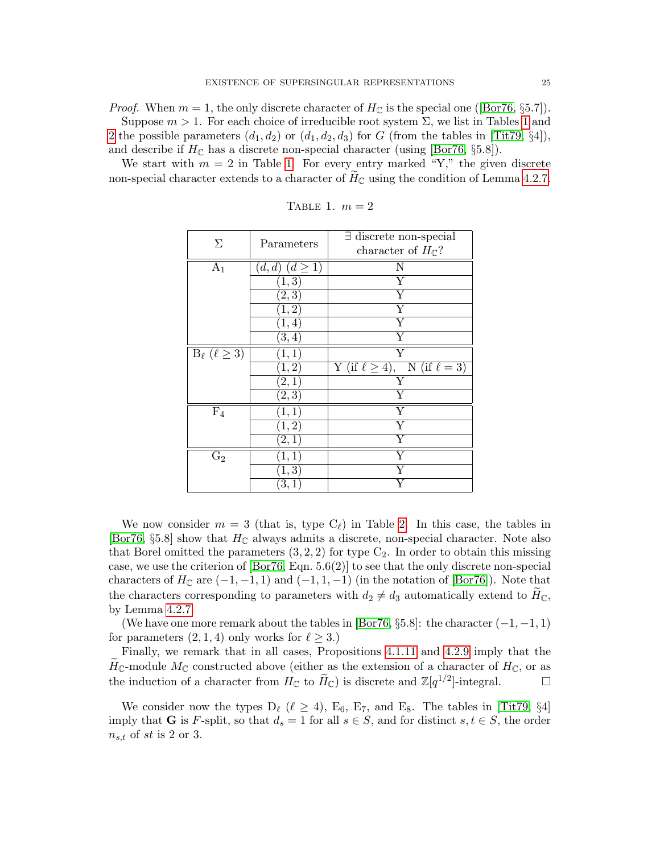*Proof.*When  $m = 1$ , the only discrete character of  $H_{\mathbb{C}}$  is the special one ([\[Bor76,](#page-55-4) §5.7]). Suppose  $m > 1$  $m > 1$ . For each choice of irreducible root system  $\Sigma$ , we list in Tables 1 and [2](#page-25-1) the possible parameters  $(d_1, d_2)$  or  $(d_1, d_2, d_3)$  for G (from the tables in [\[Tit79,](#page-56-16) §4]),

and describe if  $H_{\mathbb{C}}$  has a discrete non-special character (using [\[Bor76,](#page-55-4) §5.8]).

We start with  $m = 2$  in Table [1.](#page-24-0) For every entry marked "Y," the given discrete non-special character extends to a character of  $H_{\mathbb{C}}$  using the condition of Lemma [4.2.7.](#page-21-2)

| Σ                            | Parameters                     | $\exists$ discrete non-special            |
|------------------------------|--------------------------------|-------------------------------------------|
|                              |                                | character of $H_{\mathbb{C}}$ ?           |
| $A_1$                        | $(d,d)$ $(d \geq 1)$           | $\mathbf N$                               |
|                              | $\left( 1,3\right)$            | $\overline{\mathrm{Y}}$                   |
|                              | $\overline{(2,3)}$             | $\overline{\mathrm{Y}}$                   |
|                              | $\overline{(1,2)}$             | $\overline{\mathrm{Y}}$                   |
|                              | (1, 4)                         | $\overline{\mathrm{Y}}$                   |
|                              | (3,4)                          | $\overline{\mathrm{Y}}$                   |
| $B_{\ell}$ ( $\ell \geq 3$ ) | (1,1)                          | $\overline{\mathrm{Y}}$                   |
|                              | (1, 2)                         | Y (if $\ell \geq 4$ ), N (if $\ell = 3$ ) |
|                              | [2,1]                          | Y                                         |
|                              | (2,3)                          | Υ                                         |
| $\overline{F_4}$             | (1,1)                          | Y                                         |
|                              | (1,2)                          | $\overline{\mathrm{Y}}$                   |
|                              | (2,1)                          | $\overline{\mathrm{Y}}$                   |
| $G_2$                        | [1,1]                          | $\overline{\mathrm{Y}}$                   |
|                              | $\left( 1,\overline{3}\right)$ | $\overline{\mathrm{Y}}$                   |
|                              | $\left[3,1\right]$             | $\overline{\mathrm{Y}}$                   |

<span id="page-24-0"></span>TABLE 1.  $m = 2$ 

We now consider  $m = 3$  (that is, type  $C_{\ell}$ ) in Table [2.](#page-25-1) In this case, the tables in [\[Bor76,](#page-55-4) §5.8] show that  $H_{\mathbb{C}}$  always admits a discrete, non-special character. Note also that Borel omitted the parameters  $(3, 2, 2)$  for type  $C_2$ . In order to obtain this missing case, we use the criterion of [\[Bor76,](#page-55-4) Eqn. 5.6(2)] to see that the only discrete non-special characters of  $H_{\mathbb{C}}$  are  $(-1, -1, 1)$  and  $(-1, 1, -1)$  (in the notation of [\[Bor76\]](#page-55-4)). Note that the characters corresponding to parameters with  $d_2 \neq d_3$  automatically extend to  $H_{\mathbb{C}}$ , by Lemma [4.2.7.](#page-21-2)

(We have one more remark about the tables in [\[Bor76,](#page-55-4) §5.8]: the character  $(-1, -1, 1)$ for parameters  $(2, 1, 4)$  only works for  $\ell \geq 3$ .)

Finally, we remark that in all cases, Propositions [4.1.11](#page-20-5) and [4.2.9](#page-22-0) imply that the  $H_{\mathbb{C}}$ -module  $M_{\mathbb{C}}$  constructed above (either as the extension of a character of  $H_{\mathbb{C}}$ , or as the induction of a character from  $H_{\mathbb{C}}$  to  $\widetilde{H}_{\mathbb{C}}$ ) is discrete and  $\mathbb{Z}[q^{1/2}]$ -integral. the induction of a character from  $H_{\mathbb{C}}$  to  $\widetilde{H}_{\mathbb{C}}$ ) is discrete and  $\mathbb{Z}[q^{1/2}]$ -integral.

We consider now the types  $D_\ell$  ( $\ell \geq 4$ ), E<sub>6</sub>, E<sub>7</sub>, and E<sub>8</sub>. The tables in [\[Tit79,](#page-56-16) §4] imply that **G** is F-split, so that  $d_s = 1$  for all  $s \in S$ , and for distinct  $s, t \in S$ , the order  $n_{s,t}$  of st is 2 or 3.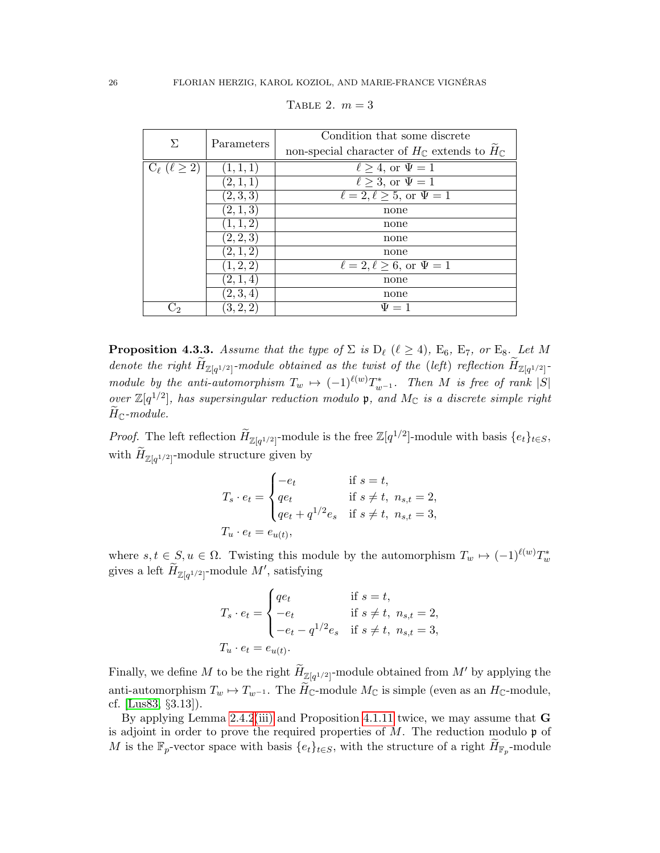| $\Sigma$                   | Parameters | Condition that some discrete                                          |
|----------------------------|------------|-----------------------------------------------------------------------|
|                            |            | non-special character of $H_{\mathbb{C}}$ extends to $H_{\mathbb{C}}$ |
| $C_{\ell}$ $(\ell \geq 2)$ | (1, 1, 1)  | $\ell \geq 4$ , or $\Psi = 1$                                         |
|                            | (2,1,1)    | $\ell \geq 3$ , or $\Psi = 1$                                         |
|                            | (2,3,3)    | $\ell = 2, \ell \geq 5$ , or $\Psi = 1$                               |
|                            | (2,1,3)    | none                                                                  |
|                            | (1, 1, 2)  | none                                                                  |
|                            | (2, 2, 3)  | none                                                                  |
|                            | (2,1,2)    | none                                                                  |
|                            | (1, 2, 2)  | $\ell = 2, \ell \geq 6$ , or $\Psi = 1$                               |
|                            | (2,1,4)    | none                                                                  |
|                            | (2,3,4)    | none                                                                  |
|                            | [3, 2, 2]  | $\Psi = 1$                                                            |

<span id="page-25-1"></span>TABLE 2.  $m = 3$ 

<span id="page-25-0"></span>**Proposition 4.3.3.** Assume that the type of  $\Sigma$  is  $D_\ell$  ( $\ell \geq 4$ ), E<sub>6</sub>, E<sub>7</sub>, or E<sub>8</sub>. Let M denote the right  $H_{\mathbb{Z}[q^{1/2}]}$ -module obtained as the twist of the (left) reflection  $H_{\mathbb{Z}[q^{1/2}]}$ module by the anti-automorphism  $T_w \mapsto (-1)^{\ell(w)} T_{w^{-1}}^*$ . Then M is free of rank |S| over  $\mathbb{Z}[q^{1/2}]$ , has supersingular reduction modulo p, and  $M_{\mathbb{C}}$  is a discrete simple right  $H_{\mathbb{C}}$ -module.

*Proof.* The left reflection  $\widetilde{H}_{\mathbb{Z}[q^{1/2}]}$ -module is the free  $\mathbb{Z}[q^{1/2}]$ -module with basis  $\{e_t\}_{t\in S}$ , with  $H_{\mathbb{Z}[q^{1/2}]}$ -module structure given by

$$
T_s \cdot e_t = \begin{cases} -e_t & \text{if } s = t, \\ q e_t & \text{if } s \neq t, \ n_{s,t} = 2, \\ q e_t + q^{1/2} e_s & \text{if } s \neq t, \ n_{s,t} = 3, \end{cases}
$$
\n
$$
T_u \cdot e_t = e_{u(t)},
$$

where  $s, t \in S, u \in \Omega$ . Twisting this module by the automorphism  $T_w \mapsto (-1)^{\ell(w)} T_w^*$ gives a left  $\widetilde{H}_{\mathbb{Z}[q^{1/2}]}$ -module  $M',$  satisfying

$$
T_s \cdot e_t = \begin{cases} q e_t & \text{if } s = t, \\ -e_t & \text{if } s \neq t, \ n_{s,t} = 2, \\ -e_t - q^{1/2} e_s & \text{if } s \neq t, \ n_{s,t} = 3, \end{cases}
$$

$$
T_u \cdot e_t = e_{u(t)}.
$$

Finally, we define M to be the right  $\widetilde{H}_{\mathbb{Z}[q^{1/2}]}$ -module obtained from M' by applying the anti-automorphism  $T_w \mapsto T_{w^{-1}}$ . The  $H_{\mathbb{C}}$ -module  $M_{\mathbb{C}}$  is simple (even as an  $H_{\mathbb{C}}$ -module, cf. [\[Lus83,](#page-56-7) §3.13]).

By applying Lemma [2.4.2](#page-8-4)[\(iii\)](#page-8-5) and Proposition [4.1.11](#page-20-5) twice, we may assume that G is adjoint in order to prove the required properties of  $M$ . The reduction modulo  $\mathfrak p$  of M is the  $\mathbb{F}_p$ -vector space with basis  $\{e_t\}_{t\in S}$ , with the structure of a right  $\widetilde{H}_{\mathbb{F}_p}$ -module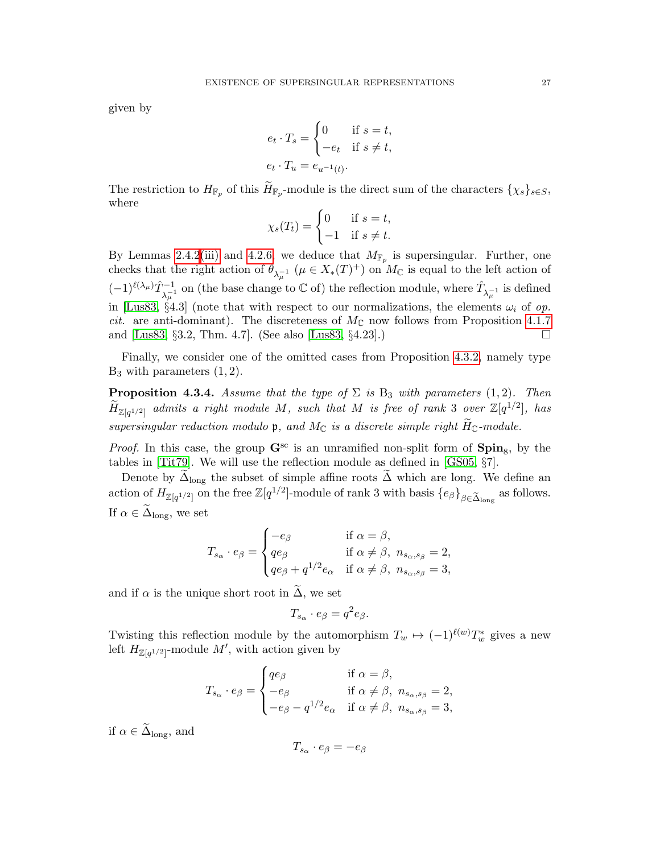given by

$$
e_t \cdot T_s = \begin{cases} 0 & \text{if } s = t, \\ -e_t & \text{if } s \neq t, \end{cases}
$$

$$
e_t \cdot T_u = e_{u^{-1}(t)}.
$$

The restriction to  $H_{\mathbb{F}_p}$  of this  $H_{\mathbb{F}_p}$ -module is the direct sum of the characters  $\{\chi_s\}_{s\in S}$ , where

$$
\chi_s(T_t) = \begin{cases} 0 & \text{if } s = t, \\ -1 & \text{if } s \neq t. \end{cases}
$$

By Lemmas [2.4.2](#page-8-4)[\(iii\)](#page-8-5) and [4.2.6,](#page-21-0) we deduce that  $M_{\mathbb{F}_p}$  is supersingular. Further, one checks that the right action of  $\theta_{\lambda_{\mu}^{-1}}$  ( $\mu \in X_*(T)^+$ ) on  $M_{\mathbb{C}}$  is equal to the left action of  $(-1)^{\ell(\lambda_\mu)} \hat{T}_{\lambda_\mu^{-1}}^{-1}$  on (the base change to  $\mathbb C$  of) the reflection module, where  $\hat{T}_{\lambda_\mu^{-1}}$  is defined in [\[Lus83,](#page-56-7) §4.3] (note that with respect to our normalizations, the elements  $\omega_i$  of op. *cit.* are anti-dominant). The discreteness of  $M_{\mathbb{C}}$  now follows from Proposition [4.1.7](#page-19-2) and [\[Lus83,](#page-56-7)  $\S 3.2$ , Thm. 4.7]. (See also [Lus83,  $\S 4.23$ ].)

Finally, we consider one of the omitted cases from Proposition [4.3.2,](#page-23-1) namely type  $B_3$  with parameters  $(1, 2)$ .

<span id="page-26-0"></span>**Proposition 4.3.4.** Assume that the type of  $\Sigma$  is  $B_3$  with parameters (1,2). Then  $\widetilde{H}_{\mathbb{Z}[q^{1/2}]}$  admits a right module M, such that M is free of rank 3 over  $\mathbb{Z}[q^{1/2}]$ , has supersingular reduction modulo  $\mathfrak{p}$ , and  $M_{\mathbb{C}}$  is a discrete simple right  $\widetilde{H}_{\mathbb{C}}$ -module.

*Proof.* In this case, the group  $\mathbf{G}^{\text{sc}}$  is an unramified non-split form of  $\text{Spin}_8$ , by the tables in [\[Tit79\]](#page-56-16). We will use the reflection module as defined in [\[GS05,](#page-55-5) §7].

Denote by  $\tilde{\Delta}_{\text{long}}$  the subset of simple affine roots  $\tilde{\Delta}$  which are long. We define an action of  $H_{\mathbb{Z}[q^{1/2}]}$  on the free  $\mathbb{Z}[q^{1/2}]$ -module of rank 3 with basis  $\{e_{\beta}\}_{\beta \in \widetilde{\Delta}_{\text{long}}}$  as follows. If  $\alpha \in \tilde{\Delta}_{\text{long}}$ , we set

$$
T_{s_{\alpha}} \cdot e_{\beta} = \begin{cases} -e_{\beta} & \text{if } \alpha = \beta, \\ qe_{\beta} & \text{if } \alpha \neq \beta, \ n_{s_{\alpha}, s_{\beta}} = 2, \\ qe_{\beta} + q^{1/2}e_{\alpha} & \text{if } \alpha \neq \beta, \ n_{s_{\alpha}, s_{\beta}} = 3, \end{cases}
$$

and if  $\alpha$  is the unique short root in  $\overline{\Delta}$ , we set

$$
T_{s_{\alpha}} \cdot e_{\beta} = q^2 e_{\beta}.
$$

Twisting this reflection module by the automorphism  $T_w \mapsto (-1)^{\ell(w)} T_w^*$  gives a new left  $H_{\mathbb{Z}[q^{1/2}]}$ -module  $M'$ , with action given by

$$
T_{s_{\alpha}} \cdot e_{\beta} = \begin{cases} q e_{\beta} & \text{if } \alpha = \beta, \\ -e_{\beta} & \text{if } \alpha \neq \beta, \ n_{s_{\alpha}, s_{\beta}} = 2, \\ -e_{\beta} - q^{1/2} e_{\alpha} & \text{if } \alpha \neq \beta, \ n_{s_{\alpha}, s_{\beta}} = 3, \end{cases}
$$

if  $\alpha \in \widetilde{\Delta}_{\mathrm{long}},$  and

$$
T_{s_{\alpha}}\cdot e_{\beta}=-e_{\beta}
$$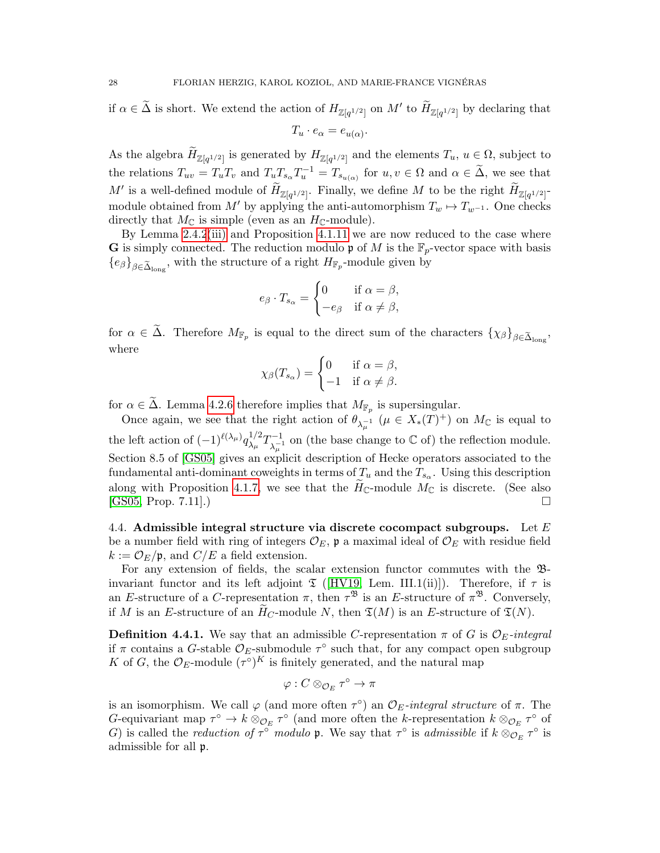if  $\alpha \in \tilde{\Delta}$  is short. We extend the action of  $H_{\mathbb{Z}[q^{1/2}]}$  on  $M'$  to  $\widetilde{H}_{\mathbb{Z}[q^{1/2}]}$  by declaring that  $T_u \cdot e_\alpha = e_{u(\alpha)}$ .

As the algebra  $H_{\mathbb{Z}[q^{1/2}]}$  is generated by  $H_{\mathbb{Z}[q^{1/2}]}$  and the elements  $T_u$ ,  $u \in \Omega$ , subject to the relations  $T_{uv} = T_u T_v$  and  $T_u T_{s_\alpha} T_u^{-1} = T_{s_{u(\alpha)}}$  for  $u, v \in \Omega$  and  $\alpha \in \tilde{\Delta}$ , we see that M' is a well-defined module of  $\widetilde{H}_{\mathbb{Z}[q^{1/2}]}$ . Finally, we define M to be the right  $\widetilde{H}_{\mathbb{Z}[q^{1/2}]}$ . module obtained from M' by applying the anti-automorphism  $T_w \mapsto T_{w^{-1}}$ . One checks directly that  $M_{\mathbb{C}}$  is simple (even as an  $H_{\mathbb{C}}$ -module).

By Lemma [2.4.2](#page-8-4)[\(iii\)](#page-8-5) and Proposition [4.1.11](#page-20-5) we are now reduced to the case where **G** is simply connected. The reduction modulo  $\mathfrak{p}$  of M is the  $\mathbb{F}_p$ -vector space with basis  ${e_{\beta}}_{\beta \in \tilde{\Delta}_{\text{long}}}$ , with the structure of a right  $H_{\mathbb{F}_p}$ -module given by

$$
e_{\beta} \cdot T_{s_{\alpha}} = \begin{cases} 0 & \text{if } \alpha = \beta, \\ -e_{\beta} & \text{if } \alpha \neq \beta, \end{cases}
$$

for  $\alpha \in \Delta$ . Therefore  $M_{\mathbb{F}_p}$  is equal to the direct sum of the characters  $\{\chi_\beta\}_{\beta \in \widetilde{\Delta}_{\text{long}}},$ where

$$
\chi_{\beta}(T_{s_{\alpha}}) = \begin{cases} 0 & \text{if } \alpha = \beta, \\ -1 & \text{if } \alpha \neq \beta. \end{cases}
$$

for  $\alpha \in \Delta$ . Lemma [4.2.6](#page-21-0) therefore implies that  $M_{\mathbb{F}_p}$  is supersingular.

Once again, we see that the right action of  $\theta_{\lambda_{\mu}^{-1}}$   $(\mu \in X_*(T)^+)$  on  $M_{\mathbb{C}}$  is equal to the left action of  $(-1)^{\ell(\lambda_{\mu})}q_{\lambda_{\mu}}^{1/2}$  $\frac{1/2}{\lambda_\mu}T_{\lambda_\mu}^{-1}$  $\lambda_{\mu}^{-1}$  on (the base change to  $\mathbb C$  of) the reflection module. Section 8.5 of [\[GS05\]](#page-55-5) gives an explicit description of Hecke operators associated to the fundamental anti-dominant coweights in terms of  $T_u$  and the  $T_{s_\alpha}$ . Using this description along with Proposition [4.1.7,](#page-19-2) we see that the  $H_{\mathbb{C}}$ -module  $M_{\mathbb{C}}$  is discrete. (See also [GS05, Prop. 7.11].) [\[GS05,](#page-55-5) Prop. 7.11].)

<span id="page-27-0"></span>4.4. Admissible integral structure via discrete cocompact subgroups. Let  $E$ be a number field with ring of integers  $\mathcal{O}_E$ ,  $\mathfrak{p}$  a maximal ideal of  $\mathcal{O}_E$  with residue field  $k := \mathcal{O}_E/\mathfrak{p}$ , and  $C/E$  a field extension.

For any extension of fields, the scalar extension functor commutes with the Binvariant functor and its left adjoint  $\mathfrak T$  ([\[HV19,](#page-56-0) Lem. III.1(ii)]). Therefore, if  $\tau$  is an E-structure of a C-representation  $\pi$ , then  $\tau^{\mathfrak{B}}$  is an E-structure of  $\pi^{\mathfrak{B}}$ . Conversely, if M is an E-structure of an  $H_C$ -module N, then  $\mathfrak{T}(M)$  is an E-structure of  $\mathfrak{T}(N)$ .

**Definition 4.4.1.** We say that an admissible C-representation  $\pi$  of G is  $\mathcal{O}_E$ -integral if  $\pi$  contains a G-stable  $\mathcal{O}_E$ -submodule  $\tau^{\circ}$  such that, for any compact open subgroup K of G, the  $\mathcal{O}_E$ -module  $(\tau^{\circ})^K$  is finitely generated, and the natural map

$$
\varphi:C\otimes_{{\mathcal O}_E}\tau^\circ\to\pi
$$

is an isomorphism. We call  $\varphi$  (and more often  $\tau^{\circ}$ ) an  $\mathcal{O}_E$ -integral structure of  $\pi$ . The G-equivariant map  $\tau^{\circ} \to k \otimes_{\mathcal{O}_E} \tau^{\circ}$  (and more often the k-representation  $k \otimes_{\mathcal{O}_E} \tau^{\circ}$  of G) is called the *reduction of*  $\tau^{\circ}$  modulo **p**. We say that  $\tau^{\circ}$  is *admissible* if  $k \otimes_{\mathcal{O}_E} \tau^{\circ}$  is admissible for all p.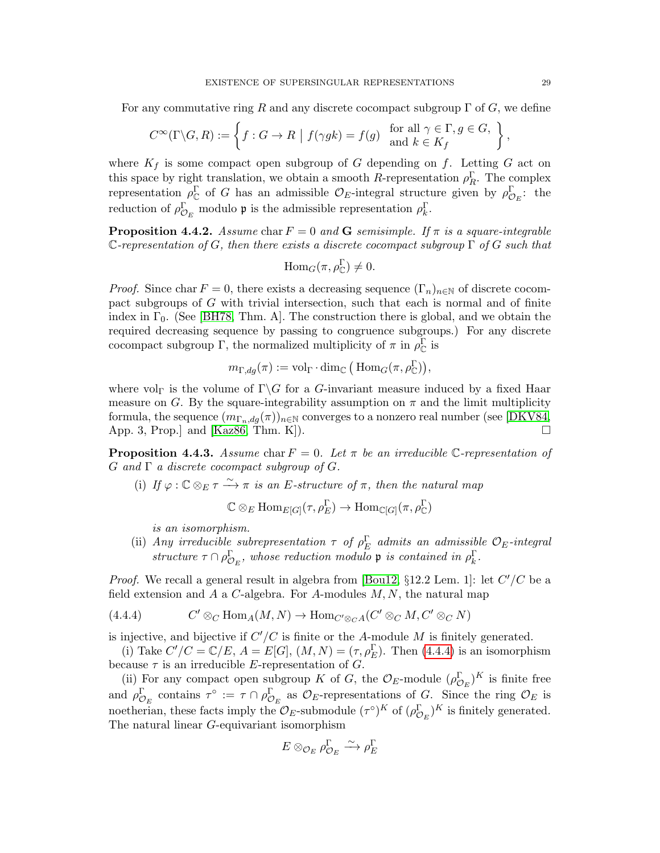For any commutative ring R and any discrete cocompact subgroup  $\Gamma$  of G, we define

$$
C^{\infty}(\Gamma \backslash G, R) := \left\{ f : G \to R \mid f(\gamma g k) = f(g) \text{ for all } \gamma \in \Gamma, g \in G, \atop \text{and } k \in K_f \right\},\
$$

where  $K_f$  is some compact open subgroup of G depending on f. Letting G act on this space by right translation, we obtain a smooth R-representation  $\rho_R^{\Gamma}$ . The complex representation  $\rho_{\mathbb{C}}^{\Gamma}$  of G has an admissible  $\mathcal{O}_E$ -integral structure given by  $\rho_{\mathcal{O}_E}^{\Gamma}$ : the reduction of  $\rho_{\mathcal{O}_E}^{\Gamma}$  modulo **p** is the admissible representation  $\rho_k^{\Gamma}$ .

<span id="page-28-1"></span>**Proposition 4.4.2.** Assume char  $F = 0$  and G semisimple. If  $\pi$  is a square-integrable C-representation of G, then there exists a discrete cocompact subgroup  $\Gamma$  of G such that

$$
\operatorname{Hom}_G(\pi, \rho_{\mathbb{C}}^{\Gamma}) \neq 0.
$$

*Proof.* Since char  $F = 0$ , there exists a decreasing sequence  $(\Gamma_n)_{n \in \mathbb{N}}$  of discrete cocompact subgroups of G with trivial intersection, such that each is normal and of finite index in  $\Gamma_0$ . (See [\[BH78,](#page-54-5) Thm. A]. The construction there is global, and we obtain the required decreasing sequence by passing to congruence subgroups.) For any discrete cocompact subgroup  $\Gamma$ , the normalized multiplicity of  $\pi$  in  $\rho_{\mathbb{C}}^{\Gamma}$  is

$$
m_{\Gamma, dg}(\pi) := \mathrm{vol}_{\Gamma} \cdot \dim_{\mathbb{C}} \big( \mathrm{Hom}_G(\pi, \rho_{\mathbb{C}}^{\Gamma}) \big),
$$

where vol<sub>Γ</sub> is the volume of  $\Gamma$ \G for a G-invariant measure induced by a fixed Haar measure on G. By the square-integrability assumption on  $\pi$  and the limit multiplicity formula, the sequence  $(m_{\Gamma_n,dq}(\pi))_{n\in\mathbb{N}}$  converges to a nonzero real number (see [\[DKV84,](#page-55-6) App. 3, Prop.] and [\[Kaz86,](#page-56-8) Thm. K]).

<span id="page-28-4"></span>**Proposition 4.4.3.** Assume char  $F = 0$ . Let  $\pi$  be an irreducible C-representation of  $G$  and  $\Gamma$  a discrete cocompact subgroup of  $G$ .

<span id="page-28-2"></span>(i) If  $\varphi : \mathbb{C} \otimes_E \tau \xrightarrow{\sim} \pi$  is an E-structure of  $\pi$ , then the natural map

$$
\mathbb{C} \otimes_{E} \mathrm{Hom}_{E[G]}(\tau, \rho_{E}^{\Gamma}) \to \mathrm{Hom}_{\mathbb{C}[G]}(\pi, \rho_{\mathbb{C}}^{\Gamma})
$$

is an isomorphism.

<span id="page-28-3"></span>(ii) Any irreducible subrepresentation  $\tau$  of  $\rho_E^{\Gamma}$  admits an admissible  $\mathcal{O}_E$ -integral structure  $\tau \cap \rho_{\mathcal{O}_E}^{\Gamma}$ , whose reduction modulo **p** is contained in  $\rho_k^{\Gamma}$ .

*Proof.* We recall a general result in algebra from [\[Bou12,](#page-55-7)  $\S 12.2$  Lem. 1]: let  $C'/C$  be a field extension and A a C-algebra. For A-modules  $M, N$ , the natural map

<span id="page-28-0"></span>(4.4.4) 
$$
C' \otimes_C \text{Hom}_A(M, N) \to \text{Hom}_{C' \otimes_C A}(C' \otimes_C M, C' \otimes_C N)
$$

is injective, and bijective if  $C'/C$  is finite or the A-module M is finitely generated.

(i) Take  $C'/C = \mathbb{C}/E$ ,  $A = E[G]$ ,  $(M, N) = (\tau, \rho_E^{\Gamma})$ . Then [\(4.4.4\)](#page-28-0) is an isomorphism because  $\tau$  is an irreducible E-representation of G.

(ii) For any compact open subgroup K of G, the  $\mathcal{O}_E$ -module  $(\rho_{\mathcal{O}_E}^{\Gamma})^K$  is finite free and  $\rho_{\mathcal{O}_E}^{\Gamma}$  contains  $\tau^{\circ} := \tau \cap \rho_{\mathcal{O}_E}^{\Gamma}$  as  $\mathcal{O}_E$ -representations of G. Since the ring  $\mathcal{O}_E$  is noetherian, these facts imply the  $\mathcal{O}_E$ -submodule  $(\tau^{\circ})^K$  of  $(\rho_{\mathcal{O}_E}^{\Gamma})^K$  is finitely generated. The natural linear G-equivariant isomorphism

$$
E\otimes_{\mathcal{O}_E}\rho_{\mathcal{O}_E}^{\Gamma}\xrightarrow{\sim}\rho_E^{\Gamma}
$$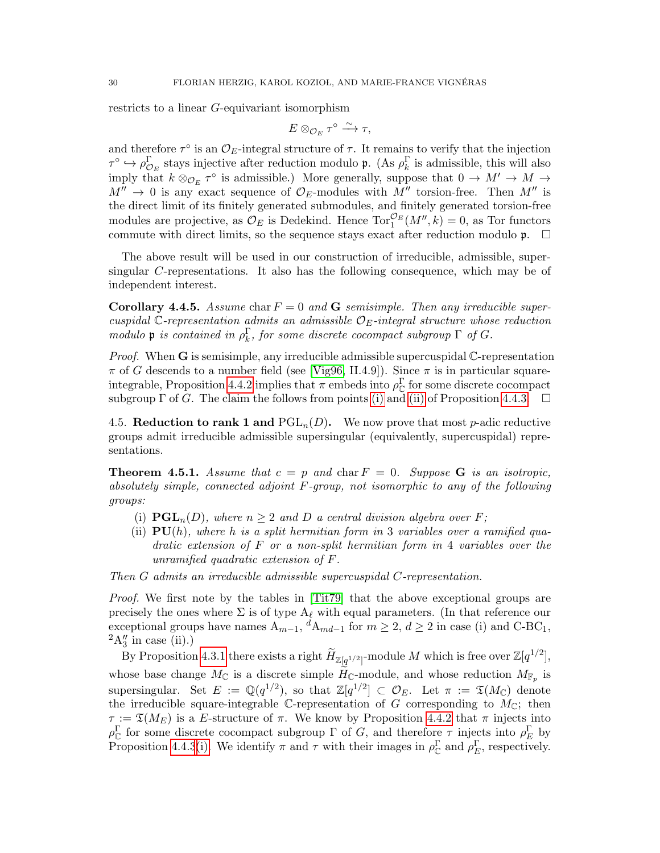restricts to a linear G-equivariant isomorphism

$$
E\otimes_{\mathcal{O}_E} \tau^\circ \xrightarrow{\sim} \tau,
$$

and therefore  $\tau^{\circ}$  is an  $\mathcal{O}_E$ -integral structure of  $\tau$ . It remains to verify that the injection  $\tau^{\circ} \hookrightarrow \rho_{\mathcal{O}_E}^{\Gamma}$  stays injective after reduction modulo **p**. (As  $\rho_k^{\Gamma}$  is admissible, this will also imply that  $k \otimes_{\mathcal{O}_E} \tau^{\circ}$  is admissible.) More generally, suppose that  $0 \to M' \to M \to$  $M'' \rightarrow 0$  is any exact sequence of  $\mathcal{O}_E$ -modules with  $M''$  torsion-free. Then  $M''$  is the direct limit of its finitely generated submodules, and finitely generated torsion-free modules are projective, as  $\mathcal{O}_E$  is Dedekind. Hence  $\text{Tor}_1^{\mathcal{O}_E}(M'', k) = 0$ , as Tor functors commute with direct limits, so the sequence stays exact after reduction modulo  $\mathfrak{p}$ .  $\Box$ 

The above result will be used in our construction of irreducible, admissible, supersingular C-representations. It also has the following consequence, which may be of independent interest.

**Corollary 4.4.5.** Assume char  $F = 0$  and **G** semisimple. Then any irreducible supercuspidal  $\mathbb{C}$ -representation admits an admissible  $\mathcal{O}_E$ -integral structure whose reduction modulo **p** is contained in  $\rho_k^{\Gamma}$ , for some discrete cocompact subgroup  $\Gamma$  of G.

*Proof.* When  $\bf{G}$  is semisimple, any irreducible admissible supercuspidal  $\bf{C}$ -representation  $\pi$  of G descends to a number field (see [\[Vig96,](#page-56-12) II.4.9]). Since  $\pi$  is in particular square-integrable, Proposition [4.4.2](#page-28-1) implies that  $\pi$  embeds into  $\rho_{\mathbb{C}}^{\Gamma}$  for some discrete cocompact subgroup  $\Gamma$  of G. The claim the follows from points [\(i\)](#page-28-2) and [\(ii\)](#page-28-3) of Proposition [4.4.3.](#page-28-4)  $\Box$ 

<span id="page-29-0"></span>4.5. Reduction to rank 1 and  $PGL_n(D)$ . We now prove that most p-adic reductive groups admit irreducible admissible supersingular (equivalently, supercuspidal) representations.

<span id="page-29-1"></span>**Theorem 4.5.1.** Assume that  $c = p$  and char  $F = 0$ . Suppose **G** is an isotropic, absolutely simple, connected adjoint F-group, not isomorphic to any of the following groups:

- (i)  $\mathbf{PGL}_n(D)$ , where  $n \geq 2$  and D a central division algebra over F;
- (ii)  $PU(h)$ , where h is a split hermitian form in 3 variables over a ramified quadratic extension of  $F$  or a non-split hermitian form in 4 variables over the unramified quadratic extension of F.

Then G admits an irreducible admissible supercuspidal C-representation.

Proof. We first note by the tables in [\[Tit79\]](#page-56-16) that the above exceptional groups are precisely the ones where  $\Sigma$  is of type  $A_\ell$  with equal parameters. (In that reference our exceptional groups have names  $A_{m-1}$ ,  ${}^dA_{md-1}$  for  $m \geq 2$ ,  $d \geq 2$  in case (i) and C-BC<sub>1</sub>,  ${}^2A_3''$  in case (ii).)

By Proposition [4.3.1](#page-23-2) there exists a right  $\widetilde{H}_{\mathbb{Z}[q^{1/2}]}$ -module  $M$  which is free over  $\mathbb{Z}[q^{1/2}],$ whose base change  $M_{\mathbb{C}}$  is a discrete simple  $H_{\mathbb{C}}$ -module, and whose reduction  $M_{\mathbb{F}_p}$  is supersingular. Set  $E := \mathbb{Q}(q^{1/2})$ , so that  $\mathbb{Z}[q^{1/2}] \subset \mathcal{O}_E$ . Let  $\pi := \mathfrak{T}(M_{\mathbb{C}})$  denote the irreducible square-integrable C-representation of G corresponding to  $M_{\mathbb{C}}$ ; then  $\tau := \mathfrak{T}(M_E)$  is a E-structure of  $\pi$ . We know by Proposition [4.4.2](#page-28-1) that  $\pi$  injects into  $\rho_{\mathbb{C}}^{\Gamma}$  for some discrete cocompact subgroup  $\Gamma$  of G, and therefore  $\tau$  injects into  $\rho_{E}^{\Gamma}$  by Proposition [4.4.3](#page-28-4)[\(i\).](#page-28-2) We identify  $\pi$  and  $\tau$  with their images in  $\rho_{\mathbb{C}}^{\Gamma}$  and  $\rho_{E}^{\Gamma}$ , respectively.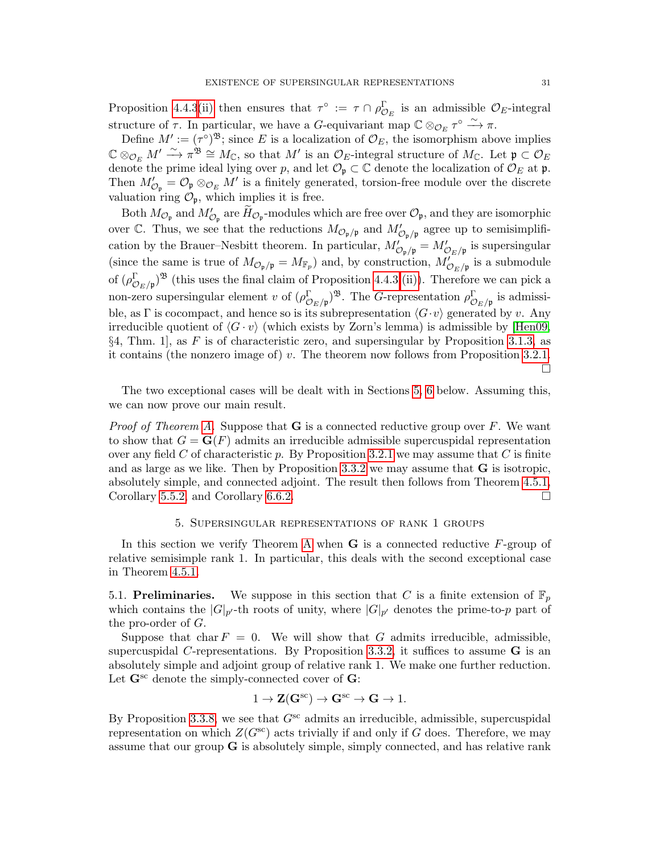Proposition [4.4.3](#page-28-4)[\(ii\)](#page-28-3) then ensures that  $\tau^{\circ} := \tau \cap \rho_{\mathcal{O}_E}^{\Gamma}$  is an admissible  $\mathcal{O}_E$ -integral structure of  $\tau$ . In particular, we have a G-equivariant map  $\mathbb{C} \otimes_{\mathcal{O}_E} \tau^{\circ} \xrightarrow{\sim} \pi$ .

Define  $M' := (\tau^{\circ})^{\mathfrak{B}}$ ; since E is a localization of  $\mathcal{O}_E$ , the isomorphism above implies  $\mathbb{C} \otimes_{\mathcal{O}_E} M' \xrightarrow{\sim} \pi^{\mathfrak{B}} \cong M_{\mathbb{C}}$ , so that  $M'$  is an  $\mathcal{O}_E$ -integral structure of  $M_{\mathbb{C}}$ . Let  $\mathfrak{p} \subset \mathcal{O}_E$ denote the prime ideal lying over p, and let  $\mathcal{O}_{\mathfrak{p}} \subset \mathbb{C}$  denote the localization of  $\mathcal{O}_E$  at p. Then  $M'_{\mathcal{O}_{\mathfrak{p}}} = \mathcal{O}_{\mathfrak{p}} \otimes_{\mathcal{O}_E} M'$  is a finitely generated, torsion-free module over the discrete valuation ring  $\mathcal{O}_{\mathfrak{p}}$ , which implies it is free.

Both  $M_{\mathcal{O}_{\mathfrak{p}}}$  and  $M'_{\mathcal{O}_{\mathfrak{p}}}$  are  $\widetilde{H}_{\mathcal{O}_{\mathfrak{p}}}$ -modules which are free over  $\mathcal{O}_{\mathfrak{p}}$ , and they are isomorphic over C. Thus, we see that the reductions  $M_{\mathcal{O}_{\mathfrak{p}}/\mathfrak{p}}$  and  $M'_{\mathcal{O}_{\mathfrak{p}}/\mathfrak{p}}$  agree up to semisimplification by the Brauer–Nesbitt theorem. In particular,  $M'_{\mathcal{O}_p/p} = M'_{\mathcal{O}_E/p}$  is supersingular (since the same is true of  $M_{\mathcal{O}_{\mathfrak{p}}/\mathfrak{p}} = M_{\mathbb{F}_p}$ ) and, by construction,  $M_{\mathcal{O}_E/\mathfrak{p}}'$  is a submodule of  $(\rho_{\mathcal{O}_E/\mathfrak{p}}^{\Gamma})^{\mathfrak{B}}$  (this uses the final claim of Proposition [4.4.3](#page-28-4) [\(ii\)\)](#page-28-3). Therefore we can pick a non-zero supersingular element v of  $(\rho_{\mathcal{O}_E/\mathfrak{p}}^{\Gamma})^{\mathfrak{B}}$ . The *G*-representation  $\rho_{\mathcal{O}_E/\mathfrak{p}}^{\Gamma}$  is admissible, as Γ is cocompact, and hence so is its subrepresentation  $\langle G \cdot v \rangle$  generated by v. Any irreducible quotient of  $\langle G \cdot v \rangle$  (which exists by Zorn's lemma) is admissible by [\[Hen09,](#page-55-8)  $\S 4$ , Thm. 1, as F is of characteristic zero, and supersingular by Proposition [3.1.3,](#page-10-0) as it contains (the nonzero image of)  $v$ . The theorem now follows from Proposition [3.2.1.](#page-12-1)  $\Box$ 

The two exceptional cases will be dealt with in Sections [5,](#page-30-0) [6](#page-37-0) below. Assuming this, we can now prove our main result.

*Proof of Theorem [A.](#page-1-1)* Suppose that  $G$  is a connected reductive group over F. We want to show that  $G = \mathbf{G}(F)$  admits an irreducible admissible supercuspidal representation over any field C of characteristic p. By Proposition [3.2.1](#page-12-1) we may assume that C is finite and as large as we like. Then by Proposition [3.3.2](#page-13-1) we may assume that G is isotropic, absolutely simple, and connected adjoint. The result then follows from Theorem [4.5.1,](#page-29-1) Corollary [5.5.2,](#page-36-0) and Corollary [6.6.2.](#page-44-2)

## 5. Supersingular representations of rank 1 groups

<span id="page-30-0"></span>In this section we verify Theorem [A](#page-1-1) when  $\bf{G}$  is a connected reductive  $F$ -group of relative semisimple rank 1. In particular, this deals with the second exceptional case in Theorem [4.5.1.](#page-29-1)

<span id="page-30-1"></span>5.1. Preliminaries. We suppose in this section that C is a finite extension of  $\mathbb{F}_p$ which contains the  $|G|_{p'}$ -th roots of unity, where  $|G|_{p'}$  denotes the prime-to-p part of the pro-order of G.

Suppose that char  $F = 0$ . We will show that G admits irreducible, admissible, supercuspidal C-representations. By Proposition [3.3.2,](#page-13-1) it suffices to assume  $\bf{G}$  is an absolutely simple and adjoint group of relative rank 1. We make one further reduction. Let  $\mathbf{G}^{\text{sc}}$  denote the simply-connected cover of  $\mathbf{G}$ :

$$
1 \to \mathbf{Z}(\mathbf{G}^{sc}) \to \mathbf{G}^{sc} \to \mathbf{G} \to 1.
$$

By Proposition [3.3.8,](#page-16-0) we see that  $G^{sc}$  admits an irreducible, admissible, supercuspidal representation on which  $Z(G^{sc})$  acts trivially if and only if G does. Therefore, we may assume that our group G is absolutely simple, simply connected, and has relative rank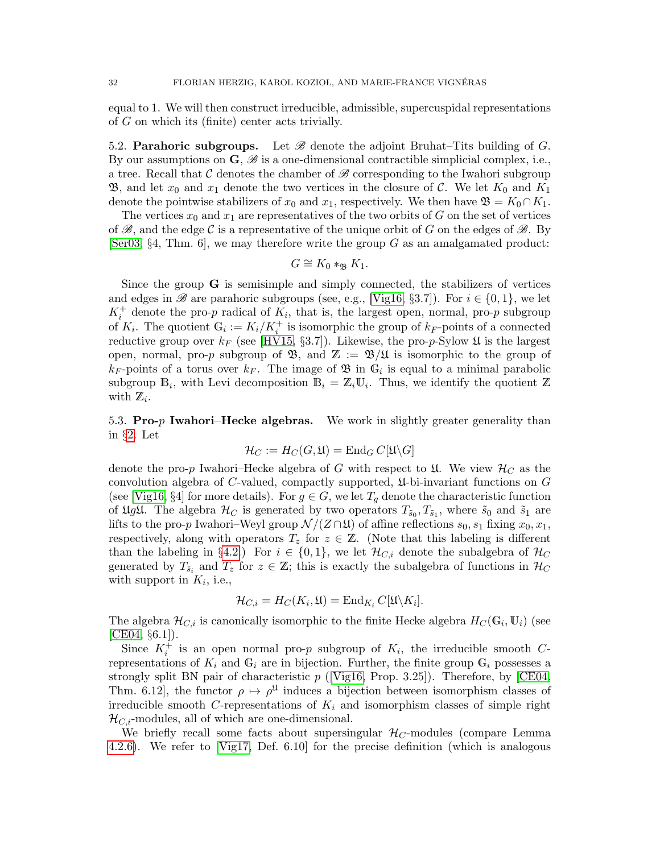equal to 1. We will then construct irreducible, admissible, supercuspidal representations of G on which its (finite) center acts trivially.

<span id="page-31-0"></span>5.2. **Parahoric subgroups.** Let  $\mathscr B$  denote the adjoint Bruhat–Tits building of  $G$ . By our assumptions on  $\mathbf{G}, \mathcal{B}$  is a one-dimensional contractible simplicial complex, i.e., a tree. Recall that  $\mathcal C$  denotes the chamber of  $\mathscr B$  corresponding to the Iwahori subgroup **B**, and let  $x_0$  and  $x_1$  denote the two vertices in the closure of C. We let  $K_0$  and  $K_1$ denote the pointwise stabilizers of  $x_0$  and  $x_1$ , respectively. We then have  $\mathfrak{B} = K_0 \cap K_1$ .

The vertices  $x_0$  and  $x_1$  are representatives of the two orbits of G on the set of vertices of  $\mathscr{B}$ , and the edge C is a representative of the unique orbit of G on the edges of  $\mathscr{B}$ . By [\[Ser03,](#page-56-17) §4, Thm. 6], we may therefore write the group G as an amalgamated product:

$$
G \cong K_0 *_{\mathfrak{B}} K_1.
$$

Since the group  $\bf{G}$  is semisimple and simply connected, the stabilizers of vertices and edges in B are parahoric subgroups (see, e.g., [\[Vig16,](#page-57-0) §3.7]). For  $i \in \{0,1\}$ , we let  $K_i^+$  denote the pro-p radical of  $K_i$ , that is, the largest open, normal, pro-p subgroup of  $K_i$ . The quotient  $\mathbb{G}_i := K_i/K_i^+$  is isomorphic the group of  $k_F$ -points of a connected reductive group over  $k_F$  (see [\[HV15,](#page-56-11) §3.7]). Likewise, the pro-p-Sylow  $\mathfrak U$  is the largest open, normal, pro-p subgroup of  $\mathfrak{B}$ , and  $\mathbb{Z} := \mathfrak{B}/\mathfrak{U}$  is isomorphic to the group of  $k_F$ -points of a torus over  $k_F$ . The image of  $\mathfrak{B}$  in  $\mathbb{G}_i$  is equal to a minimal parabolic subgroup  $\mathbb{B}_i$ , with Levi decomposition  $\mathbb{B}_i = \mathbb{Z}_i \mathbb{U}_i$ . Thus, we identify the quotient  $\mathbb{Z}$ with  $\mathbb{Z}_i$ .

<span id="page-31-1"></span>5.3. Pro-p Iwahori–Hecke algebras. We work in slightly greater generality than in §[2.](#page-4-0) Let

$$
\mathcal{H}_C := H_C(G, \mathfrak{U}) = \mathrm{End}_G C[\mathfrak{U} \backslash G]
$$

denote the pro-p Iwahori–Hecke algebra of G with respect to  $\mathfrak{U}$ . We view  $\mathcal{H}_C$  as the convolution algebra of C-valued, compactly supported,  $\mathfrak{U}$ -bi-invariant functions on G (see [\[Vig16,](#page-57-0) §4] for more details). For  $g \in G$ , we let  $T_g$  denote the characteristic function of  $\mathfrak{U}g\mathfrak{U}$ . The algebra  $\mathcal{H}_C$  is generated by two operators  $T_{\tilde{s}_0}, T_{\tilde{s}_1}$ , where  $\tilde{s}_0$  and  $\tilde{s}_1$  are lifts to the pro-p Iwahori–Weyl group  $\mathcal{N}/(\mathcal{Z}\cap \mathfrak{U})$  of affine reflections  $s_0, s_1$  fixing  $x_0, x_1$ , respectively, along with operators  $T_z$  for  $z \in \mathbb{Z}$ . (Note that this labeling is different than the labeling in §[4.2.](#page-20-0)) For  $i \in \{0,1\}$ , we let  $\mathcal{H}_{C,i}$  denote the subalgebra of  $\mathcal{H}_C$ generated by  $T_{\tilde{s}_i}$  and  $T_z$  for  $z \in \mathbb{Z}$ ; this is exactly the subalgebra of functions in  $\mathcal{H}_C$ with support in  $K_i$ , i.e.,

$$
\mathcal{H}_{C,i} = H_C(K_i, \mathfrak{U}) = \mathrm{End}_{K_i} C[\mathfrak{U} \backslash K_i].
$$

The algebra  $\mathcal{H}_{C,i}$  is canonically isomorphic to the finite Hecke algebra  $H_C(\mathbb{G}_i, \mathbb{U}_i)$  (see  $[CE04, §6.1]$  $[CE04, §6.1]$ .

Since  $K_i^{\dagger}$  is an open normal pro-p subgroup of  $K_i$ , the irreducible smooth Crepresentations of  $K_i$  and  $\mathbb{G}_i$  are in bijection. Further, the finite group  $\mathbb{G}_i$  possesses a strongly split BN pair of characteristic  $p$  ([\[Vig16,](#page-57-0) Prop. 3.25]). Therefore, by [\[CE04,](#page-55-13) Thm. 6.12, the functor  $\rho \mapsto \rho^{\mathfrak{U}}$  induces a bijection between isomorphism classes of irreducible smooth  $C$ -representations of  $K_i$  and isomorphism classes of simple right  $\mathcal{H}_{C,i}$ -modules, all of which are one-dimensional.

We briefly recall some facts about supersingular  $\mathcal{H}_C$ -modules (compare Lemma [4.2.6\)](#page-21-0). We refer to [\[Vig17,](#page-57-2) Def. 6.10] for the precise definition (which is analogous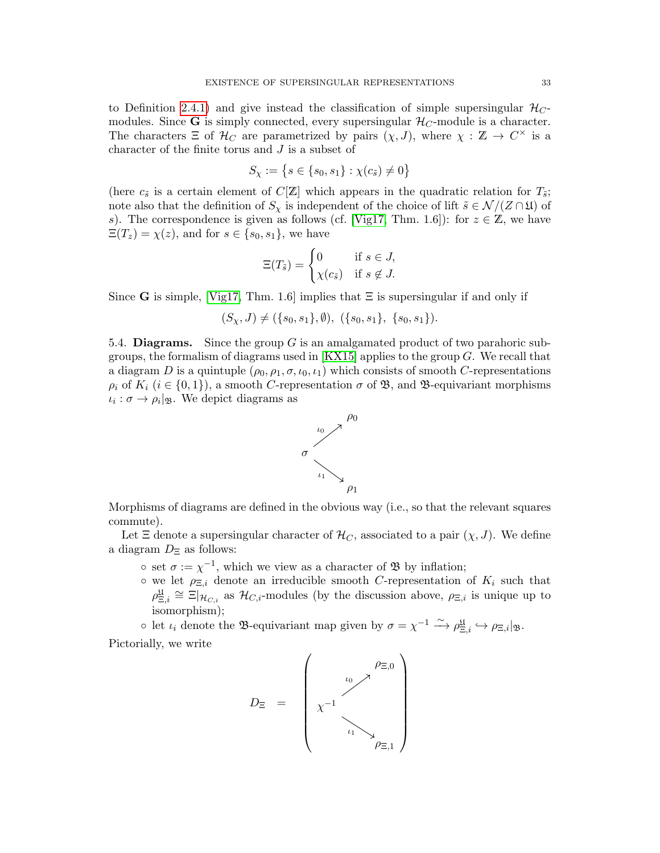to Definition [2.4.1\)](#page-8-3) and give instead the classification of simple supersingular  $\mathcal{H}_C$ modules. Since **G** is simply connected, every supersingular  $\mathcal{H}_C$ -module is a character. The characters  $\Xi$  of  $\mathcal{H}_C$  are parametrized by pairs  $(\chi, J)$ , where  $\chi : \mathbb{Z} \to C^{\times}$  is a character of the finite torus and J is a subset of

$$
S_{\chi} := \{ s \in \{s_0, s_1\} : \chi(c_{\tilde{s}}) \neq 0 \}
$$

(here  $c_{\tilde{s}}$  is a certain element of  $C[\mathbb{Z}]$  which appears in the quadratic relation for  $T_{\tilde{s}}$ ; note also that the definition of  $S_\chi$  is independent of the choice of lift  $\tilde{s} \in \mathcal{N}/(Z \cap \mathfrak{U})$  of s). The correspondence is given as follows (cf. [\[Vig17,](#page-57-2) Thm. 1.6]): for  $z \in \mathbb{Z}$ , we have  $\Xi(T_z) = \chi(z)$ , and for  $s \in \{s_0, s_1\}$ , we have

$$
\Xi(T_{\tilde{s}}) = \begin{cases} 0 & \text{if } s \in J, \\ \chi(c_{\tilde{s}}) & \text{if } s \notin J. \end{cases}
$$

Since G is simple, [\[Vig17,](#page-57-2) Thm. 1.6] implies that  $\Xi$  is supersingular if and only if

$$
(S_{\chi}, J) \neq (\{s_0, s_1\}, \emptyset), (\{s_0, s_1\}, \{s_0, s_1\}).
$$

<span id="page-32-0"></span>5.4. **Diagrams.** Since the group  $G$  is an amalgamated product of two parahoric subgroups, the formalism of diagrams used in  $[KX15]$  applies to the group  $G$ . We recall that a diagram D is a quintuple  $(\rho_0, \rho_1, \sigma, \iota_0, \iota_1)$  which consists of smooth C-representations  $\rho_i$  of  $K_i$  ( $i \in \{0,1\}$ ), a smooth C-representation  $\sigma$  of  $\mathfrak{B}$ , and  $\mathfrak{B}$ -equivariant morphisms  $\iota_i : \sigma \to \rho_i |_{\mathfrak{B}}$ . We depict diagrams as



Morphisms of diagrams are defined in the obvious way (i.e., so that the relevant squares commute).

Let  $\Xi$  denote a supersingular character of  $\mathcal{H}_C$ , associated to a pair  $(\chi, J)$ . We define a diagram  $D_{\Xi}$  as follows:

- $\circ$  set  $\sigma := \chi^{-1}$ , which we view as a character of  $\mathfrak{B}$  by inflation;
- $\circ$  we let  $\rho_{\Xi,i}$  denote an irreducible smooth C-representation of  $K_i$  such that  $\rho_{\Xi,i}^{\mathfrak{U}} \cong \Xi|_{\mathcal{H}_{C,i}}$  as  $\mathcal{H}_{C,i}$ -modules (by the discussion above,  $\rho_{\Xi,i}$  is unique up to isomorphism);

o let  $\iota_i$  denote the B-equivariant map given by  $\sigma = \chi^{-1} \xrightarrow{\sim} \rho_{\Xi,i}^{\mathfrak{U}} \hookrightarrow \rho_{\Xi,i} |_{\mathfrak{B}}$ . Pictorially, we write

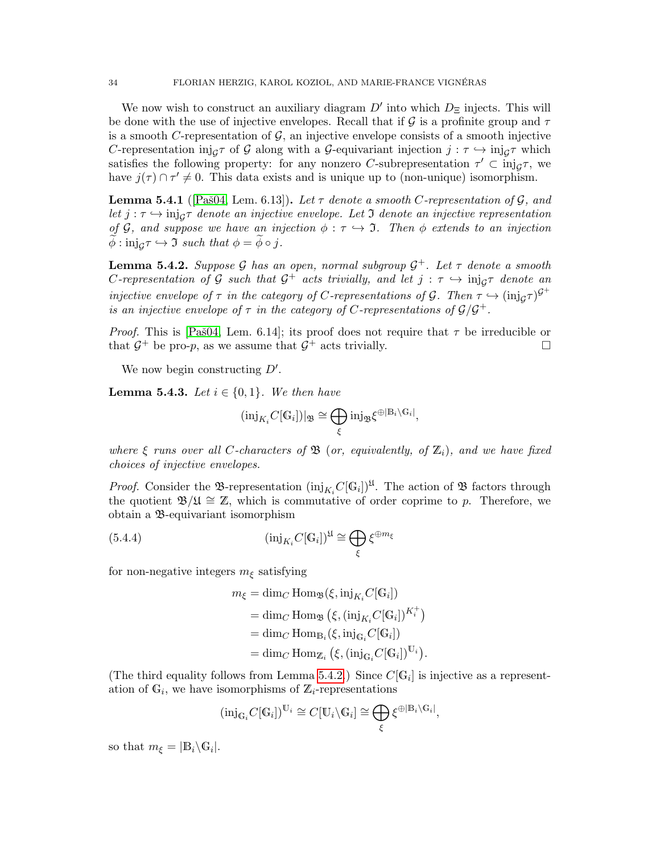We now wish to construct an auxiliary diagram  $D'$  into which  $D_{\Xi}$  injects. This will be done with the use of injective envelopes. Recall that if  $\mathcal G$  is a profinite group and  $\tau$ is a smooth C-representation of  $G$ , an injective envelope consists of a smooth injective C-representation  $\text{inj}_{\mathcal{G}}\tau$  of G along with a G-equivariant injection  $j : \tau \hookrightarrow \text{inj}_{\mathcal{G}}\tau$  which satisfies the following property: for any nonzero C-subrepresentation  $\tau' \subset \text{inj}_{\mathcal{G}} \tau$ , we have  $j(\tau) \cap \tau' \neq 0$ . This data exists and is unique up to (non-unique) isomorphism.

<span id="page-33-2"></span>**Lemma 5.4.1** ([Paš04, Lem. 6.13]). Let  $\tau$  denote a smooth C-representation of  $\mathcal{G}$ , and let  $j : \tau \hookrightarrow \text{inj}_{\mathcal{G}} \tau$  denote an injective envelope. Let I denote an injective representation of G, and suppose we have an injection  $\phi : \tau \hookrightarrow \mathfrak{I}$ . Then  $\phi$  extends to an injection  $\phi: \text{inj}_{\mathcal{G}} \tau \hookrightarrow \mathfrak{I}$  such that  $\phi = \phi \circ j$ .

<span id="page-33-0"></span>**Lemma 5.4.2.** Suppose G has an open, normal subgroup  $\mathcal{G}^+$ . Let  $\tau$  denote a smooth C-representation of G such that  $G^+$  acts trivially, and let  $j : \tau \to \text{inj}_{G} \tau$  denote an injective envelope of  $\tau$  in the category of C-representations of  $\mathcal{G}$ . Then  $\tau \hookrightarrow (\text{inj}_{\mathcal{G}} \tau)^{\mathcal{G}^+}$ is an injective envelope of  $\tau$  in the category of C-representations of  $\mathcal{G}/\mathcal{G}^+$ .

*Proof.* This is [Paš04, Lem. 6.14]; its proof does not require that  $\tau$  be irreducible or that  $G^+$  be pro-p, as we assume that  $G^+$  acts trivially.

We now begin constructing  $D'$ .

<span id="page-33-3"></span>**Lemma 5.4.3.** Let  $i \in \{0, 1\}$ . We then have

$$
(\mathrm{inj}_{K_i}C[\mathbb{G}_i])|_{\mathfrak{B}} \cong \bigoplus_{\xi} \mathrm{inj}_{\mathfrak{B}} \xi^{\oplus |\mathbb{B}_i \setminus \mathbb{G}_i|},
$$

where  $\xi$  runs over all C-characters of  $\mathfrak{B}$  (or, equivalently, of  $\mathbb{Z}_i$ ), and we have fixed choices of injective envelopes.

*Proof.* Consider the B-representation  $(\text{inj}_{K_i}C[\mathbb{G}_i])^{\mathfrak{U}}$ . The action of B factors through the quotient  $\mathfrak{B}/\mathfrak{U} \cong \mathbb{Z}$ , which is commutative of order coprime to p. Therefore, we obtain a B-equivariant isomorphism

(5.4.4) 
$$
(\text{inj}_{K_i} C[\mathbb{G}_i])^{\mathfrak{U}} \cong \bigoplus_{\xi} \xi^{\oplus m_{\xi}}
$$

for non-negative integers  $m_{\xi}$  satisfying

<span id="page-33-1"></span>
$$
m_{\xi} = \dim_C \operatorname{Hom}_{\mathfrak{B}}(\xi, \operatorname{inj}_{K_i} C[\mathbb{G}_i])
$$
  
= 
$$
\dim_C \operatorname{Hom}_{\mathfrak{B}}(\xi, (\operatorname{inj}_{K_i} C[\mathbb{G}_i])^{K_i^+})
$$
  
= 
$$
\dim_C \operatorname{Hom}_{\mathbb{B}_i}(\xi, \operatorname{inj}_{\mathbb{G}_i} C[\mathbb{G}_i])
$$
  
= 
$$
\dim_C \operatorname{Hom}_{\mathbb{Z}_i}(\xi, (\operatorname{inj}_{\mathbb{G}_i} C[\mathbb{G}_i])^{\mathbb{U}_i}).
$$

(The third equality follows from Lemma [5.4.2.](#page-33-0)) Since  $C[\mathbb{G}_i]$  is injective as a representation of  $\mathbb{G}_i$ , we have isomorphisms of  $\mathbb{Z}_i$ -representations

$$
(\mathrm{inj}_{\mathbb{G}_i} C[\mathbb{G}_i])^{\mathbb{U}_i} \cong C[\mathbb{U}_i \backslash \mathbb{G}_i] \cong \bigoplus_{\xi} \xi^{\oplus |\mathbb{B}_i \backslash \mathbb{G}_i|},
$$

so that  $m_{\xi} = |\mathbb{B}_i \backslash \mathbb{G}_i|.$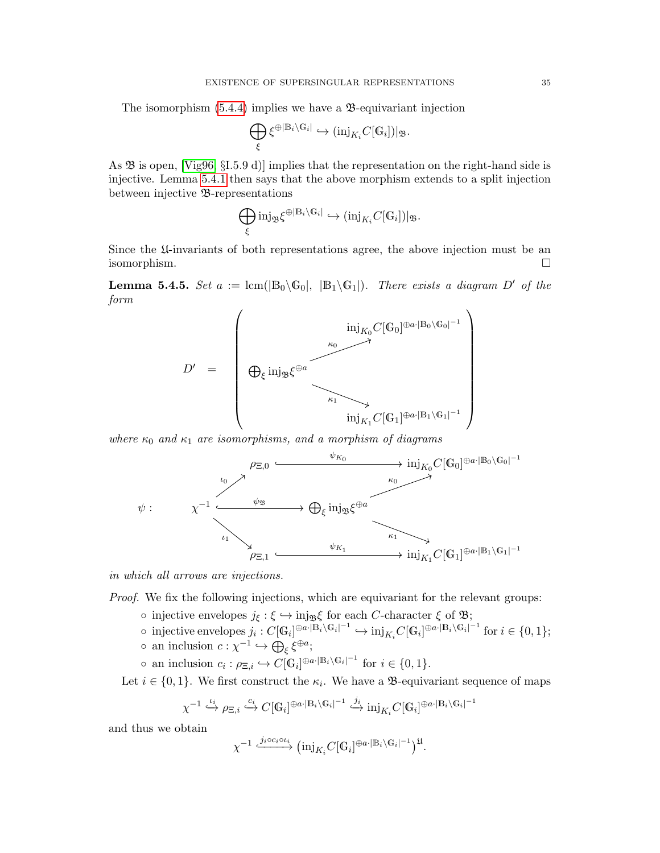The isomorphism  $(5.4.4)$  implies we have a  $\mathcal{B}$ -equivariant injection

$$
\bigoplus_{\xi} \xi^{\oplus |\mathbb{B}_i \setminus \mathbb{G}_i|} \hookrightarrow (\mathrm{inj}_{K_i} C[\mathbb{G}_i])|_{\mathfrak{B}}.
$$

As  $\mathfrak B$  is open, [\[Vig96,](#page-56-12) §I.5.9 d)] implies that the representation on the right-hand side is injective. Lemma [5.4.1](#page-33-2) then says that the above morphism extends to a split injection between injective B-representations

$$
\bigoplus_{\xi}\mathop{\rm inj}\nolimits_{\mathfrak B}\xi^{\oplus|\mathbb B_i\backslash\mathbb G_i|}\hookrightarrow(\mathop{\rm inj}\nolimits_{K_i}C[\mathbb G_i])|_{\mathfrak B}.
$$

Since the U-invariants of both representations agree, the above injection must be an isomorphism.

**Lemma 5.4.5.** Set  $a := \text{lcm}(|\mathbb{B}_0 \setminus \mathbb{G}_0|, |\mathbb{B}_1 \setminus \mathbb{G}_1|)$ . There exists a diagram D' of the form



where  $\kappa_0$  and  $\kappa_1$  are isomorphisms, and a morphism of diagrams



in which all arrows are injections.

Proof. We fix the following injections, which are equivariant for the relevant groups:

- injective envelopes  $j_{\xi}: \xi \hookrightarrow \text{inj}_{\mathfrak{B}}\xi$  for each C-character  $\xi$  of  $\mathfrak{B};$
- o injective envelopes  $j_i: C[\mathbb{G}_i]^{\oplus a \cdot |\mathbb{B}_i \setminus \mathbb{G}_i|^{-1}}$  →  $\text{inj}_{K_i}C[\mathbb{G}_i]^{\oplus a \cdot |\mathbb{B}_i \setminus \mathbb{G}_i|^{-1}}$  for  $i \in \{0, 1\};$
- $\circ$  an inclusion  $c: \chi^{-1} \hookrightarrow \bigoplus_{\xi} \xi^{\oplus a};$
- $\circ$  an inclusion  $c_i : \rho_{\Xi,i} \hookrightarrow C[\mathbb{G}_i]^{\oplus a \cdot |\mathbb{B}_i \setminus \mathbb{G}_i|^{-1}}$  for  $i \in \{0,1\}.$

Let  $i \in \{0,1\}$ . We first construct the  $\kappa_i$ . We have a **B**-equivariant sequence of maps

$$
\chi^{-1} \stackrel{\iota_i}{\hookrightarrow} \rho_{\Xi,i} \stackrel{c_i}{\hookrightarrow} C[\mathbb{G}_i]^{\oplus a \cdot |\mathbb{B}_i \setminus \mathbb{G}_i|^{-1}} \stackrel{j_i}{\hookrightarrow} \text{inj}_{K_i} C[\mathbb{G}_i]^{\oplus a \cdot |\mathbb{B}_i \setminus \mathbb{G}_i|^{-1}}
$$

and thus we obtain

$$
\chi^{-1} \xrightarrow{j_i \circ c_i \circ \iota_i} (\mathrm{inj}_{K_i} C[\mathbb{G}_i]^{\oplus a \cdot |\mathbb{B}_i \setminus \mathbb{G}_i|^{-1}})^{\mathfrak{U}}.
$$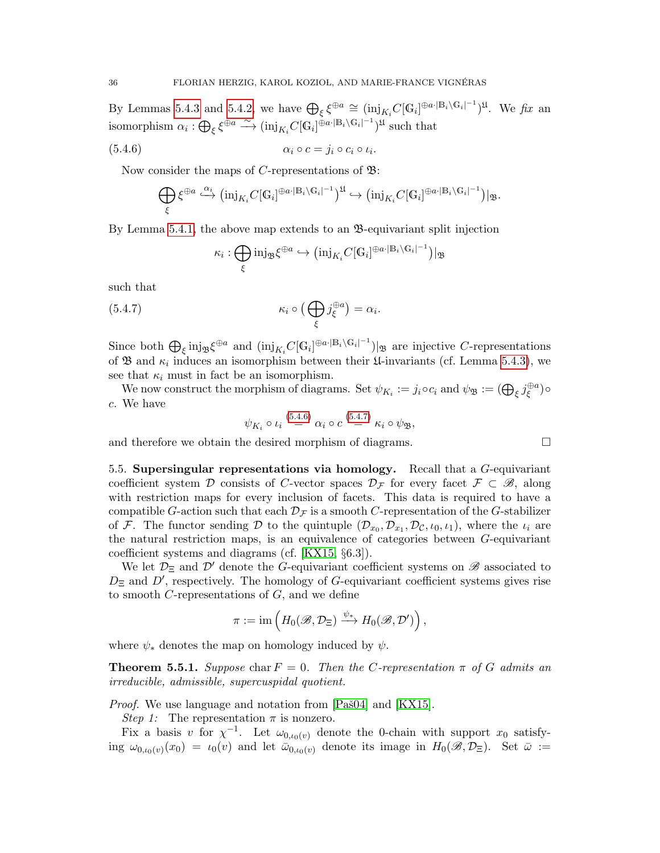By Lemmas [5.4.3](#page-33-3) and [5.4.2,](#page-33-0) we have  $\bigoplus_{\xi} \xi^{\oplus a} \cong (\text{inj}_{K_i}C[\mathbb{G}_i]^{\oplus a \cdot |\mathbb{B}_i \setminus \mathbb{G}_i]^{-1}})^{\mathfrak{U}}$ . We fix an isomorphism  $\alpha_i : \bigoplus_{\xi} \xi^{\oplus a} \stackrel{\sim}{\longrightarrow} (\mathrm{inj}_{K_i}C[\mathbb{G}_i]^{\oplus a \cdot |\mathbb{B}_i \setminus \mathbb{G}_i|^{-1}})^{\mathfrak{U}}$  such that

$$
\alpha_i \circ c = j_i \circ c_i \circ \iota_i.
$$

Now consider the maps of C-representations of  $\mathfrak{B}$ :

$$
\bigoplus_{\xi} \xi^{\oplus a} \stackrel{\alpha_i}{\hookrightarrow} (\mathrm{inj}_{K_i}C[\mathbb{G}_i]^{\oplus a \cdot |\mathbb{B}_i \setminus \mathbb{G}_i|^{-1}})^{\mathfrak{U}} \hookrightarrow (\mathrm{inj}_{K_i}C[\mathbb{G}_i]^{\oplus a \cdot |\mathbb{B}_i \setminus \mathbb{G}_i|^{-1}})|_{\mathfrak{B}}.
$$

By Lemma [5.4.1,](#page-33-2) the above map extends to an  $\mathfrak{B}$ -equivariant split injection

<span id="page-35-2"></span><span id="page-35-1"></span>
$$
\kappa_i: \bigoplus_{\xi} \text{inj}_{\mathfrak{B}} \xi^{\oplus a} \hookrightarrow (\text{inj}_{K_i} C[\mathbb{G}_i]^{\oplus a \cdot |\mathbb{B}_i \setminus \mathbb{G}_i|^{-1}})|_{\mathfrak{B}}
$$

such that

(5.4.7) 
$$
\kappa_i \circ \left(\bigoplus_{\xi} j_{\xi}^{\oplus a}\right) = \alpha_i.
$$

Since both  $\bigoplus_{\xi} \text{inj}_{\mathfrak{B}} \xi^{\oplus a}$  and  $(\text{inj}_{K_i}C[\mathbb{G}_i]^{\oplus a \cdot |\mathbb{B}_i \setminus \mathbb{G}_i|^{-1}})|_{\mathfrak{B}}$  are injective C-representations of  $\mathfrak{B}$  and  $\kappa_i$  induces an isomorphism between their  $\mathfrak{U}$ -invariants (cf. Lemma [5.4.3\)](#page-33-3), we see that  $\kappa_i$  must in fact be an isomorphism.

We now construct the morphism of diagrams. Set  $\psi_{K_i} := j_i \circ c_i$  and  $\psi_{\mathfrak{B}} := (\bigoplus_{\xi} j_{\xi}^{\oplus a})$  $\overset{\oplus a}{\xi}$ )ο c. We have

$$
\psi_{K_i} \circ \iota_i \stackrel{(5.4.6)}{=} \alpha_i \circ c \stackrel{(5.4.7)}{=} \kappa_i \circ \psi_{\mathfrak{B}},
$$

and therefore we obtain the desired morphism of diagrams.

<span id="page-35-0"></span>5.5. Supersingular representations via homology. Recall that a  $G$ -equivariant coefficient system D consists of C-vector spaces  $\mathcal{D}_{\mathcal{F}}$  for every facet  $\mathcal{F} \subset \mathscr{B}$ , along with restriction maps for every inclusion of facets. This data is required to have a compatible G-action such that each  $\mathcal{D}_{\mathcal{F}}$  is a smooth C-representation of the G-stabilizer of F. The functor sending D to the quintuple  $(\mathcal{D}_{x_0}, \mathcal{D}_{x_1}, \mathcal{D}_{\mathcal{C}}, \iota_0, \iota_1)$ , where the  $\iota_i$  are the natural restriction maps, is an equivalence of categories between G-equivariant coefficient systems and diagrams (cf. [\[KX15,](#page-56-2) §6.3]).

We let  $\mathcal{D}_{\Xi}$  and  $\mathcal{D}'$  denote the G-equivariant coefficient systems on  $\mathscr{B}$  associated to  $D_{\Xi}$  and  $D'$ , respectively. The homology of G-equivariant coefficient systems gives rise to smooth  $C$ -representations of  $G$ , and we define

$$
\pi := \mathrm{im}\left(H_0(\mathscr{B},\mathcal{D}_\Xi) \xrightarrow{\psi_*} H_0(\mathscr{B},\mathcal{D}')\right),\,
$$

where  $\psi_*$  denotes the map on homology induced by  $\psi$ .

<span id="page-35-3"></span>**Theorem 5.5.1.** Suppose char  $F = 0$ . Then the C-representation  $\pi$  of G admits an irreducible, admissible, supercuspidal quotient.

*Proof.* We use language and notation from  $[Pa\ddot{\otimes}04]$  and  $[KX15]$ .

Step 1: The representation  $\pi$  is nonzero.

Fix a basis v for  $\chi^{-1}$ . Let  $\omega_{0,\iota_0(v)}$  denote the 0-chain with support  $x_0$  satisfying  $\omega_{0,\iota_0(v)}(x_0) = \iota_0(v)$  and let  $\bar{\omega}_{0,\iota_0(v)}$  denote its image in  $H_0(\mathscr{B},\mathcal{D}_\Xi)$ . Set  $\bar{\omega} :=$ 

$$
\sqcup
$$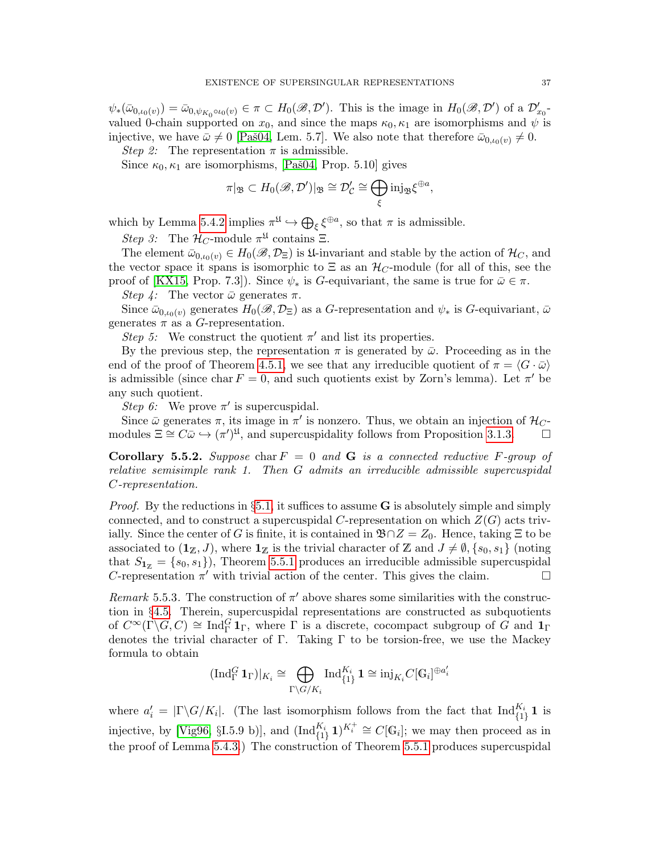$\psi_*(\bar{\omega}_{0,\iota_0(v)}) = \bar{\omega}_{0,\psi_{K_0} \circ \iota_0(v)} \in \pi \subset H_0(\mathscr{B},\mathcal{D}').$  This is the image in  $H_0(\mathscr{B},\mathcal{D}')$  of a  $\mathcal{D}_{x_0}'$ valued 0-chain supported on  $x_0$ , and since the maps  $\kappa_0, \kappa_1$  are isomorphisms and  $\psi$  is injective, we have  $\bar{\omega} \neq 0$  [Paš04, Lem. 5.7]. We also note that therefore  $\bar{\omega}_{0,\iota_0(v)} \neq 0$ .

Step 2: The representation  $\pi$  is admissible.

Since  $\kappa_0, \kappa_1$  are isomorphisms, [Paš04, Prop. 5.10] gives

$$
\pi|_{\mathfrak{B}} \subset H_0(\mathscr{B},\mathcal{D}')|_{\mathfrak{B}} \cong \mathcal{D}'_{\mathcal{C}} \cong \bigoplus_\xi \mathrm{inj}_{\mathfrak{B}} \xi^{\oplus a},
$$

which by Lemma [5.4.2](#page-33-0) implies  $\pi^{\mathfrak{U}} \hookrightarrow \bigoplus_{\xi} \xi^{\oplus a}$ , so that  $\pi$  is admissible.

Step 3: The  $\mathcal{H}_C$ -module  $\pi^{\mathfrak{U}}$  contains  $\Xi$ .

The element  $\bar{\omega}_{0,\iota_0(v)} \in H_0(\mathscr{B},\mathcal{D}_\Xi)$  is  $\mathfrak{U}$ -invariant and stable by the action of  $\mathcal{H}_C$ , and the vector space it spans is isomorphic to  $\Xi$  as an  $\mathcal{H}_C$ -module (for all of this, see the proof of [\[KX15,](#page-56-2) Prop. 7.3]). Since  $\psi_*$  is G-equivariant, the same is true for  $\bar{\omega} \in \pi$ .

Step 4: The vector  $\bar{\omega}$  generates  $\pi$ .

Since  $\bar{\omega}_{0,\iota_0(v)}$  generates  $H_0(\mathscr{B},\mathcal{D}_\Xi)$  as a G-representation and  $\psi_*$  is G-equivariant,  $\bar{\omega}$ generates  $\pi$  as a G-representation.

Step 5: We construct the quotient  $\pi'$  and list its properties.

By the previous step, the representation  $\pi$  is generated by  $\bar{\omega}$ . Proceeding as in the end of the proof of Theorem [4.5.1,](#page-29-1) we see that any irreducible quotient of  $\pi = \langle G \cdot \bar{\omega} \rangle$ is admissible (since char  $F = 0$ , and such quotients exist by Zorn's lemma). Let  $\pi'$  be any such quotient.

Step 6: We prove  $\pi'$  is supercuspidal.

Since  $\bar{\omega}$  generates  $\pi$ , its image in  $\pi'$  is nonzero. Thus, we obtain an injection of  $\mathcal{H}_C$ modules  $\Xi \cong C\bar{\omega} \hookrightarrow (\pi')^{\mathfrak{U}},$  and supercuspidality follows from Proposition [3.1.3.](#page-10-0)

<span id="page-36-0"></span>Corollary 5.5.2. Suppose char  $F = 0$  and G is a connected reductive F-group of relative semisimple rank 1. Then G admits an irreducible admissible supercuspidal C-representation.

*Proof.* By the reductions in §[5.1,](#page-30-1) it suffices to assume **G** is absolutely simple and simply connected, and to construct a supercuspidal C-representation on which  $Z(G)$  acts trivially. Since the center of G is finite, it is contained in  $\mathfrak{B} \cap Z = Z_0$ . Hence, taking  $\Xi$  to be associated to  $(1 \mathbb{Z}, J)$ , where  $1 \mathbb{Z}$  is the trivial character of Z and  $J \neq \emptyset$ ,  $\{s_0, s_1\}$  (noting that  $S_{1\mathbb{Z}} = \{s_0, s_1\}$ , Theorem [5.5.1](#page-35-3) produces an irreducible admissible supercuspidal C-representation  $\pi'$  with trivial action of the center. This gives the claim.

Remark 5.5.3. The construction of  $\pi'$  above shares some similarities with the construction in §[4.5.](#page-29-0) Therein, supercuspidal representations are constructed as subquotients of  $C^{\infty}(\Gamma \backslash G, C) \cong \text{Ind}_{\Gamma}^G \mathbf{1}_{\Gamma}$ , where  $\Gamma$  is a discrete, cocompact subgroup of  $G$  and  $\mathbf{1}_{\Gamma}$ denotes the trivial character of Γ. Taking Γ to be torsion-free, we use the Mackey formula to obtain

$$
(\operatorname{Ind}_{\Gamma}^G \mathbf{1}_{\Gamma})|_{K_i} \cong \bigoplus_{\Gamma \backslash G / K_i} \operatorname{Ind}_{\{1\}}^{K_i} \mathbf{1} \cong \operatorname{inj}_{K_i} C[\mathbb{G}_i]^{\oplus a_i'}
$$

where  $a'_i = |\Gamma \backslash G/K_i|$ . (The last isomorphism follows from the fact that  $\text{Ind}_{\{1\}}^{K_i}$  1 is injective, by [\[Vig96,](#page-56-12) §I.5.9 b)], and  $(\text{Ind}_{\{1\}}^{K_i} \mathbf{1})^{K_i^+} \cong C[\mathbb{G}_i]$ ; we may then proceed as in the proof of Lemma [5.4.3.](#page-33-3)) The construction of Theorem [5.5.1](#page-35-3) produces supercuspidal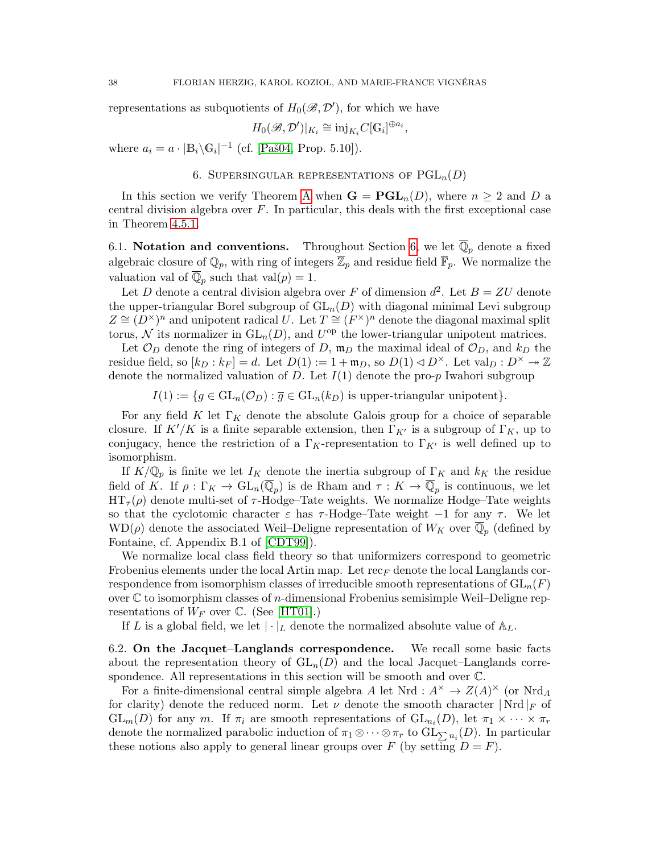representations as subquotients of  $H_0(\mathscr{B}, \mathcal{D}')$ , for which we have

$$
H_0(\mathcal{B}, \mathcal{D}')|_{K_i} \cong \mathrm{inj}_{K_i} C[\mathbb{G}_i]^{\oplus a_i},
$$

where  $a_i = a \cdot |\mathbb{B}_i \backslash \mathbb{G}_i|^{-1}$  (cf. [Paš04, Prop. 5.10]).

6. SUPERSINGULAR REPRESENTATIONS OF  $PGL_n(D)$ 

<span id="page-37-0"></span>In this section we verify Theorem [A](#page-1-1) when  $G = PGL_n(D)$ , where  $n \geq 2$  and D a central division algebra over  $F$ . In particular, this deals with the first exceptional case in Theorem [4.5.1.](#page-29-1)

<span id="page-37-1"></span>6.1. Notation and conventions. Throughout Section [6,](#page-37-0) we let  $\mathbb{Q}_p$  denote a fixed algebraic closure of  $\mathbb{Q}_p$ , with ring of integers  $\overline{\mathbb{Z}}_p$  and residue field  $\overline{\mathbb{F}}_p$ . We normalize the valuation val of  $\overline{\mathbb{Q}}_p$  such that val $(p) = 1$ .

Let D denote a central division algebra over F of dimension  $d^2$ . Let  $B = ZU$  denote the upper-triangular Borel subgroup of  $GL_n(D)$  with diagonal minimal Levi subgroup  $Z \cong (D^{\times})^n$  and unipotent radical U. Let  $T \cong (F^{\times})^n$  denote the diagonal maximal split torus, N its normalizer in  $GL_n(D)$ , and  $U^{\text{op}}$  the lower-triangular unipotent matrices.

Let  $\mathcal{O}_D$  denote the ring of integers of D,  $\mathfrak{m}_D$  the maximal ideal of  $\mathcal{O}_D$ , and  $k_D$  the residue field, so  $[k_D : k_F] = d$ . Let  $D(1) := 1 + \mathfrak{m}_D$ , so  $D(1) \triangleleft D^{\times}$ . Let  $val_D : D^{\times} \rightarrow \mathbb{Z}$ denote the normalized valuation of D. Let  $I(1)$  denote the pro-p Iwahori subgroup

 $I(1) := \{g \in GL_n(\mathcal{O}_D) : \overline{g} \in GL_n(k_D) \text{ is upper-triangular unipotent}\}.$ 

For any field K let  $\Gamma_K$  denote the absolute Galois group for a choice of separable closure. If  $K'/K$  is a finite separable extension, then  $\Gamma_{K'}$  is a subgroup of  $\Gamma_K$ , up to conjugacy, hence the restriction of a  $\Gamma_K$ -representation to  $\Gamma_{K'}$  is well defined up to isomorphism.

If  $K/\mathbb{Q}_p$  is finite we let  $I_K$  denote the inertia subgroup of  $\Gamma_K$  and  $k_K$  the residue field of K. If  $\rho: \Gamma_K \to \text{GL}_n(\overline{\mathbb{Q}}_p)$  is de Rham and  $\tau: K \to \overline{\mathbb{Q}}_p$  is continuous, we let  $HT_{\tau}(\rho)$  denote multi-set of  $\tau$ -Hodge–Tate weights. We normalize Hodge–Tate weights so that the cyclotomic character  $\varepsilon$  has  $\tau$ -Hodge–Tate weight  $-1$  for any  $\tau$ . We let  $WD(\rho)$  denote the associated Weil–Deligne representation of  $W_K$  over  $\overline{\mathbb{Q}}_p$  (defined by Fontaine, cf. Appendix B.1 of [\[CDT99\]](#page-55-14)).

We normalize local class field theory so that uniformizers correspond to geometric Frobenius elements under the local Artin map. Let  $\operatorname{rec}_F$  denote the local Langlands correspondence from isomorphism classes of irreducible smooth representations of  $GL_n(F)$ over  $\mathbb C$  to isomorphism classes of *n*-dimensional Frobenius semisimple Weil–Deligne representations of  $W_F$  over  $\mathbb{C}$ . (See [\[HT01\]](#page-56-18).)

If L is a global field, we let  $|\cdot|_L$  denote the normalized absolute value of  $\mathbb{A}_L$ .

<span id="page-37-2"></span>6.2. On the Jacquet–Langlands correspondence. We recall some basic facts about the representation theory of  $GL_n(D)$  and the local Jacquet–Langlands correspondence. All representations in this section will be smooth and over C.

For a finite-dimensional central simple algebra A let Nrd :  $A^{\times} \to Z(A)^{\times}$  (or Nrd<sub>A</sub> for clarity) denote the reduced norm. Let  $\nu$  denote the smooth character  $|\operatorname{Nrd}|_F$  of  $GL_m(D)$  for any m. If  $\pi_i$  are smooth representations of  $GL_{n_i}(D)$ , let  $\pi_1 \times \cdots \times \pi_r$ denote the normalized parabolic induction of  $\pi_1 \otimes \cdots \otimes \pi_r$  to  $\mathrm{GL}_{\sum n_i}(D)$ . In particular these notions also apply to general linear groups over F (by setting  $D = F$ ).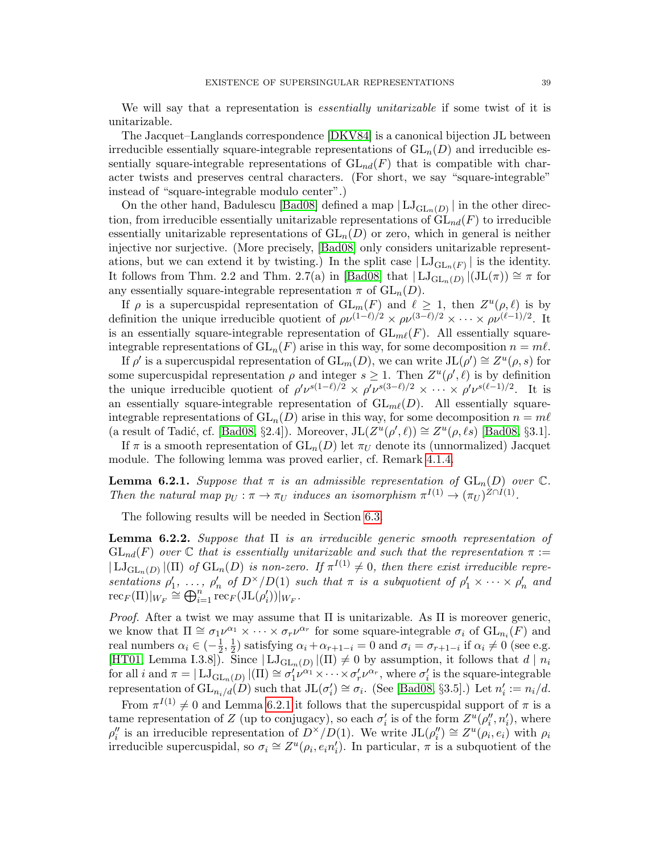We will say that a representation is *essentially unitarizable* if some twist of it is unitarizable.

The Jacquet–Langlands correspondence [\[DKV84\]](#page-55-6) is a canonical bijection JL between irreducible essentially square-integrable representations of  $GL_n(D)$  and irreducible essentially square-integrable representations of  $GL_{nd}(F)$  that is compatible with character twists and preserves central characters. (For short, we say "square-integrable" instead of "square-integrable modulo center".)

On the other hand, Badulescu [\[Bad08\]](#page-54-7) defined a map  $|LJ_{GL_n(D)}|$  in the other direction, from irreducible essentially unitarizable representations of  $GL_{nd}(F)$  to irreducible essentially unitarizable representations of  $GL_n(D)$  or zero, which in general is neither injective nor surjective. (More precisely, [\[Bad08\]](#page-54-7) only considers unitarizable representations, but we can extend it by twisting.) In the split case  $|LJ_{GL_n(F)}|$  is the identity. It follows from Thm. 2.2 and Thm. 2.7(a) in [\[Bad08\]](#page-54-7) that  $|LJ_{GL_n(D)}|(JL(\pi)) \cong \pi$  for any essentially square-integrable representation  $\pi$  of  $GL_n(D)$ .

If  $\rho$  is a supercuspidal representation of  $GL_m(F)$  and  $\ell \geq 1$ , then  $Z^u(\rho,\ell)$  is by definition the unique irreducible quotient of  $\rho \nu^{(1-\ell)/2} \times \rho \nu^{(3-\ell)/2} \times \cdots \times \rho \nu^{(\ell-1)/2}$ . It is an essentially square-integrable representation of  $GL_{m\ell}(F)$ . All essentially squareintegrable representations of  $GL_n(F)$  arise in this way, for some decomposition  $n = m\ell$ .

If  $\rho'$  is a supercuspidal representation of  $\mathrm{GL}_m(D)$ , we can write  $\mathrm{JL}(\rho') \cong Z^u(\rho, s)$  for some supercuspidal representation  $\rho$  and integer  $s \geq 1$ . Then  $Z^u(\rho', \ell)$  is by definition the unique irreducible quotient of  $\rho' \nu^{s(1-\ell)/2} \times \rho' \nu^{s(3-\ell)/2} \times \cdots \times \rho' \nu^{s(\ell-1)/2}$ . It is an essentially square-integrable representation of  $GL_{m\ell}(D)$ . All essentially squareintegrable representations of  $GL_n(D)$  arise in this way, for some decomposition  $n = m\ell$ (a result of Tadić, cf. [\[Bad08,](#page-54-7) §2.4]). Moreover,  $JL(Z^u(\rho',\ell)) \cong Z^u(\rho,\ell_s)$  [Bad08, §3.1].

If  $\pi$  is a smooth representation of  $GL_n(D)$  let  $\pi_U$  denote its (unnormalized) Jacquet module. The following lemma was proved earlier, cf. Remark [4.1.4.](#page-19-3)

<span id="page-38-0"></span>**Lemma 6.2.1.** Suppose that  $\pi$  is an admissible representation of  $GL_n(D)$  over  $\mathbb{C}$ . Then the natural map  $p_U : \pi \to \pi_U$  induces an isomorphism  $\pi^{I(1)} \to (\pi_U)^{Z \cap I(1)}$ .

The following results will be needed in Section [6.3.](#page-39-0)

<span id="page-38-1"></span>**Lemma 6.2.2.** Suppose that  $\Pi$  is an irreducible generic smooth representation of  $GL_{nd}(F)$  over  $\mathbb C$  that is essentially unitarizable and such that the representation  $\pi :=$  $|LJ_{GL_n(D)}|(\Pi)$  of  $GL_n(D)$  is non-zero. If  $\pi^{I(1)} \neq 0$ , then there exist irreducible representations  $\rho'_1, \ldots, \rho'_n$  of  $D^{\times}/D(1)$  such that  $\pi$  is a subquotient of  $\rho'_1 \times \cdots \times \rho'_n$  and  $\mathrm{rec}_F(\Pi)|_{W_F} \cong \bigoplus_{i=1}^n \mathrm{rec}_F(\mathrm{JL}(\rho_i'))|_{W_F}.$ 

*Proof.* After a twist we may assume that  $\Pi$  is unitarizable. As  $\Pi$  is moreover generic, we know that  $\Pi \cong \sigma_1\nu^{\alpha_1} \times \cdots \times \sigma_r\nu^{\alpha_r}$  for some square-integrable  $\sigma_i$  of  $GL_{n_i}(F)$  and real numbers  $\alpha_i \in \left(-\frac{1}{2}\right)$  $\frac{1}{2}, \frac{1}{2}$  $\frac{1}{2}$ ) satisfying  $\alpha_i + \alpha_{r+1-i} = 0$  and  $\sigma_i = \sigma_{r+1-i}$  if  $\alpha_i \neq 0$  (see e.g. [\[HT01,](#page-56-18) Lemma I.3.8]). Since  $|LJ_{GL_n(D)}|(\Pi) \neq 0$  by assumption, it follows that  $d | n_i$ for all i and  $\pi = |$   $\text{LJ}_{\text{GL}_n(D)}(n)$   $|$   $\text{I}(\Pi) \cong \sigma'_1 \nu^{\alpha_1} \times \cdots \times \sigma'_r \nu^{\alpha_r}$ , where  $\sigma'_i$  is the square-integrable representation of  $\operatorname{GL}_{n_i/d}(D)$  such that  $\operatorname{JL}(\sigma'_i) \cong \sigma_i$ . (See [\[Bad08,](#page-54-7) §3.5].) Let  $n'_i := n_i/d$ .

From  $\pi^{I(1)} \neq 0$  and Lemma [6.2.1](#page-38-0) it follows that the supercuspidal support of  $\pi$  is a tame representation of Z (up to conjugacy), so each  $\sigma'_i$  is of the form  $Z^u(\rho''_i, n'_i)$ , where  $\rho''_i$  is an irreducible representation of  $D^{\times}/D(1)$ . We write  $JL(\rho''_i) \cong Z^u(\rho_i, e_i)$  with  $\rho_i$ irreducible supercuspidal, so  $\sigma_i \cong Z^u(\rho_i, e_i n'_i)$ . In particular,  $\pi$  is a subquotient of the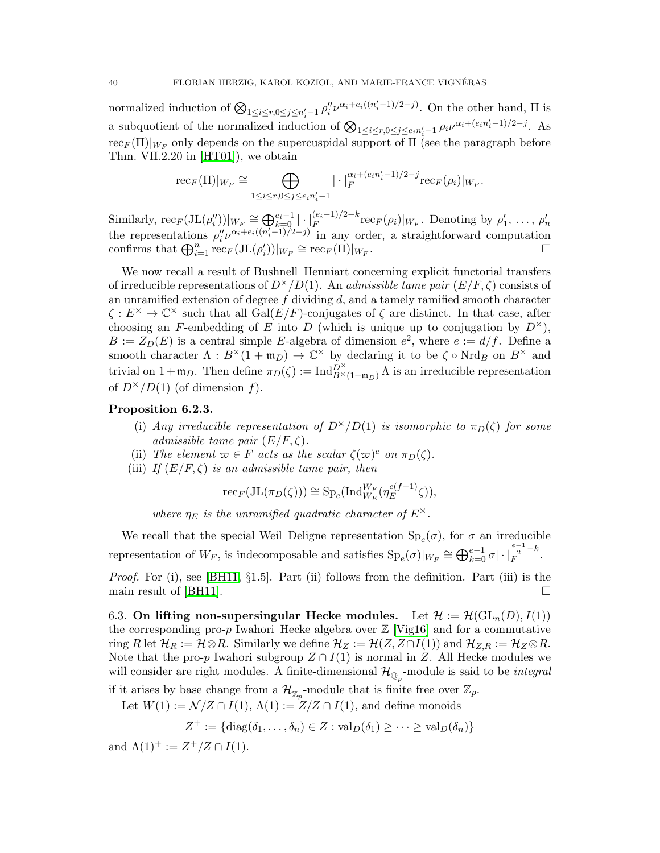normalized induction of  $\bigotimes_{1 \leq i \leq r, 0 \leq j \leq n'_i-1} \rho''_i \nu^{\alpha_i+e_i((n'_i-1)/2-j)}$ . On the other hand,  $\Pi$  is a subquotient of the normalized induction of  $\bigotimes_{1 \leq i \leq r, 0 \leq j \leq e_i n'_i-1} \rho_i \nu^{\alpha_i + (e_i n'_i-1)/2-j}$ . As  $\mathrm{rec}_{F}(\Pi)|_{W_F}$  only depends on the supercuspidal support of  $\Pi$  (see the paragraph before Thm. VII.2.20 in [\[HT01\]](#page-56-18)), we obtain

$$
\mathrm{rec}_F(\Pi)|_{W_F}\cong \bigoplus_{1\leq i\leq r, 0\leq j\leq e_i n'_i-1}|\cdot|_F^{\alpha_i+(e_i n'_i-1)/2-j}\mathrm{rec}_F(\rho_i)|_{W_F}.
$$

Similarly,  $\operatorname{rec}_F(\operatorname{JL}(\rho''_i))|_{W_F} \cong \bigoplus_{k=0}^{e_i-1} |\cdot|_F^{(e_i-1)/2-k} \operatorname{rec}_F(\rho_i)|_{W_F}$ . Denoting by  $\rho'_1, \ldots, \rho'_n$ the representations  $\rho''_i\nu^{\alpha_i+e_i((n'_i-1)/2-j)}$  in any order, a straightforward computation confirms that  $\bigoplus_{i=1}^n \text{rec}_F(\text{JL}(\rho_i'))|_{W_F} \cong \text{rec}_F(\Pi)|_{W_F}$ . В последните последните последните под на применения в последните под на применения в собствените под на при<br>В последните под на применение под на применение под на применение под на применение под на применение и под н

We now recall a result of Bushnell–Henniart concerning explicit functorial transfers of irreducible representations of  $D^{\times}/D(1)$ . An *admissible tame pair*  $(E/F, \zeta)$  consists of an unramified extension of degree  $f$  dividing  $d$ , and a tamely ramified smooth character  $\zeta : E^{\times} \to \mathbb{C}^{\times}$  such that all  $Gal(E/F)$ -conjugates of  $\zeta$  are distinct. In that case, after choosing an F-embedding of E into D (which is unique up to conjugation by  $D^{\times}$ ),  $B := Z_D(E)$  is a central simple E-algebra of dimension  $e^2$ , where  $e := d/f$ . Define a smooth character  $\Lambda : B^{\times}(1 + \mathfrak{m}_D) \to \mathbb{C}^{\times}$  by declaring it to be  $\zeta \circ Nrd_B$  on  $B^{\times}$  and trivial on  $1+\mathfrak{m}_D$ . Then define  $\pi_D(\zeta) := \text{Ind}_{B^\times(1+\mathfrak{m}_D)}^{D^\times} \Lambda$  is an irreducible representation of  $D^{\times}/D(1)$  (of dimension f).

## <span id="page-39-1"></span>Proposition 6.2.3.

- (i) Any irreducible representation of  $D^{\times}/D(1)$  is isomorphic to  $\pi_D(\zeta)$  for some admissible tame pair  $(E/F, \zeta)$ .
- (ii) The element  $\varpi \in F$  acts as the scalar  $\zeta(\varpi)^e$  on  $\pi_D(\zeta)$ .
- (iii) If  $(E/F, \zeta)$  is an admissible tame pair, then

$$
\mathrm{rec}_F(\mathrm{JL}(\pi_D(\zeta))) \cong \mathrm{Sp}_e(\mathrm{Ind}_{W_E}^{W_F}(\eta_E^{e(f-1)}\zeta)),
$$

where  $\eta_E$  is the unramified quadratic character of  $E^{\times}$ .

We recall that the special Weil–Deligne representation  $\text{Sp}_e(\sigma)$ , for  $\sigma$  an irreducible representation of  $W_F$ , is indecomposable and satisfies  $\text{Sp}_e(\sigma)|_{W_F} \cong \bigoplus_{k=0}^{e-1} \sigma | \cdot |_F^{\frac{e-1}{2} - k}.$ 

*Proof.* For (i), see [\[BH11,](#page-54-8)  $\S1.5$ ]. Part (ii) follows from the definition. Part (iii) is the main result of [\[BH11\]](#page-54-8).  $\Box$ 

<span id="page-39-0"></span>6.3. On lifting non-supersingular Hecke modules. Let  $\mathcal{H} := \mathcal{H}(\mathrm{GL}_n(D), I(1))$ the corresponding pro-p Iwahori–Hecke algebra over  $\mathbb{Z}$  [\[Vig16\]](#page-57-0) and for a commutative ring R let  $\mathcal{H}_R := \mathcal{H} \otimes R$ . Similarly we define  $\mathcal{H}_Z := \mathcal{H}(Z, Z \cap I(1))$  and  $\mathcal{H}_{Z,R} := \mathcal{H}_Z \otimes R$ . Note that the pro-p Iwahori subgroup  $Z \cap I(1)$  is normal in Z. All Hecke modules we will consider are right modules. A finite-dimensional  $\mathcal{H}_{\overline{\mathbb{Q}}_p}$ -module is said to be *integral* 

if it arises by base change from a  $\mathcal{H}_{\overline{Z}_p}$ -module that is finite free over  $\overline{Z}_p$ .

Let  $W(1) := \mathcal{N}/Z \cap I(1)$ ,  $\Lambda(1) := Z/Z \cap I(1)$ , and define monoids

$$
Z^+ := \{ \mathrm{diag}(\delta_1, \ldots, \delta_n) \in Z : \mathrm{val}_D(\delta_1) \geq \cdots \geq \mathrm{val}_D(\delta_n) \}
$$

and  $\Lambda(1)^{+} := Z^{+}/Z \cap I(1)$ .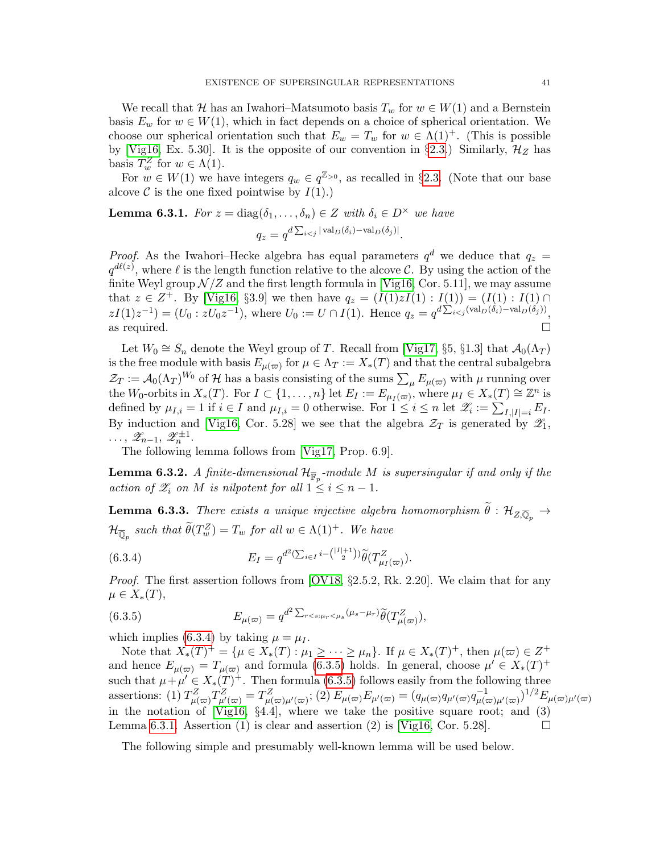We recall that H has an Iwahori–Matsumoto basis  $T_w$  for  $w \in W(1)$  and a Bernstein basis  $E_w$  for  $w \in W(1)$ , which in fact depends on a choice of spherical orientation. We choose our spherical orientation such that  $E_w = T_w$  for  $w \in \Lambda(1)^+$ . (This is possible by [\[Vig16,](#page-57-0) Ex. 5.30]. It is the opposite of our convention in §[2.3.](#page-7-0)) Similarly,  $\mathcal{H}_Z$  has basis  $T_w^Z$  for  $w \in \Lambda(1)$ .

For  $w \in W(1)$  we have integers  $q_w \in q^{\mathbb{Z}_{>0}}$ , as recalled in §[2.3.](#page-7-0) (Note that our base alcove  $\mathcal C$  is the one fixed pointwise by  $I(1)$ .)

<span id="page-40-2"></span>**Lemma 6.3.1.** For 
$$
z = \text{diag}(\delta_1, ..., \delta_n) \in Z
$$
 with  $\delta_i \in D^\times$  we have  

$$
q_z = q^{d \sum_{i < j} |\text{val}_D(\delta_i) - \text{val}_D(\delta_j)|}.
$$

*Proof.* As the Iwahori–Hecke algebra has equal parameters  $q^d$  we deduce that  $q_z =$  $q^{d\ell(z)}$ , where  $\ell$  is the length function relative to the alcove C. By using the action of the finite Weyl group  $\mathcal{N}/\mathbb{Z}$  and the first length formula in [\[Vig16,](#page-57-0) Cor. 5.11], we may assume that  $z \in Z^+$ . By [\[Vig16,](#page-57-0) §3.9] we then have  $q_z = (I(1)zI(1) : I(1)) = (I(1) : I(1) \cap I(1))$  $zI(1)z^{-1} = (U_0 : zU_0 z^{-1}),$  where  $U_0 := U \cap I(1)$ . Hence  $q_z = q^{d\sum_{i < j} (val_D(\delta_i) - val_D(\delta_j))},$ as required.  $\Box$ 

Let  $W_0 \cong S_n$  denote the Weyl group of T. Recall from [\[Vig17,](#page-57-2) §5, §1.3] that  $\mathcal{A}_0(\Lambda_T)$ is the free module with basis  $E_{\mu(\varpi)}$  for  $\mu \in \Lambda_T := X_*(T)$  and that the central subalgebra  $\mathcal{Z}_T := \mathcal{A}_0(\Lambda_T)^{W_0}$  of H has a basis consisting of the sums  $\sum_{\mu} E_{\mu(\varpi)}$  with  $\mu$  running over the W<sub>0</sub>-orbits in  $X_*(T)$ . For  $I \subset \{1, \ldots, n\}$  let  $E_I := E_{\mu_I(\varpi)}$ , where  $\mu_I \in X_*(T) \cong \mathbb{Z}^n$  is defined by  $\mu_{I,i} = 1$  if  $i \in I$  and  $\mu_{I,i} = 0$  otherwise. For  $1 \leq i \leq n$  let  $\mathscr{Z}_i := \sum_{I,|I|=i} E_I$ . By induction and [\[Vig16,](#page-57-0) Cor. 5.28] we see that the algebra  $\mathcal{Z}_T$  is generated by  $\mathcal{Z}_1$ ,  $\ldots, \mathscr{Z}_{n-1}, \mathscr{Z}_{n}^{\pm 1}.$ 

The following lemma follows from [\[Vig17,](#page-57-2) Prop. 6.9].

<span id="page-40-4"></span>**Lemma 6.3.2.** A finite-dimensional  $\mathcal{H}_{\overline{\mathbb{F}}_p}$ -module M is supersingular if and only if the action of  $\mathscr{Z}_i$  on M is nilpotent for all  $1 \leq i \leq n-1$ .

<span id="page-40-3"></span>**Lemma 6.3.3.** There exists a unique injective algebra homomorphism  $\tilde{\theta}$ :  $\mathcal{H}_{Z,\overline{\mathbb{Q}}_{p}} \to$  $\mathcal{H}_{\overline{\mathbb{Q}}_p}$  such that  $\widetilde{\theta}(T_w^Z) = T_w$  for all  $w \in \Lambda(1)^+$ . We have

<span id="page-40-0"></span>(6.3.4) 
$$
E_I = q^{d^2(\sum_{i \in I} i - \binom{|I|+1}{2})} \widetilde{\theta}(T_{\mu_I(\varpi)}^Z).
$$

Proof. The first assertion follows from [\[OV18,](#page-56-6) §2.5.2, Rk. 2.20]. We claim that for any  $\mu \in X_*(T),$ 

<span id="page-40-1"></span>(6.3.5) 
$$
E_{\mu(\varpi)} = q^{d^2 \sum_{r < s:\mu_r < \mu_s} (\mu_s - \mu_r)} \widetilde{\theta}(T_{\mu(\varpi)}^Z),
$$

which implies [\(6.3.4\)](#page-40-0) by taking  $\mu = \mu_I$ .

Note that  $X_*(T)^+ = \{ \mu \in X_*(T) : \mu_1 \geq \cdots \geq \mu_n \}.$  If  $\mu \in X_*(T)^+$ , then  $\mu(\varpi) \in Z^+$ and hence  $E_{\mu(\varpi)} = T_{\mu(\varpi)}$  and formula [\(6.3.5\)](#page-40-1) holds. In general, choose  $\mu' \in X_*(T)^+$ such that  $\mu + \mu' \in X_*(T)^+$ . Then formula [\(6.3.5\)](#page-40-1) follows easily from the following three assertions: (1)  $T_{\mu(\infty)}^Z T_{\mu'(\infty)}^Z = T_{\mu(\infty)\mu'(\infty)}^Z$ ; (2)  $E_{\mu(\infty)}E_{\mu'(\infty)} = (q_{\mu(\infty)}q_{\mu'(\infty)}q_{\mu(\infty)\mu'(\infty)}^{-1})^{1/2}E_{\mu(\infty)\mu'(\infty)}$ in the notation of [\[Vig16,](#page-57-0) §4.4], where we take the positive square root; and (3) Lemma [6.3.1.](#page-40-2) Assertion (1) is clear and assertion (2) is [\[Vig16,](#page-57-0) Cor. 5.28].

The following simple and presumably well-known lemma will be used below.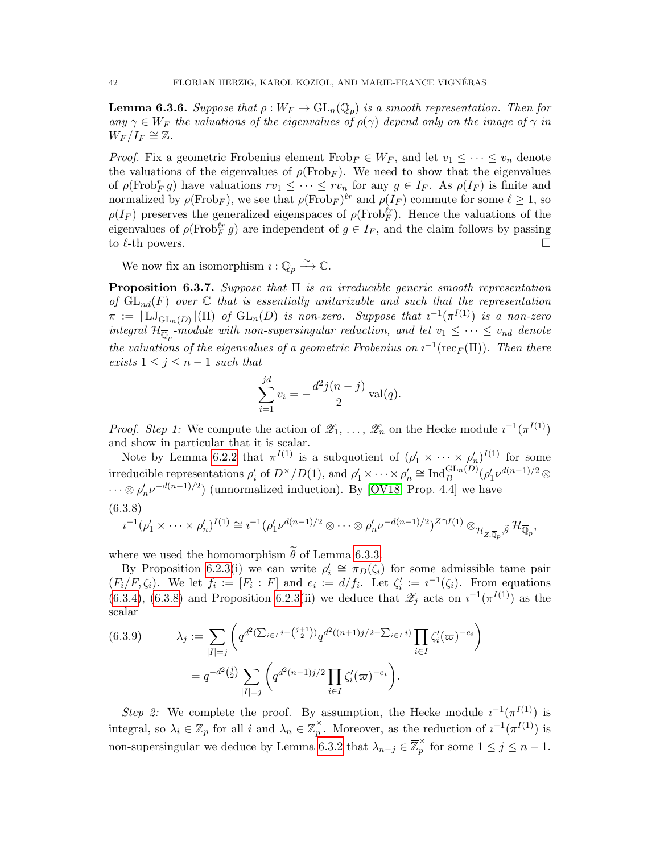<span id="page-41-2"></span>**Lemma 6.3.6.** Suppose that  $\rho: W_F \to \text{GL}_n(\overline{\mathbb{Q}}_p)$  is a smooth representation. Then for any  $\gamma \in W_F$  the valuations of the eigenvalues of  $\rho(\gamma)$  depend only on the image of  $\gamma$  in  $W_F/I_F \cong \mathbb{Z}$ .

*Proof.* Fix a geometric Frobenius element  $Frob_F \in W_F$ , and let  $v_1 \leq \cdots \leq v_n$  denote the valuations of the eigenvalues of  $\rho(\text{Frob}_F)$ . We need to show that the eigenvalues of  $\rho(\text{Frob}_F^r g)$  have valuations  $rv_1 \leq \cdots \leq rv_n$  for any  $g \in I_F$ . As  $\rho(I_F)$  is finite and normalized by  $\rho(\text{Frob}_F)$ , we see that  $\rho(\text{Frob}_F)^{\ell r}$  and  $\rho(I_F)$  commute for some  $\ell \geq 1$ , so  $\rho(I_F)$  preserves the generalized eigenspaces of  $\rho(\text{Frob}_F^{\ell r})$ . Hence the valuations of the eigenvalues of  $\rho(\text{Frob}_F^{\ell r} g)$  are independent of  $g \in I_F$ , and the claim follows by passing to  $\ell$ -th powers.

We now fix an isomorphism  $\imath : \overline{\mathbb{Q}}_p \xrightarrow{\sim} \mathbb{C}$ .

<span id="page-41-3"></span>**Proposition 6.3.7.** Suppose that  $\Pi$  is an irreducible generic smooth representation of  $GL_{nd}(F)$  over  $\mathbb C$  that is essentially unitarizable and such that the representation  $\pi := | \mathrm{LJ}_{\mathrm{GL}_n(D)} |(\Pi)$  of  $\mathrm{GL}_n(D)$  is non-zero. Suppose that  $\imath^{-1}(\pi^{I(1)})$  is a non-zero integral  $\mathcal{H}_{\overline{\mathbb{Q}}_p}$ -module with non-supersingular reduction, and let  $v_1 \leq \cdots \leq v_{nd}$  denote the valuations of the eigenvalues of a geometric Frobenius on  $i^{-1}(\text{rec}_F(\Pi))$ . Then there exists  $1 \leq j \leq n-1$  such that

$$
\sum_{i=1}^{jd} v_i = -\frac{d^2 j(n-j)}{2} \text{val}(q).
$$

*Proof. Step 1:* We compute the action of  $\mathscr{Z}_1, \ldots, \mathscr{Z}_n$  on the Hecke module  $i^{-1}(\pi^{I(1)})$ and show in particular that it is scalar.

Note by Lemma [6.2.2](#page-38-1) that  $\pi^{I(1)}$  is a subquotient of  $(\rho'_1 \times \cdots \times \rho'_n)^{I(1)}$  for some irreducible representations  $\rho'_i$  of  $D^\times/D(1)$ , and  $\rho'_1 \times \cdots \times \rho'_n \cong \text{Ind}_{B}^{\text{GL}_n(D)}(\rho'_1 \nu^{d(n-1)/2} \otimes$  $\dots \otimes \rho'_n \nu^{-d(n-1)/2}$  (unnormalized induction). By [\[OV18,](#page-56-6) Prop. 4.4] we have (6.3.8)

<span id="page-41-0"></span>
$$
i^{-1}(\rho'_1 \times \cdots \times \rho'_n)^{I(1)} \cong i^{-1}(\rho'_1 \nu^{d(n-1)/2} \otimes \cdots \otimes \rho'_n \nu^{-d(n-1)/2})^{Z \cap I(1)} \otimes_{\mathcal{H}_{Z,\overline{\mathbb{Q}}_p}, \widetilde{\theta}} \mathcal{H}_{\overline{\mathbb{Q}}_p},
$$

where we used the homomorphism  $\tilde{\theta}$  of Lemma [6.3.3.](#page-40-3)

By Proposition [6.2.3\(](#page-39-1)i) we can write  $\rho'_i \cong \pi_D(\zeta_i)$  for some admissible tame pair  $(F_i/F, \zeta_i)$ . We let  $f_i := [F_i : F]$  and  $e_i := d/f_i$ . Let  $\zeta'_i := i^{-1}(\zeta_i)$ . From equations [\(6.3.4\)](#page-40-0), [\(6.3.8\)](#page-41-0) and Proposition [6.2.3\(](#page-39-1)ii) we deduce that  $\mathscr{Z}_j$  acts on  $i^{-1}(\pi^{I(1)})$  as the scalar

<span id="page-41-1"></span>
$$
(6.3.9) \qquad \lambda_j := \sum_{|I|=j} \left( q^{d^2 (\sum_{i \in I} i - \binom{j+1}{2})} q^{d^2 ((n+1)j/2 - \sum_{i \in I} i)} \prod_{i \in I} \zeta'_i (\varpi)^{-e_i} \right)
$$

$$
= q^{-d^2 \binom{j}{2}} \sum_{|I|=j} \left( q^{d^2 (n-1)j/2} \prod_{i \in I} \zeta'_i (\varpi)^{-e_i} \right).
$$

Step 2: We complete the proof. By assumption, the Hecke module  $i^{-1}(\pi^{I(1)})$  is integral, so  $\lambda_i \in \overline{\mathbb{Z}}_p$  for all i and  $\lambda_n \in \overline{\mathbb{Z}}_p^{\times}$  $_{p}^{\times}$ . Moreover, as the reduction of  $i^{-1}(\pi^{I(1)})$  is non-supersingular we deduce by Lemma [6.3.2](#page-40-4) that  $\lambda_{n-j} \in \overline{\mathbb{Z}}_p^{\times}$  $\hat{p}$  for some  $1 \leq j \leq n-1$ .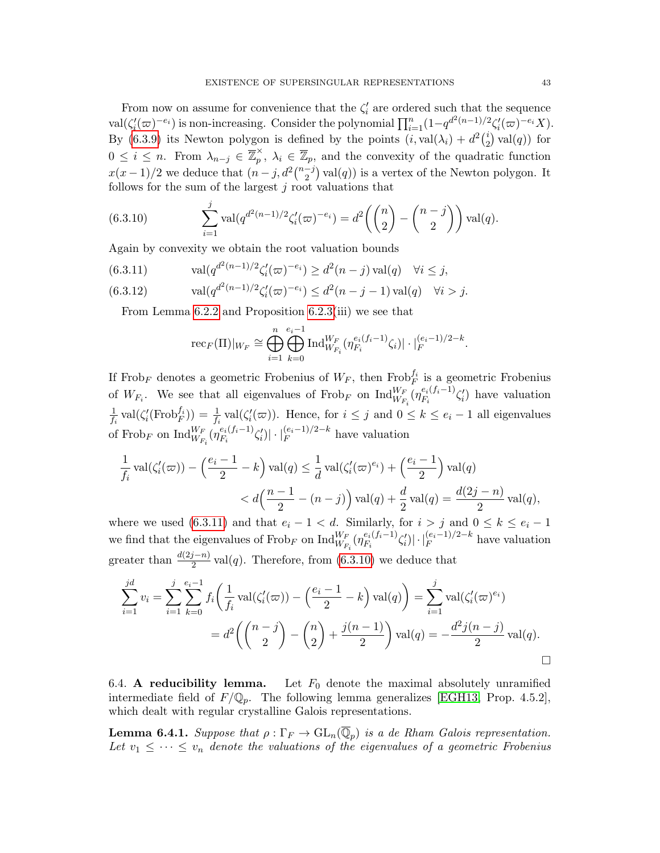From now on assume for convenience that the  $\zeta_i'$  are ordered such that the sequence  $\text{val}(\zeta_i'(\varpi)^{-e_i})$  is non-increasing. Consider the polynomial  $\prod_{i=1}^n (1-q^{d^2(n-1)/2} \zeta_i'(\varpi)^{-e_i} X)$ . By [\(6.3.9\)](#page-41-1) its Newton polygon is defined by the points  $(i, val(\lambda_i) + d^2(i)$  $i\choose 2$  val $(q)$ ) for  $0 \leq i \leq n$ . From  $\lambda_{n-j} \in \overline{\mathbb{Z}}_p^{\times}$  $p_{p}^{\times}, \lambda_{i} \in \overline{\mathbb{Z}}_{p}$ , and the convexity of the quadratic function  $x(x-1)/2$  we deduce that  $(n-j, d^2\binom{n-j}{2})$  $\binom{-j}{2}$  val $(q)$ ) is a vertex of the Newton polygon. It follows for the sum of the largest  $j$  root valuations that

<span id="page-42-2"></span>(6.3.10) 
$$
\sum_{i=1}^{j} \text{val}(q^{d^2(n-1)/2} \zeta_i'(\varpi)^{-e_i}) = d^2\left(\binom{n}{2} - \binom{n-j}{2}\right) \text{val}(q).
$$

Again by convexity we obtain the root valuation bounds

<span id="page-42-1"></span>(6.3.11) 
$$
\text{val}(q^{d^2(n-1)/2}\zeta_i'(\varpi)^{-e_i}) \geq d^2(n-j)\,\text{val}(q) \quad \forall i \leq j,
$$

(6.3.12) 
$$
\text{val}(q^{d^2(n-1)/2}\zeta_i'(\varpi)^{-e_i}) \leq d^2(n-j-1)\,\text{val}(q) \quad \forall i > j.
$$

From Lemma [6.2.2](#page-38-1) and Proposition [6.2.3\(](#page-39-1)iii) we see that

$$
\mathrm{rec}_F(\Pi)|_{W_F} \cong \bigoplus_{i=1}^n \bigoplus_{k=0}^{e_i-1} \mathrm{Ind}_{W_{F_i}}^{W_F}(\eta_{F_i}^{e_i(f_i-1)}\zeta_i)| \cdot |_{F}^{(e_i-1)/2-k}.
$$

If Frob<sub>F</sub> denotes a geometric Frobenius of  $W_F$ , then Frob $f_i$  is a geometric Frobenius of  $W_{F_i}$ . We see that all eigenvalues of  $Frob_F$  on  $\text{Ind}_{W_{F_i}}^{W_F}(\eta_{F_i}^{e_i(f_i-1)})$  $\binom{e_i(t_i-1)}{F_i} \zeta'_i$  have valuation 1  $\frac{1}{f_i}$  val $(\zeta_i'(\text{Frob}_F^{f_i})) = \frac{1}{f_i}$  val $(\zeta_i'(\varpi))$ . Hence, for  $i \leq j$  and  $0 \leq k \leq e_i - 1$  all eigenvalues of Frob<sub>F</sub> on  $\operatorname{Ind}_{W_{F_i}}^{W_F}(\eta_{F_i}^{e_i(f_i-1)})$  $\left| \frac{e_i(f_i-1)}{F_i} \zeta'_i \right| \right| \cdot \left| \frac{(e_i-1)}{F} \right|^{2-k}$  have valuation

$$
\frac{1}{f_i} \operatorname{val}(\zeta_i'(\varpi)) - \left(\frac{e_i - 1}{2} - k\right) \operatorname{val}(q) \le \frac{1}{d} \operatorname{val}(\zeta_i'(\varpi)^{e_i}) + \left(\frac{e_i - 1}{2}\right) \operatorname{val}(q)
$$
\n
$$
< d\left(\frac{n - 1}{2} - (n - j)\right) \operatorname{val}(q) + \frac{d}{2} \operatorname{val}(q) = \frac{d(2j - n)}{2} \operatorname{val}(q),
$$

where we used [\(6.3.11\)](#page-42-1) and that  $e_i - 1 < d$ . Similarly, for  $i > j$  and  $0 \le k \le e_i - 1$ we find that the eigenvalues of  $Frob_F$  on  $\text{Ind}_{W_{F_i}}^{W_F}(\eta_{F_i}^{e_i(f_i-1)})$  $\left| \frac{e_i(f_i-1)}{F_i} \zeta'_i \right| \right| \cdot \left| \frac{(e_i-1)}{F} \right|^{2-k}$  have valuation greater than  $\frac{d(2j-n)}{2}$  val $(q)$ . Therefore, from [\(6.3.10\)](#page-42-2) we deduce that

$$
\sum_{i=1}^{jd} v_i = \sum_{i=1}^{j} \sum_{k=0}^{e_i - 1} f_i \left( \frac{1}{f_i} \operatorname{val}(\zeta_i'(\varpi)) - \left( \frac{e_i - 1}{2} - k \right) \operatorname{val}(q) \right) = \sum_{i=1}^{j} \operatorname{val}(\zeta_i'(\varpi)^{e_i})
$$
  
=  $d^2 \left( \binom{n-j}{2} - \binom{n}{2} + \frac{j(n-1)}{2} \right) \operatorname{val}(q) = -\frac{d^2 j(n-j)}{2} \operatorname{val}(q).$ 

<span id="page-42-0"></span>6.4. A reducibility lemma. Let  $F_0$  denote the maximal absolutely unramified intermediate field of  $F/\mathbb{Q}_p$ . The following lemma generalizes [\[EGH13,](#page-55-15) Prop. 4.5.2], which dealt with regular crystalline Galois representations.

<span id="page-42-3"></span>**Lemma 6.4.1.** Suppose that  $\rho : \Gamma_F \to \text{GL}_n(\overline{\mathbb{Q}}_p)$  is a de Rham Galois representation. Let  $v_1 \leq \cdots \leq v_n$  denote the valuations of the eigenvalues of a geometric Frobenius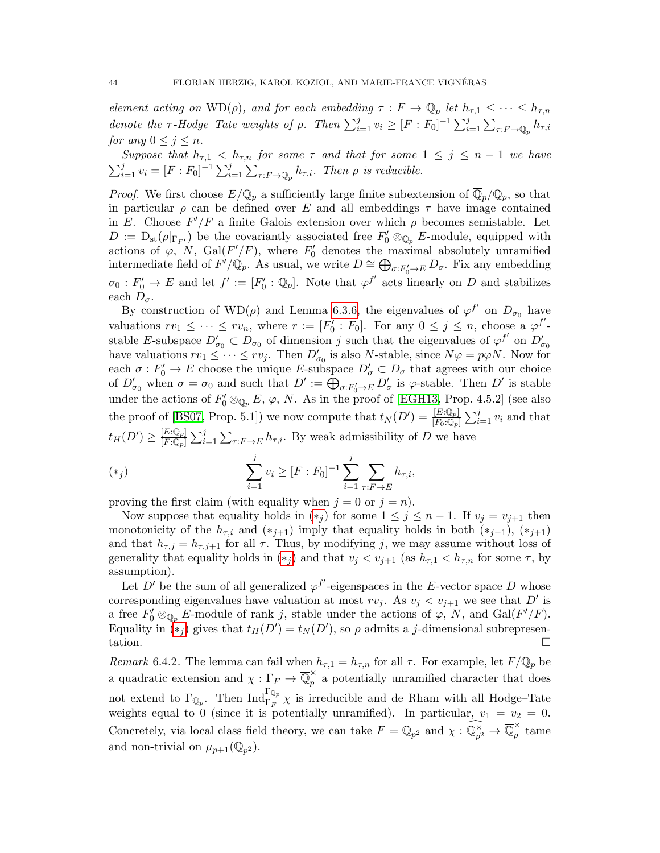element acting on  $\text{WD}(\rho)$ , and for each embedding  $\tau : F \to \overline{\mathbb{Q}}_p$  let  $h_{\tau,1} \leq \cdots \leq h_{\tau,n}$ denote the  $\tau$ -Hodge-Tate weights of  $\rho$ . Then  $\sum_{i=1}^{j} v_i \geq [F : F_0]^{-1} \sum_{i=1}^{j} \sum_{\tau: F \to \overline{\mathbb{Q}}_p} h_{\tau,i}$ for any  $0 \leq j \leq n$ .

Suppose that  $h_{\tau,1} < h_{\tau,n}$  for some  $\tau$  and that for some  $1 \leq j \leq n-1$  we have  $\sum_{i=1}^{j} v_i = [F : F_0]^{-1} \sum_{i=1}^{j} \sum_{\tau: F \to \overline{\mathbb{Q}}_p} h_{\tau,i}$ . Then  $\rho$  is reducible.

*Proof.* We first choose  $E/\mathbb{Q}_p$  a sufficiently large finite subextension of  $\overline{\mathbb{Q}}_p/\mathbb{Q}_p$ , so that in particular  $\rho$  can be defined over E and all embeddings  $\tau$  have image contained in E. Choose  $F'/F$  a finite Galois extension over which  $\rho$  becomes semistable. Let  $D := D_{st}(\rho|_{\Gamma_{F'}})$  be the covariantly associated free  $F'_0 \otimes_{\mathbb{Q}_p} E$ -module, equipped with actions of  $\varphi$ , N, Gal( $F'/F$ ), where  $F'_0$  denotes the maximal absolutely unramified intermediate field of  $F'/{\mathbb Q}_p$ . As usual, we write  $D \cong \bigoplus_{\sigma: F'_0 \to E} D_{\sigma}$ . Fix any embedding  $\sigma_0: F_0' \to E$  and let  $f' := [F_0' : \mathbb{Q}_p]$ . Note that  $\varphi^{f'}$  acts linearly on D and stabilizes each  $D_{\sigma}$ .

By construction of  $WD(\rho)$  and Lemma [6.3.6,](#page-41-2) the eigenvalues of  $\varphi^{f'}$  on  $D_{\sigma_0}$  have valuations  $rv_1 \leq \cdots \leq rv_n$ , where  $r := [F'_0 : F_0]$ . For any  $0 \leq j \leq n$ , choose a  $\varphi^{f'}$ stable E-subspace  $D'_{\sigma_0} \subset D_{\sigma_0}$  of dimension j such that the eigenvalues of  $\varphi^{f'}$  on  $D'_{\sigma_0}$ have valuations  $rv_1 \leq \cdots \leq rv_j$ . Then  $D'_{\sigma_0}$  is also N-stable, since  $N\varphi = p\varphi N$ . Now for each  $\sigma: F_0' \to E$  choose the unique E-subspace  $D'_\sigma \subset D_\sigma$  that agrees with our choice of  $D'_{\sigma_0}$  when  $\sigma = \sigma_0$  and such that  $D' := \bigoplus_{\sigma: F'_0 \to E} D'_{\sigma}$  is  $\varphi$ -stable. Then  $D'$  is stable under the actions of  $F'_0 \otimes_{\mathbb{Q}_p} E$ ,  $\varphi$ , N. As in the proof of [\[EGH13,](#page-55-15) Prop. 4.5.2] (see also the proof of [\[BS07,](#page-55-16) Prop. 5.1]) we now compute that  $t_N(D') = \frac{[E:\mathbb{Q}_p]}{[F_0:\mathbb{Q}_p]} \sum_{i=1}^j v_i$  and that  $t_H(D') \geq \frac{[E:\mathbb{Q}_p]}{[F:\mathbb{Q}_p]}$  $\frac{[E:\mathbb{Q}_p]}{[F:\mathbb{Q}_p]} \sum_{i=1}^j \sum_{\tau: F \to E} h_{\tau,i}$ . By weak admissibility of D we have

<span id="page-43-0"></span>(\*) 
$$
\sum_{i=1}^{j} v_i \geq [F : F_0]^{-1} \sum_{i=1}^{j} \sum_{\tau: F \to E} h_{\tau, i},
$$

proving the first claim (with equality when  $j = 0$  or  $j = n$ ).

Now suppose that equality holds in  $(*_i)$  for some  $1 \leq j \leq n-1$ . If  $v_i = v_{i+1}$  then monotonicity of the  $h_{\tau,i}$  and  $(*_{j+1})$  imply that equality holds in both  $(*_{j-1})$ ,  $(*_{j+1})$ and that  $h_{\tau,j} = h_{\tau,j+1}$  for all  $\tau$ . Thus, by modifying j, we may assume without loss of generality that equality holds in  $(*_j)$  and that  $v_j < v_{j+1}$  (as  $h_{\tau,1} < h_{\tau,n}$  for some  $\tau$ , by assumption).

Let D' be the sum of all generalized  $\varphi^{f'}$ -eigenspaces in the E-vector space D whose corresponding eigenvalues have valuation at most  $rv_j$ . As  $v_j < v_{j+1}$  we see that D' is a free  $F'_0 \otimes_{\mathbb{Q}_p} E$ -module of rank j, stable under the actions of  $\varphi$ , N, and  $Gal(F'/F)$ . Equality in  $\tilde{F}(x_j)$  gives that  $t_H(D') = t_N(D')$ , so  $\rho$  admits a j-dimensional subrepresentation.  $\Box$ 

Remark 6.4.2. The lemma can fail when  $h_{\tau,1} = h_{\tau,n}$  for all  $\tau$ . For example, let  $F/\mathbb{Q}_p$  be a quadratic extension and  $\chi : \Gamma_F \to \overline{\mathbb{Q}}_p^{\times}$  a potentially unramified character that does not extend to  $\Gamma_{\mathbb{Q}_p}$ . Then  $\text{Ind}_{\Gamma_F}^{\Gamma_{\mathbb{Q}_p}} \chi$  is irreducible and de Rham with all Hodge–Tate weights equal to 0 (since it is potentially unramified). In particular,  $v_1 = v_2 = 0$ . Concretely, via local class field theory, we can take  $F = \mathbb{Q}_{p^2}$  and  $\chi : \widehat{\mathbb{Q}_{p^2}^{\times}} \to \overline{\mathbb{Q}}_p^{\times}$  $\hat{p}$  tame and non-trivial on  $\mu_{p+1}(\mathbb{Q}_{p^2})$ .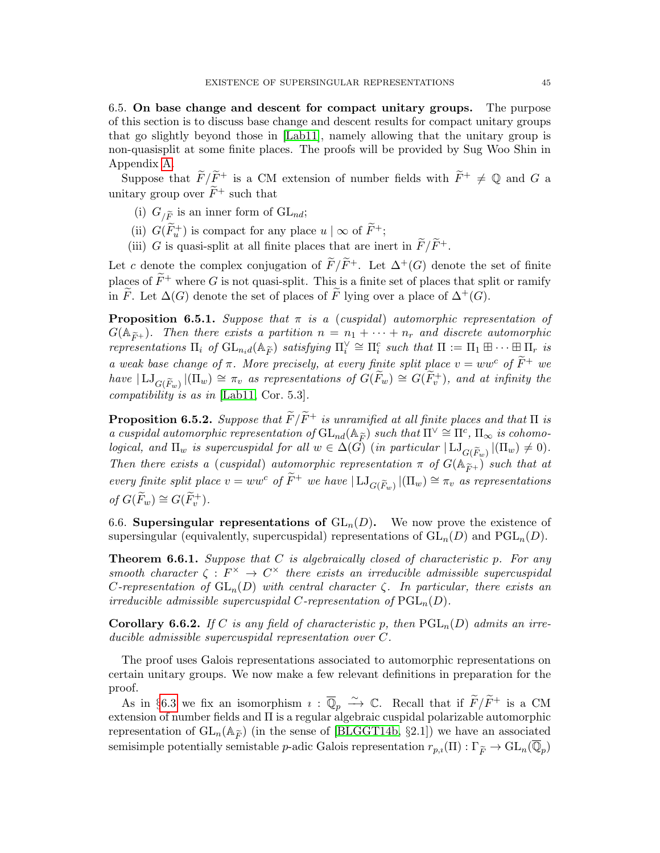<span id="page-44-0"></span>6.5. On base change and descent for compact unitary groups. The purpose of this section is to discuss base change and descent results for compact unitary groups that go slightly beyond those in [\[Lab11\]](#page-56-9), namely allowing that the unitary group is non-quasisplit at some finite places. The proofs will be provided by Sug Woo Shin in Appendix [A.](#page-51-0)

Suppose that  $\widetilde{F}/\widetilde{F}^+$  is a CM extension of number fields with  $\widetilde{F}^+ \neq \mathbb{Q}$  and G a unitary group over  $\widetilde{F}^+$  such that

- (i)  $G_{/\widetilde{F}}$  is an inner form of  $GL_{nd}$ ;
- (ii)  $G(\widetilde{F}_u^+)$  is compact for any place  $u | \infty$  of  $\widetilde{F}^+$ ;
- (iii) G is quasi-split at all finite places that are inert in  $\widetilde{F}/\widetilde{F}^+$ .

Let c denote the complex conjugation of  $\widetilde{F}/\widetilde{F}^+$ . Let  $\Delta^+(G)$  denote the set of finite places of  $\widetilde{F}^+$  where G is not quasi-split. This is a finite set of places that split or ramify in F. Let  $\Delta(G)$  denote the set of places of F lying over a place of  $\Delta^+(G)$ .

<span id="page-44-3"></span>**Proposition 6.5.1.** Suppose that  $\pi$  is a (cuspidal) automorphic representation of  $G(\mathbb{A}_{\widetilde{F}^+})$ . Then there exists a partition  $n = n_1 + \cdots + n_r$  and discrete automorphic representations  $\Pi_i$  of  $GL_{n_i d}(\mathbb{A}_{\widetilde{F}})$  satisfying  $\Pi_i^{\vee} \cong \Pi_i^c$  such that  $\Pi := \Pi_1 \boxplus \cdots \boxplus \Pi_r$  is a weak base change of  $\pi$ . More precisely, at every finite split place  $v = ww<sup>c</sup>$  of  $\widetilde{F}^+$  we have  $|\mathrm{LJ}_{G(\widetilde{F}_w)}|(\Pi_w) \cong \pi_v$  as representations of  $G(\widetilde{F}_w) \cong G(\widetilde{F}_v^+)$ , and at infinity the compatibility is as in [\[Lab11,](#page-56-9) Cor. 5.3].

<span id="page-44-5"></span>**Proposition 6.5.2.** Suppose that  $\widetilde{F}/\widetilde{F}^+$  is unramified at all finite places and that  $\Pi$  is a cuspidal automorphic representation of  $GL_{nd}(\mathbb{A}_{\widetilde{F}})$  such that  $\Pi^{\vee} \cong \Pi^c$ ,  $\Pi_{\infty}$  is cohomo-<br>logical, and  $\Pi_{\widetilde{F}}$  is expressentation of  $GL_{nd}(\mathbb{A}_{\widetilde{F}})$  such that  $\Pi^{\vee} \cong \Pi^c$ ,  $\Pi_{\infty}$  is logical, and  $\Pi_w$  is supercuspidal for all  $w \in \Delta(G)$  (in particular  $|\mathrm{LJ}_{G(\widetilde{F}_w)}|(\Pi_w) \neq 0$ ). Then there exists a (cuspidal) automorphic representation  $\pi$  of  $G(\mathbb{A}_{\widetilde{F}^+})$  such that at every finite split place  $v = ww^c$  of  $\widetilde{F}^+$  we have  $|\mathrm{LJ}_{G(\widetilde{F}_w)}|(\Pi_w) \cong \pi_v$  as representations of  $G(\widetilde{F}_w) \cong G(\widetilde{F}_v^+)$ .

<span id="page-44-1"></span>6.6. Supersingular representations of  $GL_n(D)$ . We now prove the existence of supersingular (equivalently, supercuspidal) representations of  $GL_n(D)$  and  $PGL_n(D)$ .

<span id="page-44-4"></span>**Theorem 6.6.1.** Suppose that C is algebraically closed of characteristic p. For any smooth character  $\zeta : F^{\times} \to C^{\times}$  there exists an irreducible admissible supercuspidal C-representation of  $GL_n(D)$  with central character  $\zeta$ . In particular, there exists an irreducible admissible supercuspidal C-representation of  $\operatorname{PGL}_n(D)$ .

<span id="page-44-2"></span>**Corollary 6.6.2.** If C is any field of characteristic p, then  $PGL_n(D)$  admits an irreducible admissible supercuspidal representation over C.

The proof uses Galois representations associated to automorphic representations on certain unitary groups. We now make a few relevant definitions in preparation for the proof.

As in §[6.3](#page-39-0) we fix an isomorphism  $\imath : \overline{\mathbb{Q}}_p \overset{\sim}{\longrightarrow} \mathbb{C}$ . Recall that if  $\widetilde{F}/\widetilde{F}^+$  is a CM extension of number fields and Π is a regular algebraic cuspidal polarizable automorphic representation of  $GL_n(\mathbb{A}_{\widetilde{F}})$  (in the sense of [\[BLGGT14b,](#page-55-17) §2.1]) we have an associated semisimple potentially semistable *p*-adic Galois representation  $r_{p,i}(\Pi) : \Gamma_{\widetilde{F}} \to \mathrm{GL}_n(\overline{\mathbb{Q}}_p)$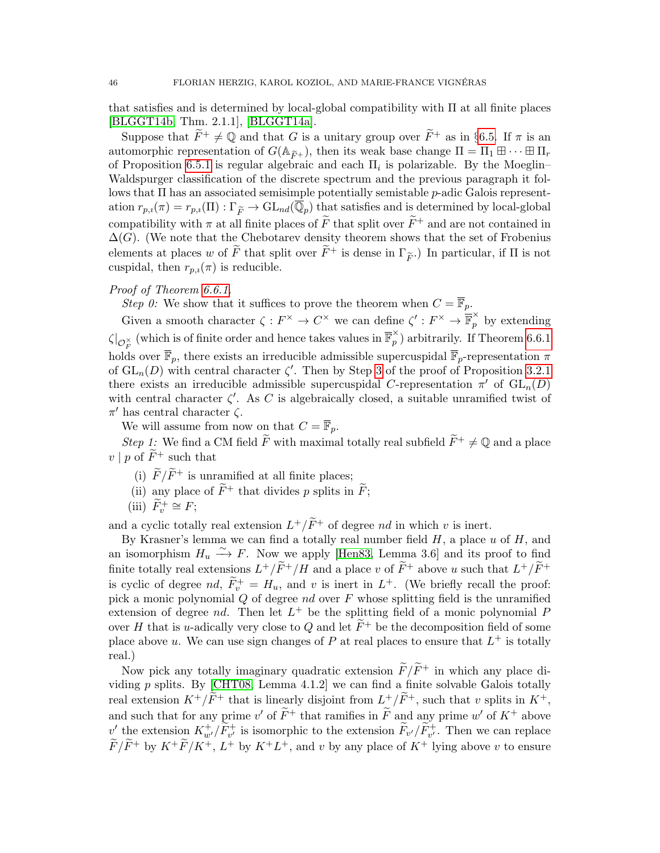that satisfies and is determined by local-global compatibility with Π at all finite places [\[BLGGT14b,](#page-55-17) Thm. 2.1.1], [\[BLGGT14a\]](#page-54-9).

Suppose that  $\widetilde{F}^+ \neq \mathbb{Q}$  and that G is a unitary group over  $\widetilde{F}^+$  as in §[6.5.](#page-44-0) If  $\pi$  is an automorphic representation of  $G(\mathbb{A}_{\widetilde{F}+})$ , then its weak base change  $\Pi = \Pi_1 \boxplus \cdots \boxplus \Pi_r$ of Proposition [6.5.1](#page-44-3) is regular algebraic and each  $\Pi_i$  is polarizable. By the Moeglin– Waldspurger classification of the discrete spectrum and the previous paragraph it follows that  $\Pi$  has an associated semisimple potentially semistable  $p$ -adic Galois representation  $r_{p,i}(\pi) = r_{p,i}(\Pi) : \Gamma_{\widetilde{F}} \to \text{GL}_{nd}(\overline{\mathbb{Q}}_p)$  that satisfies and is determined by local-global compatibility with  $\pi$  at all finite places of  $\tilde{F}$  that split over  $\tilde{F}^+$  and are not contained in  $\Delta(G)$ . (We note that the Chebotarev density theorem shows that the set of Frobenius elements at places w of  $\widetilde{F}$  that split over  $\widetilde{F}^+$  is dense in  $\Gamma_{\widetilde{F}}$ .) In particular, if  $\Pi$  is not cuspidal, then  $r_{p,i}(\pi)$  is reducible.

## <span id="page-45-0"></span>Proof of Theorem [6.6.1.](#page-44-4)

Step 0: We show that it suffices to prove the theorem when  $C = \overline{\mathbb{F}}_p$ .

Given a smooth character  $\zeta: F^\times \to C^\times$  we can define  $\zeta': F^\times \to \overline{\mathbb{F}}_p^\times$  by extending  $\zeta|_{\mathcal{O}_F^{\times}}$  (which is of finite order and hence takes values in  $\overline{\mathbb{F}}_p^{\times}$  $\hat{p}$ ) arbitrarily. If Theorem [6.6.1](#page-44-4) holds over  $\overline{\mathbb{F}}_p$ , there exists an irreducible admissible supercuspidal  $\overline{\mathbb{F}}_p$ -representation  $\pi$ of  $GL_n(D)$  with central character  $\zeta'$ . Then by Step [3](#page-13-3) of the proof of Proposition [3.2.1](#page-12-1) there exists an irreducible admissible supercuspidal C-representation  $\pi'$  of  $GL_n(D)$ with central character  $\zeta'$ . As C is algebraically closed, a suitable unramified twist of  $\pi'$  has central character  $\zeta$ .

We will assume from now on that  $C = \mathbb{F}_p$ .

Step 1: We find a CM field  $\widetilde{F}$  with maximal totally real subfield  $\widetilde{F}^+ \neq \mathbb{Q}$  and a place  $v \mid p$  of  $\widetilde{F}^+$  such that

- (i)  $\widetilde{F}/\widetilde{F}^+$  is unramified at all finite places;
- (ii) any place of  $\widetilde{F}^+$  that divides p splits in  $\widetilde{F}$ ;
- (iii)  $\widetilde{F}_v^+ \cong F;$

and a cyclic totally real extension  $L^+/\widetilde{F}^+$  of degree nd in which v is inert.

By Krasner's lemma we can find a totally real number field  $H$ , a place  $u$  of  $H$ , and an isomorphism  $H_u \xrightarrow{\sim} F$ . Now we apply [\[Hen83,](#page-55-18) Lemma 3.6] and its proof to find finite totally real extensions  $L^+/\widetilde{F}^+/H$  and a place v of  $\widetilde{F}^+$  above u such that  $L^+/\widetilde{F}^+$ is cyclic of degree nd,  $\widetilde{F}_v^+ = H_u$ , and v is inert in  $L^+$ . (We briefly recall the proof: pick a monic polynomial  $Q$  of degree  $nd$  over  $F$  whose splitting field is the unramified extension of degree  $nd$ . Then let  $L^+$  be the splitting field of a monic polynomial  $P$ over H that is u-adically very close to Q and let  $\tilde{F}^+$  be the decomposition field of some place above u. We can use sign changes of P at real places to ensure that  $L^+$  is totally real.)

Now pick any totally imaginary quadratic extension  $\widetilde{F}/\widetilde{F}^+$  in which any place dividing  $p$  splits. By [\[CHT08,](#page-55-19) Lemma 4.1.2] we can find a finite solvable Galois totally real extension  $K^+/\widetilde{F}^+$  that is linearly disjoint from  $L^+/\widetilde{F}^+$ , such that v splits in  $K^+$ , and such that for any prime v' of  $\widetilde{F}^+$  that ramifies in  $\widetilde{F}$  and any prime w' of  $K^+$  above  $v'$  the extension  $K^+_{w'}/\widetilde{F}^+_{v'}$  is isomorphic to the extension  $\widetilde{F}_{v'}/\widetilde{F}^+_{v'}$ . Then we can replace  $\widetilde{F}/\widetilde{F}$ <sup>+</sup> by  $K^+\widetilde{F}/K^+$ ,  $L^+$  by  $K^+L^+$ , and v by any place of  $K^+$  lying above v to ensure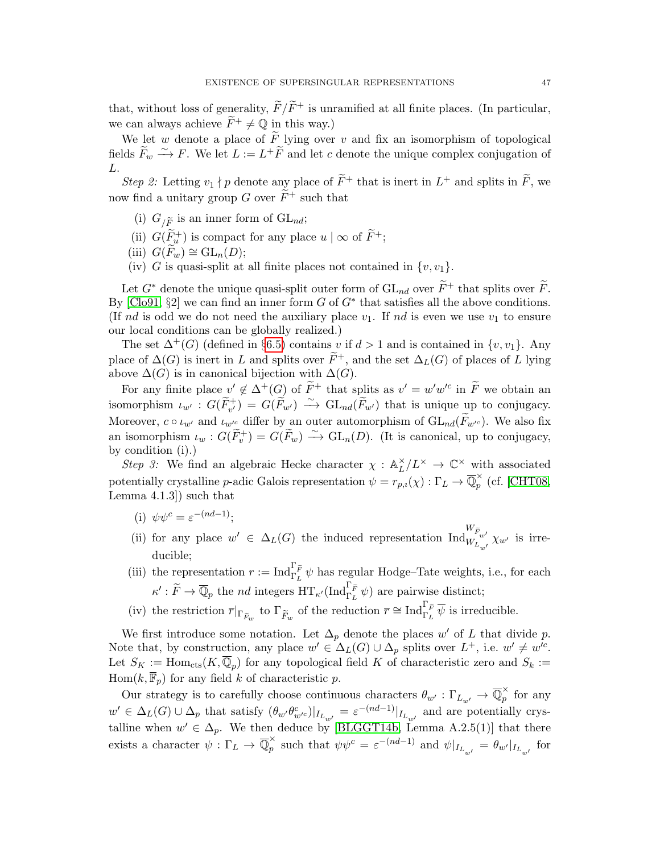that, without loss of generality,  $\widetilde{F}/\widetilde{F}^+$  is unramified at all finite places. (In particular, we can always achieve  $\tilde{F}^+ \neq \mathbb{Q}$  in this way.)

We let w denote a place of  $\tilde{F}$  lying over v and fix an isomorphism of topological fields  $\widetilde{F}_w \stackrel{\sim}{\longrightarrow} F$ . We let  $L := L^+ \widetilde{F}$  and let c denote the unique complex conjugation of  $L$ .

<span id="page-46-5"></span>Step 2: Letting  $v_1 \nmid p$  denote any place of  $\widetilde{F}^+$  that is inert in  $L^+$  and splits in  $\widetilde{F}$ , we now find a unitary group G over  $\widetilde{F}^+$  such that

- (i)  $G_{/\widetilde{F}}$  is an inner form of  $GL_{nd}$ ;
- (ii)  $G(\widetilde{F}_u^+)$  is compact for any place  $u | \infty$  of  $\widetilde{F}^+$ ;
- (iii)  $G(F_w) \cong GL_n(D);$
- (iv) G is quasi-split at all finite places not contained in  $\{v, v_1\}$ .

Let  $G^*$  denote the unique quasi-split outer form of  $GL_{nd}$  over  $\widetilde{F}^+$  that splits over  $\widetilde{F}$ . By  $[C\text{lo}91, \S2]$  we can find an inner form G of  $G^*$  that satisfies all the above conditions. (If nd is odd we do not need the auxiliary place  $v_1$ . If nd is even we use  $v_1$  to ensure our local conditions can be globally realized.)

The set  $\Delta^+(G)$  (defined in §[6.5\)](#page-44-0) contains v if  $d > 1$  and is contained in  $\{v, v_1\}$ . Any place of  $\Delta(G)$  is inert in L and splits over  $\tilde{F}^+$ , and the set  $\Delta_L(G)$  of places of L lying above  $\Delta(G)$  is in canonical bijection with  $\Delta(G)$ .

For any finite place  $v' \notin \Delta^+(G)$  of  $\widetilde{F}^+$  that splits as  $v' = w'w'^c$  in  $\widetilde{F}$  we obtain an isomorphism  $\iota_{w'} : G(\widetilde{F}_{v'}^+) = G(\widetilde{F}_{w'}) \longrightarrow GL_{nd}(\widetilde{F}_{w'})$  that is unique up to conjugacy. Moreover,  $c \circ \iota_{w'}$  and  $\iota_{w'c}$  differ by an outer automorphism of  $GL_{nd}(F_{w'^c})$ . We also fix an isomorphism  $\iota_w : G(\widetilde{F}_v^+) = G(\widetilde{F}_w) \longrightarrow GL_n(D)$ . (It is canonical, up to conjugacy, by condition (i).)

<span id="page-46-4"></span>Step 3: We find an algebraic Hecke character  $\chi : \mathbb{A}^{\times}_L$  $L^{\times}/L^{\times} \rightarrow \mathbb{C}^{\times}$  with associated potentially crystalline p-adic Galois representation  $\psi = r_{p,i}(\chi) : \Gamma_L \to \overline{\mathbb{Q}}_p^{\times}$  $\int_{p}^{\infty}$  (cf. [\[CHT08,](#page-55-19) Lemma 4.1.3]) such that

- <span id="page-46-0"></span>(i)  $\psi \psi^c = \varepsilon^{-(nd-1)}$ ;
- <span id="page-46-1"></span>(ii) for any place  $w' \in \Delta_L(G)$  the induced representation  $\text{Ind}_{W_{L_{w'}}}^{W_{\widetilde{F}_{w'}}} \chi_{w'}$  is irreducible;
- <span id="page-46-2"></span>(iii) the representation  $r := \text{Ind}_{\Gamma_L}^{\Gamma_{\widetilde{F}}} \psi$  has regular Hodge–Tate weights, i.e., for each  $\kappa': \widetilde{F} \to \overline{\mathbb{Q}}_p$  the *nd* integers  $\operatorname{HT}_{\kappa'}(\operatorname{Ind}_{\Gamma_L}^{\Gamma_{\widetilde{F}}} \psi)$  are pairwise distinct;
- <span id="page-46-3"></span>(iv) the restriction  $\overline{r}|_{\Gamma_{\widetilde{F}_w}}$  to  $\Gamma_{\widetilde{F}_w}$  of the reduction  $\overline{r} \cong \text{Ind}_{\Gamma_L}^{\Gamma_{\widetilde{F}}} \overline{\psi}$  is irreducible.

We first introduce some notation. Let  $\Delta_p$  denote the places w' of L that divide p. Note that, by construction, any place  $w' \in \Delta_L(G) \cup \Delta_p$  splits over  $L^+$ , i.e.  $w' \neq w'^c$ . Let  $S_K := \text{Hom}_{\text{cts}}(K, \overline{\mathbb{Q}}_p)$  for any topological field K of characteristic zero and  $S_k :=$  $\text{Hom}(k, \overline{\mathbb{F}}_p)$  for any field k of characteristic p.

Our strategy is to carefully choose continuous characters  $\theta_{w'} : \Gamma_{L_{w'}} \to \overline{\mathbb{Q}}_p^{\times}$  $\hat{p}$  for any  $w' \in \Delta_L(G) \cup \Delta_p$  that satisfy  $(\theta_{w'} \theta_{w'c}^c)|_{I_{L_{w'}}} = \varepsilon^{-(nd-1)}|_{I_{L_{w'}}}$  and are potentially crystalline when  $w' \in \Delta_p$ . We then deduce by [\[BLGGT14b,](#page-55-17) Lemma A.2.5(1)] that there exists a character  $\psi: \Gamma_L \to \overline{\mathbb{Q}}_p^{\times}$  $\psi_p^{\times}$  such that  $\psi \psi_c^c = \varepsilon^{-(nd-1)}$  and  $\psi|_{I_{L_{w'}}} = \theta_{w'}|_{I_{L_{w'}}}$  for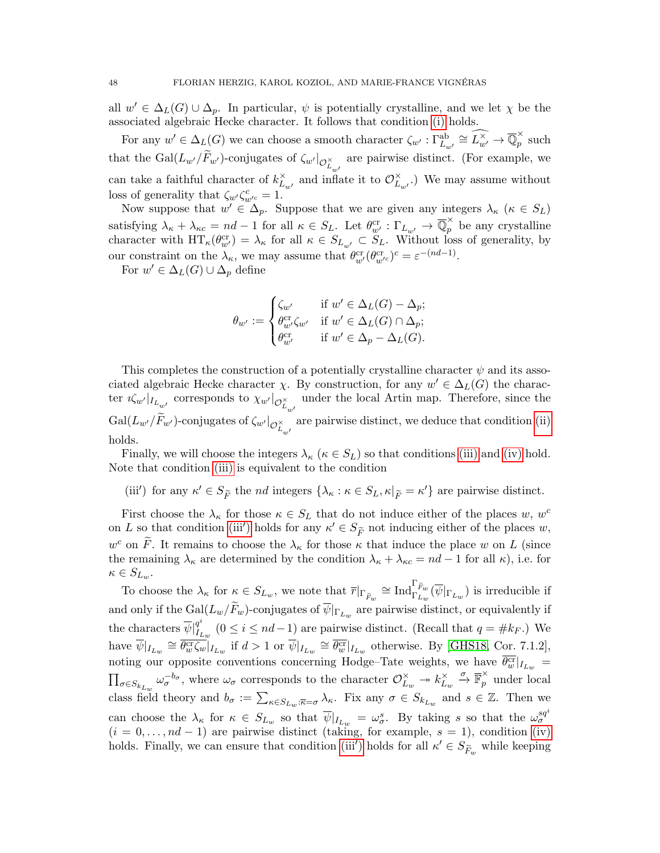all  $w' \in \Delta_L(G) \cup \Delta_p$ . In particular,  $\psi$  is potentially crystalline, and we let  $\chi$  be the associated algebraic Hecke character. It follows that condition [\(i\)](#page-46-0) holds.

For any  $w' \in \Delta_L(G)$  we can choose a smooth character  $\zeta_{w'} : \Gamma_{L_{w'}}^{\text{ab}} \cong \widehat{L_{w'}^{\times}} \to \overline{\mathbb{Q}}_p^{\times}$  $\hat{p}$  such that the  $\text{Gal}(L_{w'}/F_{w'})$ -conjugates of  $\zeta_{w'}|_{\mathcal{O}_{L_{w'}}^{\times}}$ are pairwise distinct. (For example, we can take a faithful character of  $k_L^{\times}$  $\sum_{L_{w'}}^{\times}$  and inflate it to  $\mathcal{O}_{L_{w'}}^{\times}$  $L_{\omega'}$ .) We may assume without loss of generality that  $\zeta_{w'}\zeta_{w'^c}^c = 1$ .

Now suppose that  $w' \in \Delta_p$ . Suppose that we are given any integers  $\lambda_{\kappa}$  ( $\kappa \in S_L$ ) satisfying  $\lambda_{\kappa} + \lambda_{\kappa c} = nd - 1$  for all  $\kappa \in S_L$ . Let  $\theta_{w'}^{cr} : \Gamma_{L_{w'}} \to \overline{\mathbb{Q}}_p^{\times}$  be any crystalline character with  $HT_{\kappa}(\theta_{w'}^{cr}) = \lambda_{\kappa}$  for all  $\kappa \in S_{L_{w'}} \subset \tilde{S}_L$ . Without loss of generality, by our constraint on the  $\lambda_{\kappa}$ , we may assume that  $\theta_{w'}^{\text{cr}}(\theta_{w'c}^{\text{cr}})^c = \varepsilon^{-(nd-1)}$ .

For  $w' \in \Delta_L(G) \cup \Delta_p$  define

$$
\theta_{w'} := \begin{cases} \zeta_{w'} & \text{if } w' \in \Delta_L(G) - \Delta_p; \\ \theta_{w'}^{cr} \zeta_{w'} & \text{if } w' \in \Delta_L(G) \cap \Delta_p; \\ \theta_{w'}^{cr} & \text{if } w' \in \Delta_p - \Delta_L(G). \end{cases}
$$

This completes the construction of a potentially crystalline character  $\psi$  and its associated algebraic Hecke character  $\chi$ . By construction, for any  $w' \in \Delta_L(G)$  the character  $\imath \zeta_{w'}|_{I_{L_{w'}}}$  corresponds to  $\chi_{w'}|_{\mathcal{O}_{L_{w'}}^\times}$ under the local Artin map. Therefore, since the  $\mathrm{Gal}(L_{w'}/F_{w'})$ -conjugates of  $\zeta_{w'}|_{\mathcal{O}_{L_{w'}}^{\times}}$ are pairwise distinct, we deduce that condition [\(ii\)](#page-46-1) holds.

Finally, we will choose the integers  $\lambda_{\kappa}$  ( $\kappa \in S_L$ ) so that conditions [\(iii\)](#page-46-2) and [\(iv\)](#page-46-3) hold. Note that condition [\(iii\)](#page-46-2) is equivalent to the condition

(iii') for any  $\kappa' \in S_{\widetilde{F}}$  the *nd* integers  $\{\lambda_{\kappa} : \kappa \in S_L, \kappa|_{\widetilde{F}} = \kappa'\}$  are pairwise distinct.

First choose the  $\lambda_{\kappa}$  for those  $\kappa \in S_L$  that do not induce either of the places w, w<sup>c</sup> on L so that condition [\(iii](#page-46-3)') holds for any  $\kappa' \in S_{\widetilde{F}}$  not inducing either of the places w,  $w^c$  on  $\widetilde{F}$ . It remains to choose the  $\lambda_{\kappa}$  for those  $\kappa$  that induce the place w on L (since the remaining  $\lambda_{\kappa}$  are determined by the condition  $\lambda_{\kappa} + \lambda_{\kappa c} = nd - 1$  for all  $\kappa$ ), i.e. for  $\kappa \in S_{L_w}.$ 

To choose the  $\lambda_{\kappa}$  for  $\kappa \in S_{L_w}$ , we note that  $\overline{r}|_{\Gamma_{\widetilde{F}_w}} \cong \text{Ind}_{\Gamma_{L_w}}^{\Gamma_{\widetilde{F}_w}}(\overline{\psi}|_{\Gamma_{L_w}})$  is irreducible if and only if the  $Gal(L_w/F_w)$ -conjugates of  $\psi|_{\Gamma_{L_w}}$  are pairwise distinct, or equivalently if the characters  $\overline{\psi}|_{L}^{q^i}$  $I_{I_{L_w}}^{q^*}$  ( $0 \le i \le nd-1$ ) are pairwise distinct. (Recall that  $q = \#k_F$ .) We have  $\overline{\psi}|_{I_{L_w}} \cong \overline{\theta_{w}^{\text{cr}}\zeta_{w}}|_{I_{L_w}}$  if  $d > 1$  or  $\overline{\psi}|_{I_{L_w}} \cong \overline{\theta_{w}^{\text{cr}}}|_{I_{L_w}}$  otherwise. By [\[GHS18,](#page-55-21) Cor. 7.1.2], noting our opposite conventions concerning Hodge–Tate weights, we have  $\overline{\theta_w^{\text{cr}}}|_{I_{L_w}} =$  $\prod_{\sigma \in S_{k_{L_w}}} \omega_{\sigma}^{-b_{\sigma}},$  where  $\omega_{\sigma}$  corresponds to the character  $\mathcal{O}_{L_w}^{\times} \to k_{L_w}^{\times}$  $L_w \xrightarrow{\sigma} \overline{\mathbb{F}}_p^{\times}$  under local class field theory and  $b_{\sigma} := \sum_{\kappa \in S_{L_w} : \overline{\kappa} = \sigma} \lambda_{\kappa}$ . Fix any  $\sigma \in S_{k_{L_w}}$  and  $s \in \mathbb{Z}$ . Then we can choose the  $\lambda_{\kappa}$  for  $\kappa \in S_{L_w}$  so that  $\overline{\psi}|_{I_{L_w}} = \omega_{\sigma}^s$ . By taking s so that the  $\omega_{\sigma}^{sq}$  $(i = 0, \ldots, nd - 1)$  are pairwise distinct (taking, for example,  $s = 1$ ), condition [\(iv\)](#page-46-3) holds. Finally, we can ensure that condition [\(iii](#page-46-3)') holds for all  $\kappa' \in S_{\widetilde{F}_w}$  while keeping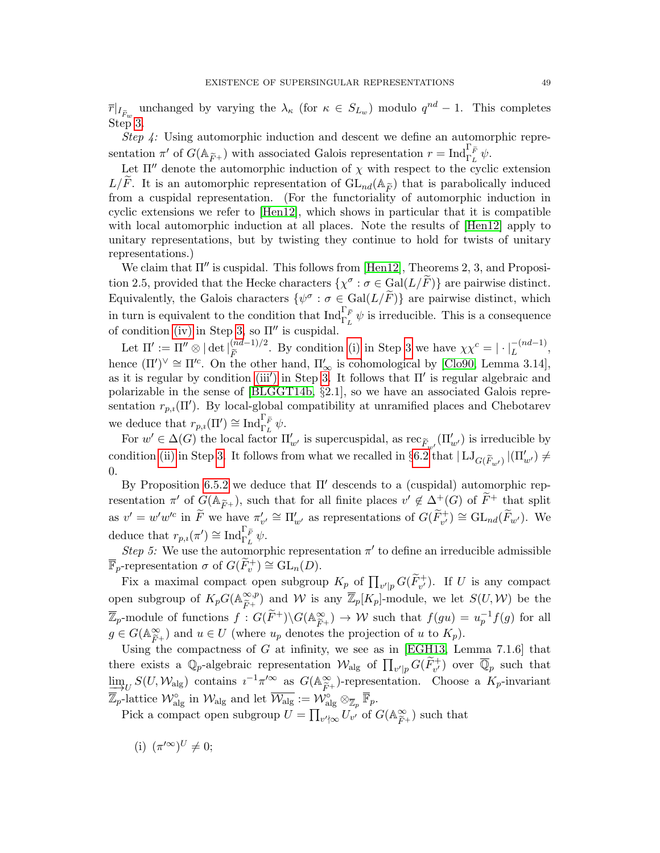$\overline{r}|_{I_{\tilde{F}_w}}$  unchanged by varying the  $\lambda_{\kappa}$  (for  $\kappa \in S_{L_w}$ ) modulo  $q^{nd} - 1$ . This completes Step [3.](#page-46-4)

Step 4: Using automorphic induction and descent we define an automorphic representation  $\pi'$  of  $G(\mathbb{A}_{\widetilde{F}^+})$  with associated Galois representation  $r = \text{Ind}_{\Gamma_L}^{\Gamma_{\widetilde{F}}} \psi$ .

Let  $\Pi''$  denote the automorphic induction of  $\chi$  with respect to the cyclic extension  $L/F$ . It is an automorphic representation of  $GL_{nd}(\mathbb{A}_{\widetilde{F}})$  that is parabolically induced from a cuspidal representation. (For the functoriality of automorphic induction in cyclic extensions we refer to [\[Hen12\]](#page-56-19), which shows in particular that it is compatible with local automorphic induction at all places. Note the results of [\[Hen12\]](#page-56-19) apply to unitary representations, but by twisting they continue to hold for twists of unitary representations.)

We claim that  $\Pi''$  is cuspidal. This follows from [\[Hen12\]](#page-56-19), Theorems 2, 3, and Proposition 2.5, provided that the Hecke characters  $\{\chi^{\sigma} : \sigma \in \text{Gal}(L/\tilde{F})\}$  are pairwise distinct. Equivalently, the Galois characters  $\{\psi^{\sigma} : \sigma \in \text{Gal}(L/\tilde{F})\}$  are pairwise distinct, which in turn is equivalent to the condition that  $\text{Ind}_{\Gamma_L}^{\Gamma_{\tilde{F}}} \psi$  is irreducible. This is a consequence of condition [\(iv\)](#page-46-3) in Step [3,](#page-46-4) so  $\Pi''$  is cuspidal.

Let  $\Pi' := \Pi'' \otimes |\det|_{\widetilde{F}}^{(nd-1)/2}$ . By condition [\(i\)](#page-46-0) in Step [3](#page-46-4) we have  $\chi \chi^c = |\cdot|_L^{-(nd-1)}$ , hence  $(\Pi')^{\vee} \cong \Pi'^c$ . On the other hand,  $\Pi'_{\infty}$  is cohomological by [\[Clo90,](#page-55-22) Lemma 3.14], as it is regular by condition [\(iii](#page-46-3)') in Step [3.](#page-46-4) It follows that  $\Pi'$  is regular algebraic and polarizable in the sense of [\[BLGGT14b,](#page-55-17) §2.1], so we have an associated Galois representation  $r_{p,i}(\Pi')$ . By local-global compatibility at unramified places and Chebotarev we deduce that  $r_{p,i}(\Pi') \cong \text{Ind}_{\Gamma_L}^{\Gamma_{\widetilde{F}}} \psi$ .

For  $w' \in \Delta(G)$  the local factor  $\Pi'_{w'}$  is supercuspidal, as  $\operatorname{rec}_{\widetilde{F}_{w'}}(\Pi'_{w'})$  is irreducible by condition [\(ii\)](#page-46-1) in Step [3.](#page-46-4) It follows from what we recalled in  $\S6.2$  $\S6.2$  that  $|\mathrm{LJ}_{G(\tilde{F}_{w'})}|(\Pi'_{w'}) \neq$ 0.

By Proposition [6.5.2](#page-44-5) we deduce that  $\Pi'$  descends to a (cuspidal) automorphic representation  $\pi'$  of  $G(\mathbb{A}_{\widetilde{F}^+})$ , such that for all finite places  $v' \notin \Delta^+(G)$  of  $\widetilde{F}^+$  that split as  $v' = w'w'^c$  in  $\widetilde{F}$  we have  $\pi'_{v'} \cong \Pi'_{w'}$  as representations of  $G(\widetilde{F}_{v'}^+) \cong GL_{nd}(\widetilde{F}_{w'})$ . We deduce that  $r_{p,i}(\pi') \cong \text{Ind}_{\Gamma_L}^{\Gamma_{\widetilde{F}}} \psi$ .

<span id="page-48-0"></span>Step 5: We use the automorphic representation  $\pi'$  to define an irreducible admissible  $\overline{\mathbb{F}}_p$ -representation  $\sigma$  of  $G(\widetilde{F}_v^+) \cong GL_n(D)$ .

Fix a maximal compact open subgroup  $K_{p}$  of  $\prod_{v'|p} G(\widetilde{F}_{v'}^{+})$ . If U is any compact open subgroup of  $K_pG(\mathbb{A}_{\widetilde{F}^+}^{\infty,p})$  $(\widetilde{F}_{\widetilde{F}}^{*,p})$  and W is any  $\overline{\mathbb{Z}}_p[K_p]$ -module, we let  $S(U, W)$  be the  $\overline{\mathbb{Z}}_p$ -module of functions  $f: G(\widetilde{F}^+) \backslash G(\mathbb{A}_{\widetilde{F}^+}^{\infty}) \to W$  such that  $f(gu) = u_p^{-1}f(g)$  for all  $g \in G(\mathbb{A}^{\infty})$  and  $g \in U$  (where  $u$  denotes the prejection of  $u$  to  $K$ )  $g \in G(\mathbb{A}_{\widetilde{F}^+}^{\infty})$  and  $u \in U$  (where  $u_p$  denotes the projection of u to  $K_p$ ).

Using the compactness of G at infinity, we see as in [\[EGH13,](#page-55-15) Lemma 7.1.6] that there exists a  $\mathbb{Q}_p$ -algebraic representation  $\mathcal{W}_{\text{alg}}$  of  $\prod_{v'|p} G(\widetilde{F}_{v'}^+)$  over  $\overline{\mathbb{Q}}_p$  such that  $\lim_{\Delta t \to 0} S(U, \mathcal{W}_{\text{alg}})$  contains  $i^{-1}\pi'^{\infty}$  as  $G(\mathbb{A}_{\widetilde{F}^+}^{\infty})$ -representation. Choose a  $K_p$ -invariant  $\overline{\mathbb{Z}}_p$ -lattice  $\mathcal{W}_{\text{alg}}^{\circ}$  in  $\mathcal{W}_{\text{alg}}$  and let  $\overline{\mathcal{W}}_{\text{alg}}^{\circ} := \mathcal{W}_{\text{alg}}^{\circ} \otimes_{\overline{\mathbb{Z}}_p} \overline{\mathbb{F}}_p$ .

Pick a compact open subgroup  $U = \prod_{v' \nmid \infty} U_{v'}$  of  $G(\mathbb{A}_{\widetilde{F}}^{\infty})$  $(\widetilde{F}^+)^{\text{ such that}}$ 

(i)  $(\pi^{\prime\infty})^U \neq 0;$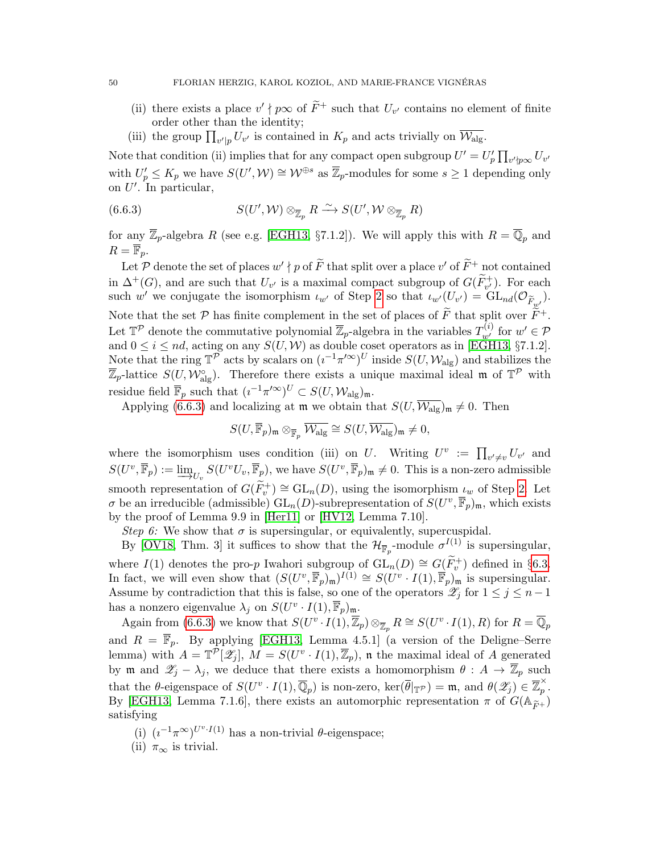- (ii) there exists a place  $v' \nmid p\infty$  of  $\widetilde{F}^+$  such that  $U_{v'}$  contains no element of finite order other than the identity;
- <span id="page-49-0"></span>(iii) the group  $\prod_{v'|p} U_{v'}$  is contained in  $K_p$  and acts trivially on  $\overline{\mathcal{W}_{\text{alg}}}$ .

Note that condition (ii) implies that for any compact open subgroup  $U' = U'_p \prod_{v' \nmid p \infty} U_{v'}$ with  $U_p' \leq K_p$  we have  $S(U', W) \cong W^{\oplus s}$  as  $\overline{\mathbb{Z}}_p$ -modules for some  $s \geq 1$  depending only on  $U'$ . In particular,

(6.6.3) 
$$
S(U',\mathcal{W}) \otimes_{\overline{\mathbb{Z}}_p} R \xrightarrow{\sim} S(U',\mathcal{W} \otimes_{\overline{\mathbb{Z}}_p} R)
$$

for any  $\overline{\mathbb{Z}}_p$ -algebra R (see e.g. [\[EGH13,](#page-55-15) §7.1.2]). We will apply this with  $R = \overline{\mathbb{Q}}_p$  and  $R = \overline{\mathbb{F}}_p$ .

Let P denote the set of places  $w' \nmid p$  of  $\widetilde{F}$  that split over a place  $v'$  of  $\widetilde{F}^+$  not contained in  $\Delta^+(G)$ , and are such that  $U_{v'}$  is a maximal compact subgroup of  $G(\widetilde{F}_{v'}^+)$ . For each such w' we conjugate the isomorphism  $\iota_{w'}$  of Step [2](#page-46-5) so that  $\iota_{w'}(U_{v'}) = GL_{nd}(\mathcal{O}_{\widetilde{F}_{w'}})$ . Note that the set  $P$  has finite complement in the set of places of  $\widetilde{F}$  that split over  $\widetilde{F}^+$ . Let  $\mathbb{T}^{\mathcal{P}}$  denote the commutative polynomial  $\overline{\mathbb{Z}}_p$ -algebra in the variables  $T_{w'}^{(i)}$  for  $w' \in \mathcal{P}$ and  $0 \leq i \leq nd$ , acting on any  $S(U, W)$  as double coset operators as in [\[EGH13,](#page-55-15) §7.1.2]. Note that the ring  $\mathbb{T}^{\overline{P}}$  acts by scalars on  $(i^{-1}\pi'^{\infty})^U$  inside  $S(U, \mathcal{W}_{\text{alg}})$  and stabilizes the  $\overline{\mathbb{Z}}_p$ -lattice  $S(U, \mathcal{W}_{\text{alg}}^{\circ})$ . Therefore there exists a unique maximal ideal m of  $\mathbb{T}^{\mathcal{P}}$  with residue field  $\overline{\mathbb{F}}_p$  such that  $(\iota^{-1}\pi'^{\infty})^U \subset S(U, \mathcal{W}_{\text{alg}})_{\mathfrak{m}}$ .

Applying [\(6.6.3\)](#page-49-0) and localizing at  $\mathfrak{m}$  we obtain that  $S(U, \overline{\mathcal{W}_{\text{alg}}})_{\mathfrak{m}} \neq 0$ . Then

$$
S(U, \overline{\mathbb{F}}_p)_{\mathfrak{m}} \otimes_{\overline{\mathbb{F}}_p} \overline{\mathcal{W}_{\mathrm{alg}}} \cong S(U, \overline{\mathcal{W}_{\mathrm{alg}}})_{\mathfrak{m}} \neq 0,
$$

where the isomorphism uses condition (iii) on U. Writing  $U^v := \prod_{v' \neq v} U_{v'}$  and  $S(U^v, \overline{\mathbb{F}}_p) := \underline{\lim}_{U_v} S(U^v, \overline{\mathbb{F}}_p)$ , we have  $S(U^v, \overline{\mathbb{F}}_p)_{\mathfrak{m}} \neq 0$ . This is a non-zero admissible smooth representation of  $G(\widetilde{F}_v^+) \cong GL_n(D)$ , using the isomorphism  $\iota_w$  of Step [2.](#page-46-5) Let  $\sigma$  be an irreducible (admissible)  $GL_n(D)$ -subrepresentation of  $S(U^v, \overline{\mathbb{F}}_p)_{\mathfrak{m}}$ , which exists by the proof of Lemma 9.9 in [\[Her11\]](#page-56-20) or [\[HV12,](#page-56-13) Lemma 7.10].

<span id="page-49-1"></span>Step 6: We show that  $\sigma$  is supersingular, or equivalently, supercuspidal.

By [\[OV18,](#page-56-6) Thm. 3] it suffices to show that the  $\mathcal{H}_{\overline{\mathbb{F}}_p}$ -module  $\sigma^{I(1)}$  is supersingular, where  $I(1)$  denotes the pro-p Iwahori subgroup of  $GL_n(D) \cong G(\widetilde{F}_v^+)$  defined in §[6.3.](#page-39-0) In fact, we will even show that  $(S(U^v, \overline{\mathbb{F}}_p)_{\mathfrak{m}})^{I(1)} \cong S(U^v \cdot I(1), \overline{\mathbb{F}}_p)_{\mathfrak{m}}$  is supersingular. Assume by contradiction that this is false, so one of the operators  $\mathscr{Z}_j$  for  $1 \leq j \leq n-1$ has a nonzero eigenvalue  $\lambda_j$  on  $S(U^v \cdot I(1), \overline{\mathbb{F}}_p)_{\mathfrak{m}}$ .

Again from [\(6.6.3\)](#page-49-0) we know that  $S(U^v \cdot I(1), \overline{\mathbb{Z}}_p) \otimes_{\overline{\mathbb{Z}}_p} R \cong S(U^v \cdot I(1), R)$  for  $R = \overline{\mathbb{Q}}_p$ and  $R = \overline{\mathbb{F}}_p$ . By applying [\[EGH13,](#page-55-15) Lemma 4.5.1] (a version of the Deligne–Serre lemma) with  $A = \mathbb{T}^{\mathcal{P}}[\mathscr{Z}_j], M = S(U^v \cdot I(1), \overline{\mathbb{Z}}_p)$ , it the maximal ideal of A generated by m and  $\mathscr{Z}_j - \lambda_j$ , we deduce that there exists a homomorphism  $\theta : A \to \overline{\mathbb{Z}}_p$  such that the  $\theta$ -eigenspace of  $S(U^v \cdot I(1), \overline{\mathbb{Q}}_p)$  is non-zero,  $\ker(\overline{\theta}|_{\mathbb{T}^p}) = \mathfrak{m}$ , and  $\theta(\mathscr{Z}_j) \in \overline{\mathbb{Z}}_p^{\times}$  $_{p}^{\wedge}$  . By [\[EGH13,](#page-55-15) Lemma 7.1.6], there exists an automorphic representation  $\pi$  of  $G(\mathbb{A}_{\widetilde{F}^+})$ satisfying

- (i)  $(i^{-1}\pi^{\infty})^{U^v \cdot I(1)}$  has a non-trivial  $\theta$ -eigenspace;
- (ii)  $\pi_{\infty}$  is trivial.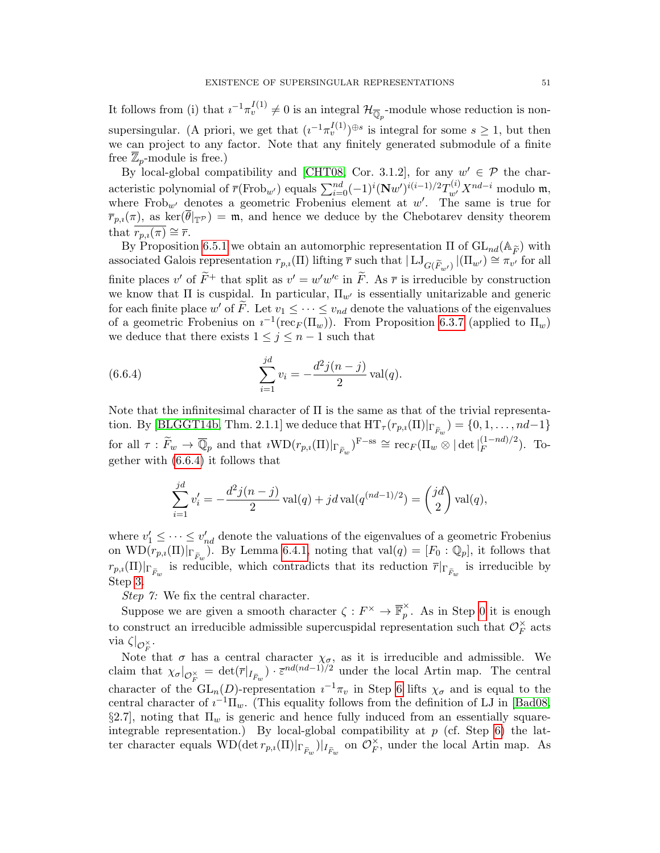It follows from (i) that  $i^{-1}\pi_v^{I(1)} \neq 0$  is an integral  $\mathcal{H}_{\overline{\mathbb{Q}}_p}$ -module whose reduction is nonsupersingular. (A priori, we get that  $(i^{-1}\pi_v^{I(1)})^{\oplus s}$  is integral for some  $s \geq 1$ , but then we can project to any factor. Note that any finitely generated submodule of a finite free  $\mathbb{Z}_p$ -module is free.)

By local-global compatibility and [\[CHT08,](#page-55-19) Cor. 3.1.2], for any  $w' \in \mathcal{P}$  the characteristic polynomial of  $\overline{r}(\text{Frob}_{w'})$  equals  $\sum_{i=0}^{nd}(-1)^i(\mathbf{N}w')^{i(i-1)/2}T_{w'}^{(i)}X^{nd-i}$  modulo  $\mathfrak{m}$ , where Frob<sub>w</sub> denotes a geometric Frobenius element at w'. The same is true for  $\overline{r}_{p,i}(\pi)$ , as ker $(\theta|_{\mathbb{T}^p}) = \mathfrak{m}$ , and hence we deduce by the Chebotarev density theorem that  $r_{p,i}(\pi) \cong \overline{r}$ .

By Proposition [6.5.1](#page-44-3) we obtain an automorphic representation  $\Pi$  of  $GL_{nd}(\mathbb{A}_{\widetilde{F}})$  with associated Galois representation  $r_{p,i}(\Pi)$  lifting  $\overline{r}$  such that  $|\mathrm{LJ}_{G(\widetilde{F}_{w'})}|(\Pi_{w'}) \cong \pi_{v'}$  for all finite places v' of  $\widetilde{F}^+$  that split as  $v' = w'w'^c$  in  $\widetilde{F}$ . As  $\overline{r}$  is irreducible by construction we know that  $\Pi$  is cuspidal. In particular,  $\Pi_{w'}$  is essentially unitarizable and generic for each finite place  $w'$  of  $\tilde{F}$ . Let  $v_1 \leq \cdots \leq v_{nd}$  denote the valuations of the eigenvalues of a geometric Frobenius on  $i^{-1}(\text{rec}_F(\Pi_w))$ . From Proposition [6.3.7](#page-41-3) (applied to  $\Pi_w$ ) we deduce that there exists  $1 \leq j \leq n-1$  such that

(6.6.4) 
$$
\sum_{i=1}^{jd} v_i = -\frac{d^2 j(n-j)}{2} \operatorname{val}(q).
$$

Note that the infinitesimal character of Π is the same as that of the trivial representa-tion. By [\[BLGGT14b,](#page-55-17) Thm. 2.1.1] we deduce that  $HT_{\tau}(r_{p,i}(\Pi)|_{\Gamma_{\widetilde{F}_w}}) = \{0, 1, \ldots, nd-1\}$ for all  $\tau : \widetilde{F}_w \to \overline{\mathbb{Q}}_p$  and that  $i\text{WD}(r_{p,i}(\Pi)|_{\Gamma_{\widetilde{F}_w}})^{\text{F-ss}} \cong \text{rec}_F(\Pi_w \otimes |\det|_F^{(1-nd)/2})$  $(F^{(1-na)/2})$ . Together with [\(6.6.4\)](#page-50-0) it follows that

<span id="page-50-0"></span>
$$
\sum_{i=1}^{jd} v'_i = -\frac{d^2 j(n-j)}{2} \operatorname{val}(q) + jd \operatorname{val}(q^{(nd-1)/2}) = {jd \choose 2} \operatorname{val}(q),
$$

where  $v'_1 \leq \cdots \leq v'_{nd}$  denote the valuations of the eigenvalues of a geometric Frobenius on  $\text{WD}(r_{p,i}(\Pi)|_{\Gamma_{\widetilde{F}_w}})$ . By Lemma [6.4.1,](#page-42-3) noting that  $\text{val}(q) = [F_0 : \mathbb{Q}_p]$ , it follows that  $r_{p,i}(\Pi)|_{\Gamma_{\widetilde{F}_w}}$  is reducible, which contradicts that its reduction  $\overline{r}|_{\Gamma_{\widetilde{F}_w}}$  is irreducible by Step [3.](#page-46-4)

Step 7: We fix the central character.

Suppose we are given a smooth character  $\zeta : F^\times \to \overline{\mathbb{F}}_n^\times$  $\hat{p}$ . As in Step [0](#page-45-0) it is enough to construct an irreducible admissible supercuspidal representation such that  $\mathcal{O}_F^{\times}$  $_{F}^{\times}$  acts via  $\zeta|_{\mathcal{O}_F^{\times}}$ .

Note that  $\sigma$  has a central character  $\chi_{\sigma}$ , as it is irreducible and admissible. We claim that  $\chi_{\sigma}|_{\mathcal{O}_{F}^{\times}} = \det(\overline{r}|_{I_{\widetilde{F}_w}}) \cdot \overline{\varepsilon}^{nd(nd-1)/2}$  under the local Artin map. The central character of the  $GL_n(D)$ -representation  $i^{-1}\pi_v$  in Step [6](#page-49-1) lifts  $\chi_{\sigma}$  and is equal to the central character of  $i^{-1}\Pi_w$ . (This equality follows from the definition of LJ in [\[Bad08,](#page-54-7)  $\S2.7$ , noting that  $\Pi_w$  is generic and hence fully induced from an essentially squareintegrable representation.) By local-global compatibility at  $p$  (cf. Step [6\)](#page-49-1) the latter character equals  $\text{WD}(\det r_{p,i}(\Pi)|_{\Gamma_{\widetilde{F}_w}})|_{I_{\widetilde{F}_w}}$  on  $\mathcal{O}_F^{\times}$  $_{F}^{\times}$ , under the local Artin map. As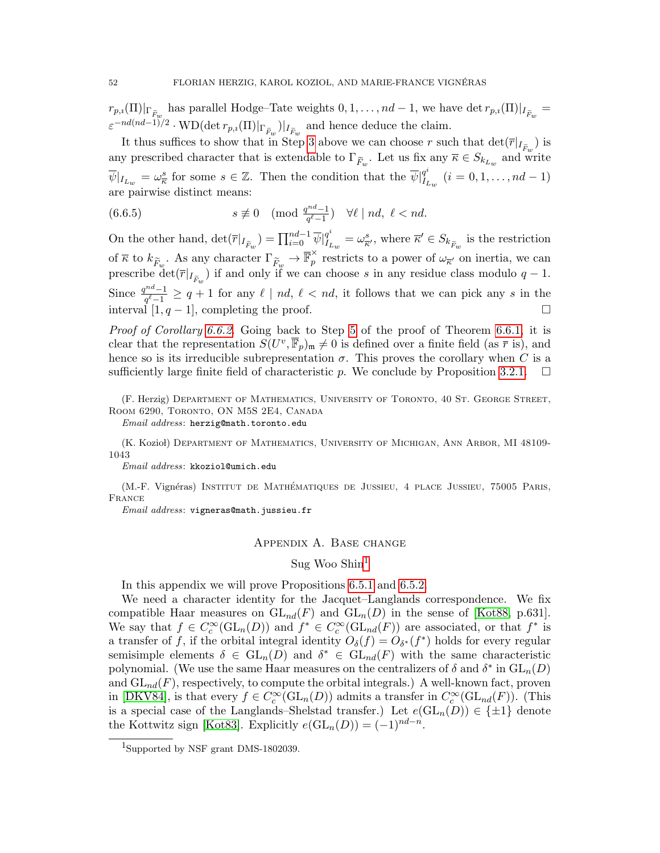$r_{p,i}(\Pi)|_{\Gamma_{\widetilde{F}_w}}$  has parallel Hodge–Tate weights  $0, 1, \ldots, nd-1$ , we have det  $r_{p,i}(\Pi)|_{I_{\widetilde{F}_w}} =$  $\varepsilon^{-nd(nd-1)/2} \cdot \text{WD}(\det r_{p,i}(\Pi)|_{\Gamma_{\widetilde{F}_w}})|_{I_{\widetilde{F}_w}}$  and hence deduce the claim.

It thus suffices to show that in Step [3](#page-46-4) above we can choose r such that  $\det(\overline{r}|_{I_{\tilde{F}_w}})$  is any prescribed character that is extendable to  $\Gamma_{\widetilde{F}_w}$ . Let us fix any  $\overline{\kappa} \in S_{k_{L_w}}$  and write  $\overline{\psi}|_{I_{L_w}} = \omega_{\overline{\kappa}}^s$  for some  $s \in \mathbb{Z}$ . Then the condition that the  $\overline{\psi}|_{I_I}^{q^i}$  $I_{L_w}^{q^*}$   $(i = 0, 1, \ldots, nd - 1)$ are pairwise distinct means:

(6.6.5) 
$$
s \not\equiv 0 \pmod{\frac{q^{nd}-1}{q^{\ell-1}}} \quad \forall \ell \mid nd, \ \ell < nd.
$$

On the other hand,  $\det(\overline{r}|_{I_{\widetilde{F}_w}}) = \prod_{i=0}^{nd-1} \overline{\psi}|_{I_I}^{q^i}$  $I_{I_{L_w}}^{q^i} = \omega_{\overline{\kappa}'}^s$ , where  $\overline{\kappa}' \in S_{k_{\widetilde{F}_w}}$  is the restriction of  $\overline{\kappa}$  to  $k_{\widetilde{F}_w}$ . As any character  $\Gamma_{\widetilde{F}_w} \to \overline{\mathbb{F}}_p^{\times}$  $\hat{p}$  restricts to a power of  $\omega_{\overline{\kappa}}$  on inertia, we can prescribe  $\det(\overline{r}|_{I_{\tilde{F}_w}})$  if and only if we can choose s in any residue class modulo  $q-1$ . Since  $\frac{q^{nd}-1}{q^{l-1}}$  $\frac{q^{n-1}}{q^{\ell}-1} \geq q+1$  for any  $\ell \mid nd, \ell < nd$ , it follows that we can pick any s in the interval  $[1, q-1]$ , completing the proof.

Proof of Corollary [6.6.2.](#page-44-2) Going back to Step [5](#page-48-0) of the proof of Theorem [6.6.1,](#page-44-4) it is clear that the representation  $S(U^v, \overline{\mathbb{F}}_p)_{\mathfrak{m}} \neq 0$  is defined over a finite field (as  $\overline{r}$  is), and hence so is its irreducible subrepresentation  $\sigma$ . This proves the corollary when C is a sufficiently large finite field of characteristic p. We conclude by Proposition [3.2.1.](#page-12-1)  $\Box$ 

(F. Herzig) Department of Mathematics, University of Toronto, 40 St. George Street, Room 6290, Toronto, ON M5S 2E4, Canada

Email address: herzig@math.toronto.edu

(K. Kozioł) DEPARTMENT OF MATHEMATICS, UNIVERSITY OF MICHIGAN, ANN ARBOR, MI 48109-1043

Email address: kkoziol@umich.edu

(M.-F. Vignéras) INSTITUT DE MATHÉMATIQUES DE JUSSIEU, 4 PLACE JUSSIEU, 75005 PARIS, France

<span id="page-51-0"></span>Email address: vigneras@math.jussieu.fr

#### Appendix A. Base change

## Sug Woo Shin $<sup>1</sup>$  $<sup>1</sup>$  $<sup>1</sup>$ </sup>

In this appendix we will prove Propositions [6.5.1](#page-44-3) and [6.5.2.](#page-44-5)

We need a character identity for the Jacquet–Langlands correspondence. We fix compatible Haar measures on  $GL_{nd}(F)$  and  $GL_n(D)$  in the sense of [\[Kot88,](#page-56-21) p.631]. We say that  $f \in C_c^{\infty}(\mathrm{GL}_n(D))$  and  $f^* \in C_c^{\infty}(\mathrm{GL}_{nd}(F))$  are associated, or that  $f^*$  is a transfer of f, if the orbital integral identity  $O_{\delta}(f) = O_{\delta^*}(f^*)$  holds for every regular semisimple elements  $\delta \in GL_n(D)$  and  $\delta^* \in GL_{nd}(F)$  with the same characteristic polynomial. (We use the same Haar measures on the centralizers of  $\delta$  and  $\delta^*$  in  $\mathrm{GL}_n(D)$ and  $GL_{nd}(F)$ , respectively, to compute the orbital integrals.) A well-known fact, proven in [\[DKV84\]](#page-55-6), is that every  $f \in C_c^{\infty}(\mathrm{GL}_n(D))$  admits a transfer in  $C_c^{\infty}(\mathrm{GL}_{nd}(F))$ . (This is a special case of the Langlands–Shelstad transfer.) Let  $e(\text{GL}_n(D)) \in \{\pm 1\}$  denote the Kottwitz sign [\[Kot83\]](#page-56-22). Explicitly  $e(\mathrm{GL}_n(D)) = (-1)^{nd-n}$ .

<span id="page-51-1"></span><sup>1</sup>Supported by NSF grant DMS-1802039.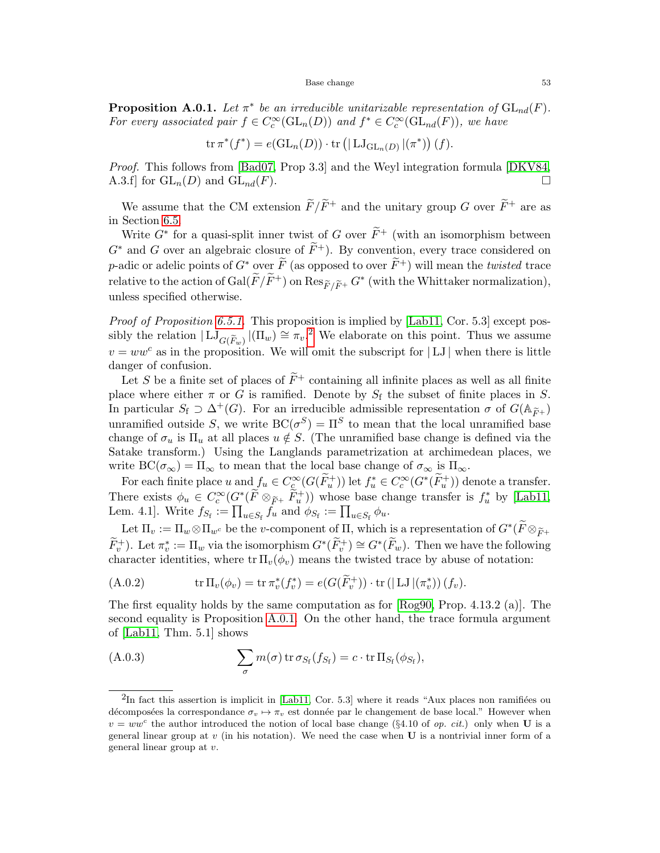#### Base change 53

<span id="page-52-1"></span>**Proposition A.0.1.** Let  $\pi^*$  be an irreducible unitarizable representation of  $GL_{nd}(F)$ . For every associated pair  $f \in C_c^{\infty}(\mathrm{GL}_n(D))$  and  $f^* \in C_c^{\infty}(\mathrm{GL}_{nd}(F))$ , we have

$$
\operatorname{tr} \pi^*(f^*) = e(\operatorname{GL}_n(D)) \cdot \operatorname{tr} \left( | \operatorname{LJ}_{\operatorname{GL}_n(D)} | (\pi^*) \right) (f).
$$

Proof. This follows from [\[Bad07,](#page-54-10) Prop 3.3] and the Weyl integration formula [\[DKV84,](#page-55-6) A.3.f] for  $GL_n(D)$  and  $GL_{nd}(F)$ .

We assume that the CM extension  $\widetilde{F}/\widetilde{F}^+$  and the unitary group G over  $\widetilde{F}^+$  are as in Section [6.5.](#page-44-0)

Write  $G^*$  for a quasi-split inner twist of G over  $\widetilde{F}^+$  (with an isomorphism between  $G^*$  and G over an algebraic closure of  $\tilde{F}^+$ ). By convention, every trace considered on p-adic or adelic points of  $G^*$  over  $\widetilde{F}$  (as opposed to over  $\widetilde{F}^+$ ) will mean the *twisted* trace relative to the action of  $Gal(\widetilde{F}/\widetilde{F}^+)$  on  $\text{Res}_{\widetilde{F}/\widetilde{F}^+} G^*$  (with the Whittaker normalization), unless specified otherwise.

Proof of Proposition [6.5.1.](#page-44-3) This proposition is implied by [\[Lab11,](#page-56-9) Cor. 5.3] except possibly the relation  $| \mathrm{LJ}_{G(\widetilde{F}_w)} |(\Pi_w) \cong \pi_v$ .<sup>[2](#page-52-0)</sup> We elaborate on this point. Thus we assume  $v = ww<sup>c</sup>$  as in the proposition. We will omit the subscript for |LJ| when there is little danger of confusion.

Let S be a finite set of places of  $\tilde{F}^+$  containing all infinite places as well as all finite place where either  $\pi$  or G is ramified. Denote by  $S_f$  the subset of finite places in S. In particular  $S_f \supset \Delta^+(G)$ . For an irreducible admissible representation  $\sigma$  of  $G(\mathbb{A}_{\widetilde{F}^+})$ unramified outside S, we write  $BC(\sigma^S) = \Pi^S$  to mean that the local unramified base change of  $\sigma_u$  is  $\Pi_u$  at all places  $u \notin S$ . (The unramified base change is defined via the Satake transform.) Using the Langlands parametrization at archimedean places, we write  $BC(\sigma_{\infty}) = \Pi_{\infty}$  to mean that the local base change of  $\sigma_{\infty}$  is  $\Pi_{\infty}$ .

For each finite place u and  $f_u \in C_c^{\infty}(G(\widetilde{F}_u^+))$  let  $f_u^* \in C_c^{\infty}(G^*(\widetilde{F}_u^+))$  denote a transfer. There exists  $\phi_u \in C_c^{\infty}(G^*(\tilde{F} \otimes_{\tilde{F}^+} \tilde{F}^+_u))$  whose base change transfer is  $f_u^*$  by [\[Lab11,](#page-56-9) Lem. 4.1]. Write  $f_{S_f} := \prod_{u \in S_f} f_u$  and  $\phi_{S_f} := \prod_{u \in S_f} \phi_u$ .

Let  $\Pi_v := \Pi_w \otimes \Pi_{w^c}$  be the v-component of  $\Pi$ , which is a representation of  $G^*(\widetilde{F} \otimes_{\widetilde{F}^+})$  $\widetilde{F}_v^+$ ). Let  $\pi_v^* := \Pi_w$  via the isomorphism  $G^*(\widetilde{F}_v^+) \cong G^*(\widetilde{F}_w)$ . Then we have the following character identities, where  $tr \Pi_v(\phi_v)$  means the twisted trace by abuse of notation:

<span id="page-52-3"></span>(A.0.2) 
$$
\operatorname{tr} \Pi_v(\phi_v) = \operatorname{tr} \pi_v^*(f_v^*) = e(G(\widetilde{F}_v^+)) \cdot \operatorname{tr} (|\operatorname{LJ}|(\pi_v^*)) (f_v).
$$

The first equality holds by the same computation as for [\[Rog90,](#page-56-23) Prop. 4.13.2 (a)]. The second equality is Proposition [A.0.1.](#page-52-1) On the other hand, the trace formula argument of [\[Lab11,](#page-56-9) Thm. 5.1] shows

<span id="page-52-2"></span>(A.0.3) 
$$
\sum_{\sigma} m(\sigma) \operatorname{tr} \sigma_{S_{\text{f}}}(f_{S_{\text{f}}}) = c \cdot \operatorname{tr} \Pi_{S_{\text{f}}}(\phi_{S_{\text{f}}}),
$$

<span id="page-52-0"></span> ${}^{2}$ In fact this assertion is implicit in [\[Lab11,](#page-56-9) Cor. 5.3] where it reads "Aux places non ramifiées ou décomposées la correspondance  $\sigma_v \mapsto \pi_v$  est donnée par le changement de base local." However when  $v = w w^c$  the author introduced the notion of local base change (§4.10 of *op. cit.*) only when **U** is a general linear group at  $v$  (in his notation). We need the case when U is a nontrivial inner form of a general linear group at v.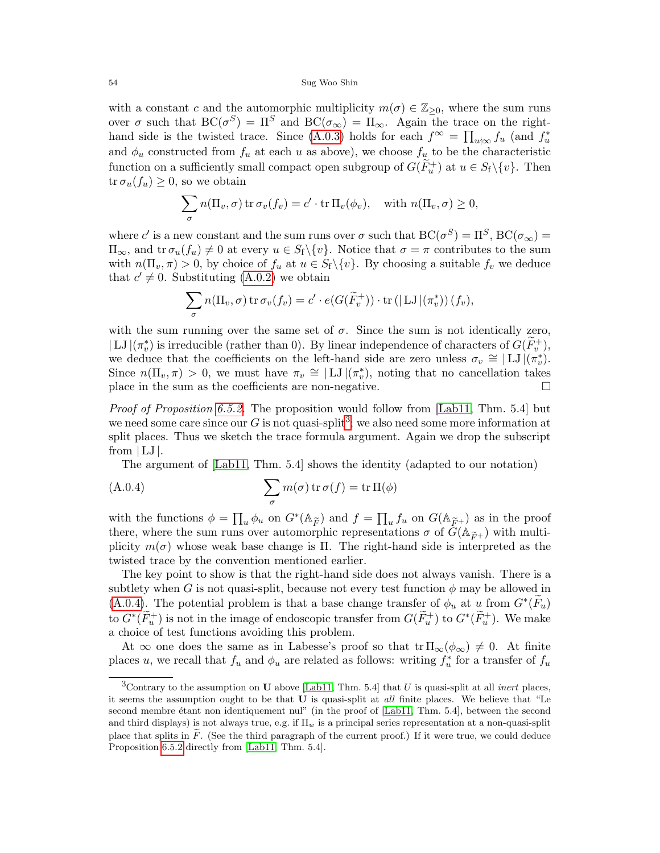#### 54 Sug Woo Shin

with a constant c and the automorphic multiplicity  $m(\sigma) \in \mathbb{Z}_{\geq 0}$ , where the sum runs over  $\sigma$  such that  $BC(\sigma^S) = \Pi^S$  and  $BC(\sigma_{\infty}) = \Pi_{\infty}$ . Again the trace on the right-hand side is the twisted trace. Since [\(A.0.3\)](#page-52-2) holds for each  $f^{\infty} = \prod_{u \nmid \infty} f_u$  (and  $f^*_{u}$ and  $\phi_u$  constructed from  $f_u$  at each u as above), we choose  $f_u$  to be the characteristic function on a sufficiently small compact open subgroup of  $G(\widetilde{F}_u^+)$  at  $u \in S_f \setminus \{v\}$ . Then  $tr \sigma_u(f_u) \geq 0$ , so we obtain

$$
\sum_{\sigma} n(\Pi_v, \sigma) \operatorname{tr} \sigma_v(f_v) = c' \cdot \operatorname{tr} \Pi_v(\phi_v), \quad \text{with } n(\Pi_v, \sigma) \ge 0,
$$

where c' is a new constant and the sum runs over  $\sigma$  such that  $BC(\sigma^S) = \Pi^S$ ,  $BC(\sigma_{\infty}) =$  $\Pi_{\infty}$ , and tr  $\sigma_u(f_u) \neq 0$  at every  $u \in S_f \setminus \{v\}$ . Notice that  $\sigma = \pi$  contributes to the sum with  $n(\Pi_v, \pi) > 0$ , by choice of  $f_u$  at  $u \in S_f \setminus \{v\}$ . By choosing a suitable  $f_v$  we deduce that  $c' \neq 0$ . Substituting [\(A.0.2\)](#page-52-3) we obtain

$$
\sum_{\sigma} n(\Pi_v, \sigma) \operatorname{tr} \sigma_v(f_v) = c' \cdot e(G(\widetilde{F}_v^+)) \cdot \operatorname{tr} (|\operatorname{LJ}|(\pi_v^*)) (f_v),
$$

with the sum running over the same set of  $\sigma$ . Since the sum is not identically zero,  $| \text{LJ }|(\pi_v^*)$  is irreducible (rather than 0). By linear independence of characters of  $G(\widetilde{F}_v^+)$ , we deduce that the coefficients on the left-hand side are zero unless  $\sigma_v \cong |LJ|(\pi_v^*)$ . Since  $n(\Pi_v, \pi) > 0$ , we must have  $\pi_v \cong |LJ|(\pi_v^*)$ , noting that no cancellation takes place in the sum as the coefficients are non-negative.

Proof of Proposition [6.5.2.](#page-44-5) The proposition would follow from [\[Lab11,](#page-56-9) Thm. 5.4] but we need some care since our G is not quasi-split<sup>[3](#page-53-0)</sup>; we also need some more information at split places. Thus we sketch the trace formula argument. Again we drop the subscript from  $|LJ|$ .

<span id="page-53-1"></span>The argument of [\[Lab11,](#page-56-9) Thm. 5.4] shows the identity (adapted to our notation)

(A.0.4) 
$$
\sum_{\sigma} m(\sigma) \operatorname{tr} \sigma(f) = \operatorname{tr} \Pi(\phi)
$$

with the functions  $\phi = \prod_u \phi_u$  on  $G^*(\mathbb{A}_{\widetilde{F}})$  and  $f = \prod_u f_u$  on  $G(\mathbb{A}_{\widetilde{F}})$  as in the proof there, where the sum runs over automorphic representations  $\sigma$  of  $G(\mathbb{A}_{\widetilde{F}^+})$  with multiplicity  $m(\sigma)$  whose weak base change is Π. The right-hand side is interpreted as the twisted trace by the convention mentioned earlier.

The key point to show is that the right-hand side does not always vanish. There is a subtlety when G is not quasi-split, because not every test function  $\phi$  may be allowed in [\(A.0.4\)](#page-53-1). The potential problem is that a base change transfer of  $\phi_u$  at u from  $G^*(\widetilde{F}_u)$ to  $G^*(\widetilde{F}_u^+)$  is not in the image of endoscopic transfer from  $G(\widetilde{F}_u^+)$  to  $G^*(\widetilde{F}_u^+)$ . We make a choice of test functions avoiding this problem.

At  $\infty$  one does the same as in Labesse's proof so that  $tr \Pi_{\infty}(\phi_{\infty}) \neq 0$ . At finite places u, we recall that  $f_u$  and  $\phi_u$  are related as follows: writing  $f_u^*$  for a transfer of  $f_u$ 

<span id="page-53-0"></span><sup>&</sup>lt;sup>3</sup>Contrary to the assumption on **U** above [\[Lab11,](#page-56-9) Thm. 5.4] that U is quasi-split at all *inert* places, it seems the assumption ought to be that U is quasi-split at all finite places. We believe that "Le second membre étant non identiquement nul" (in the proof of [\[Lab11,](#page-56-9) Thm. 5.4], between the second and third displays) is not always true, e.g. if  $\Pi_w$  is a principal series representation at a non-quasi-split place that splits in  $\tilde{F}$ . (See the third paragraph of the current proof.) If it were true, we could deduce Proposition [6.5.2](#page-44-5) directly from [\[Lab11,](#page-56-9) Thm. 5.4].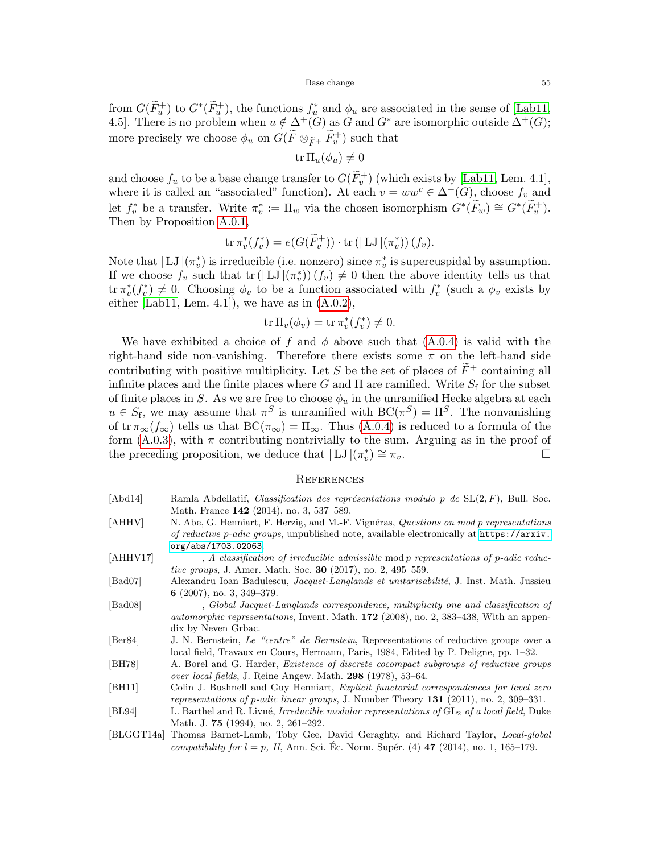#### Base change 55

from  $G(\widetilde{F}_u^+)$  to  $G^*(\widetilde{F}_u^+)$ , the functions  $f_u^*$  and  $\phi_u$  are associated in the sense of [\[Lab11,](#page-56-9) 4.5]. There is no problem when  $u \notin \Delta^+(G)$  as G and  $G^*$  are isomorphic outside  $\Delta^+(G)$ ; more precisely we choose  $\phi_u$  on  $G(\widetilde{F}\otimes_{\widetilde{F}^+}\widetilde{F}_v^+)$  such that

$$
\operatorname{tr} \Pi_u(\phi_u) \neq 0
$$

and choose  $f_u$  to be a base change transfer to  $G(\widetilde{F}_v^+)$  (which exists by [\[Lab11,](#page-56-9) Lem. 4.1], where it is called an "associated" function). At each  $v = ww^c \in \Delta^+(G)$ , choose  $f_v$  and let  $f_v^*$  be a transfer. Write  $\pi_v^* := \Pi_w$  via the chosen isomorphism  $G^*(\widetilde{F}_w) \cong G^*(\widetilde{F}_v^+)$ . Then by Proposition [A.0.1,](#page-52-1)

$$
\operatorname{tr} \pi_v^*(f_v^*) = e(G(\widetilde{F}_v^+)) \cdot \operatorname{tr} (|\operatorname{LJ}|(\pi_v^*)) (f_v).
$$

Note that  $|LJ|(\pi_v^*)$  is irreducible (i.e. nonzero) since  $\pi_v^*$  is supercuspidal by assumption. If we choose  $f_v$  such that  $\text{tr}(|LJ|(\pi_v^*)) (f_v) \neq 0$  then the above identity tells us that tr  $\pi_v^*(f_v^*) \neq 0$ . Choosing  $\phi_v$  to be a function associated with  $f_v^*$  (such a  $\phi_v$  exists by either [\[Lab11,](#page-56-9) Lem. 4.1]), we have as in  $(A.0.2)$ ,

$$
\operatorname{tr} \Pi_v(\phi_v) = \operatorname{tr} \pi_v^*(f_v^*) \neq 0.
$$

We have exhibited a choice of f and  $\phi$  above such that [\(A.0.4\)](#page-53-1) is valid with the right-hand side non-vanishing. Therefore there exists some  $\pi$  on the left-hand side contributing with positive multiplicity. Let S be the set of places of  $\widetilde{F}^+$  containing all infinite places and the finite places where G and  $\Pi$  are ramified. Write  $S_f$  for the subset of finite places in S. As we are free to choose  $\phi_u$  in the unramified Hecke algebra at each  $u \in S_f$ , we may assume that  $\pi^S$  is unramified with  $BC(\pi^S) = \Pi^S$ . The nonvanishing of tr  $\pi_{\infty}(f_{\infty})$  tells us that  $BC(\pi_{\infty}) = \Pi_{\infty}$ . Thus [\(A.0.4\)](#page-53-1) is reduced to a formula of the form  $(A.0.3)$ , with  $\pi$  contributing nontrivially to the sum. Arguing as in the proof of the preceding proposition, we deduce that  $|\dot{\mathbf{L}}\mathbf{J}|(\pi_v^*) \cong \pi_v$ .

## <span id="page-54-0"></span>**REFERENCES**

- <span id="page-54-3"></span>[Abd14] Ramla Abdellatif, *Classification des représentations modulo p de*  $SL(2, F)$ , Bull. Soc. Math. France 142 (2014), no. 3, 537–589.
- <span id="page-54-4"></span>[AHHV] N. Abe, G. Henniart, F. Herzig, and M.-F. Vignéras, Questions on mod p representations of reductive p-adic groups, unpublished note, available electronically at [https://arxiv.](https://arxiv.org/abs/1703.02063) [org/abs/1703.02063](https://arxiv.org/abs/1703.02063).
- <span id="page-54-2"></span> $[AHHV17] \quad \_\_\_\_$ , A classification of irreducible admissible mod p representations of p-adic reductive groups, J. Amer. Math. Soc. 30 (2017), no. 2, 495–559.
- <span id="page-54-10"></span>[Bad07] Alexandru Ioan Badulescu, Jacquet-Langlands et unitarisabilité, J. Inst. Math. Jussieu 6 (2007), no. 3, 349–379.
- <span id="page-54-7"></span>[Bad08] , Global Jacquet-Langlands correspondence, multiplicity one and classification of automorphic representations, Invent. Math. 172 (2008), no. 2, 383–438, With an appendix by Neven Grbac.
- <span id="page-54-6"></span>[Ber84] J. N. Bernstein, Le "centre" de Bernstein, Representations of reductive groups over a local field, Travaux en Cours, Hermann, Paris, 1984, Edited by P. Deligne, pp. 1–32.
- <span id="page-54-5"></span>[BH78] A. Borel and G. Harder, Existence of discrete cocompact subgroups of reductive groups over local fields, J. Reine Angew. Math. 298 (1978), 53–64.
- <span id="page-54-8"></span>[BH11] Colin J. Bushnell and Guy Henniart, *Explicit functorial correspondences for level zero* representations of p-adic linear groups, J. Number Theory 131 (2011), no. 2, 309–331.
- <span id="page-54-1"></span>[BL94] L. Barthel and R. Livné, Irreducible modular representations of GL<sub>2</sub> of a local field, Duke Math. J. 75 (1994), no. 2, 261–292.
- <span id="page-54-9"></span>[BLGGT14a] Thomas Barnet-Lamb, Toby Gee, David Geraghty, and Richard Taylor, Local-global compatibility for  $l = p$ , II, Ann. Sci. Éc. Norm. Supér. (4) **47** (2014), no. 1, 165–179.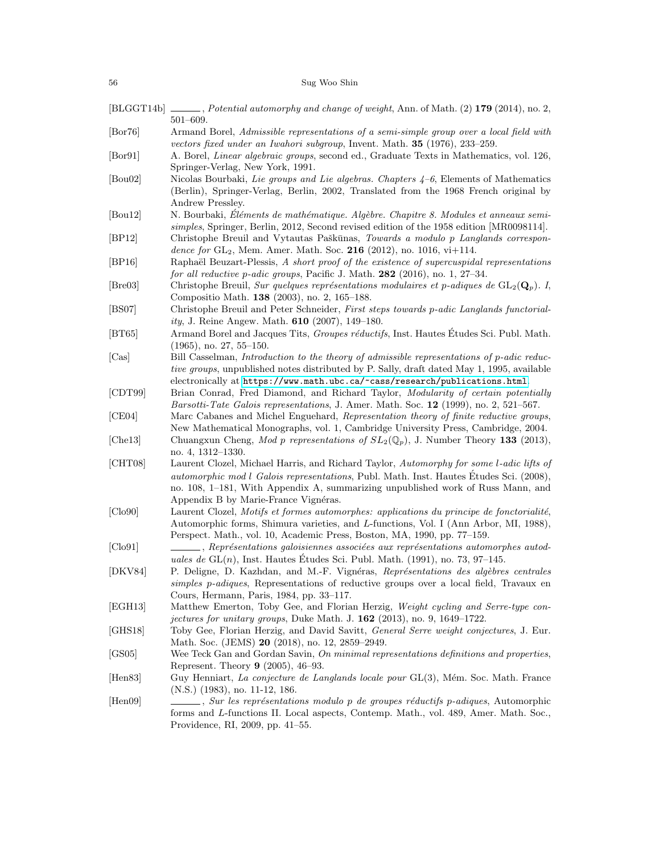# 56 Sug Woo Shin

<span id="page-55-22"></span><span id="page-55-21"></span><span id="page-55-20"></span><span id="page-55-19"></span><span id="page-55-18"></span><span id="page-55-17"></span><span id="page-55-16"></span><span id="page-55-15"></span><span id="page-55-14"></span><span id="page-55-13"></span><span id="page-55-12"></span><span id="page-55-11"></span><span id="page-55-10"></span><span id="page-55-9"></span><span id="page-55-8"></span><span id="page-55-7"></span><span id="page-55-6"></span><span id="page-55-5"></span><span id="page-55-4"></span><span id="page-55-3"></span><span id="page-55-2"></span><span id="page-55-1"></span><span id="page-55-0"></span>

|                             | $[BLGGT14b]$ ______, Potential automorphy and change of weight, Ann. of Math. (2) 179 (2014), no. 2,<br>$501 - 609.$                                                                                                                                                                                                 |
|-----------------------------|----------------------------------------------------------------------------------------------------------------------------------------------------------------------------------------------------------------------------------------------------------------------------------------------------------------------|
| $[{\rm Bor}76]$             | Armand Borel, Admissible representations of a semi-simple group over a local field with<br>vectors fixed under an Iwahori subgroup, Invent. Math. <b>35</b> (1976), 233–259.                                                                                                                                         |
| $\left[\text{Bor}91\right]$ | A. Borel, Linear algebraic groups, second ed., Graduate Texts in Mathematics, vol. 126,<br>Springer-Verlag, New York, 1991.                                                                                                                                                                                          |
| [Bou02]                     | Nicolas Bourbaki, Lie groups and Lie algebras. Chapters $4-6$ , Elements of Mathematics<br>(Berlin), Springer-Verlag, Berlin, 2002, Translated from the 1968 French original by<br>Andrew Pressley.                                                                                                                  |
| [Bou12]                     | N. Bourbaki, Éléments de mathématique. Algèbre. Chapitre 8. Modules et anneaux semi-<br>simples, Springer, Berlin, 2012, Second revised edition of the 1958 edition [MR0098114].                                                                                                                                     |
| [BP12]                      | Christophe Breuil and Vytautas Paškūnas, Towards a modulo p Langlands correspon-<br>dence for $GL_2$ , Mem. Amer. Math. Soc. 216 (2012), no. 1016, vi+114.                                                                                                                                                           |
| [BP16]                      | Raphaël Beuzart-Plessis, A short proof of the existence of supercuspidal representations<br>for all reductive p-adic groups, Pacific J. Math. $282$ (2016), no. 1, 27-34.                                                                                                                                            |
| $ \text{Bre03} $            | Christophe Breuil, Sur quelques représentations modulaires et p-adiques de $GL_2(\mathbf{Q}_p)$ . I,<br>Compositio Math. 138 (2003), no. 2, 165–188.                                                                                                                                                                 |
| [BS07]                      | Christophe Breuil and Peter Schneider, First steps towards p-adic Langlands functorial-<br>ity, J. Reine Angew. Math. $610$ (2007), 149-180.                                                                                                                                                                         |
| $[\mathrm{BT}65]$           | Armand Borel and Jacques Tits, <i>Groupes réductifs</i> , Inst. Hautes Études Sci. Publ. Math.<br>$(1965)$ , no. 27, 55-150.                                                                                                                                                                                         |
| [Cas]                       | Bill Casselman, Introduction to the theory of admissible representations of p-adic reduc-<br>tive groups, unpublished notes distributed by P. Sally, draft dated May 1, 1995, available<br>electronically at https://www.math.ubc.ca/~cass/research/publications.html.                                               |
| [CDT99]                     | Brian Conrad, Fred Diamond, and Richard Taylor, Modularity of certain potentially<br><i>Barsotti-Tate Galois representations, J. Amer. Math. Soc. 12 (1999), no. 2, 521–567.</i>                                                                                                                                     |
| [CE04]<br>[ <b>Che13</b> ]  | Marc Cabanes and Michel Enguehard, Representation theory of finite reductive groups,<br>New Mathematical Monographs, vol. 1, Cambridge University Press, Cambridge, 2004.<br>Chuangxun Cheng, Mod p representations of $SL_2(\mathbb{Q}_p)$ , J. Number Theory 133 (2013),                                           |
|                             | no. 4, 1312–1330.                                                                                                                                                                                                                                                                                                    |
| [CHT08]                     | Laurent Clozel, Michael Harris, and Richard Taylor, Automorphy for some l-adic lifts of<br><i>automorphic mod l Galois representations</i> , Publ. Math. Inst. Hautes Études Sci. (2008),<br>no. 108, 1–181, With Appendix A, summarizing unpublished work of Russ Mann, and<br>Appendix B by Marie-France Vignéras. |
| [Clo90]                     | Laurent Clozel, Motifs et formes automorphes: applications du principe de fonctorialité,<br>Automorphic forms, Shimura varieties, and L-functions, Vol. I (Ann Arbor, MI, 1988),<br>Perspect. Math., vol. 10, Academic Press, Boston, MA, 1990, pp. 77–159.                                                          |
| [Cl <sub>0</sub> 91]        | Représentations galoisiennes associées aux représentations automorphes autod-<br>uales de $GL(n)$ , Inst. Hautes Études Sci. Publ. Math. (1991), no. 73, 97–145.                                                                                                                                                     |
| [DKV84]                     | P. Deligne, D. Kazhdan, and M.-F. Vignéras, Représentations des algèbres centrales<br>simples p-adiques, Representations of reductive groups over a local field, Travaux en<br>Cours, Hermann, Paris, 1984, pp. 33–117.                                                                                              |
| [EGH13]                     | Matthew Emerton, Toby Gee, and Florian Herzig, Weight cycling and Serre-type con-<br>jectures for unitary groups, Duke Math. J. $162$ (2013), no. 9, 1649-1722.                                                                                                                                                      |
| [GHz18]                     | Toby Gee, Florian Herzig, and David Savitt, General Serre weight conjectures, J. Eur.<br>Math. Soc. (JEMS) 20 (2018), no. 12, 2859–2949.                                                                                                                                                                             |
| GS05                        | Wee Teck Gan and Gordan Savin, On minimal representations definitions and properties,<br>Represent. Theory 9 (2005), 46–93.                                                                                                                                                                                          |
| [Hen83]                     | Guy Henniart, La conjecture de Langlands locale pour GL(3), Mém. Soc. Math. France<br>$(N.S.)$ (1983), no. 11-12, 186.                                                                                                                                                                                               |
| [Hen09]                     | $\_\_$ , Sur les représentations modulo p de groupes réductifs p-adiques, Automorphic<br>forms and L-functions II. Local aspects, Contemp. Math., vol. 489, Amer. Math. Soc.,<br>Providence, RI, 2009, pp. 41–55.                                                                                                    |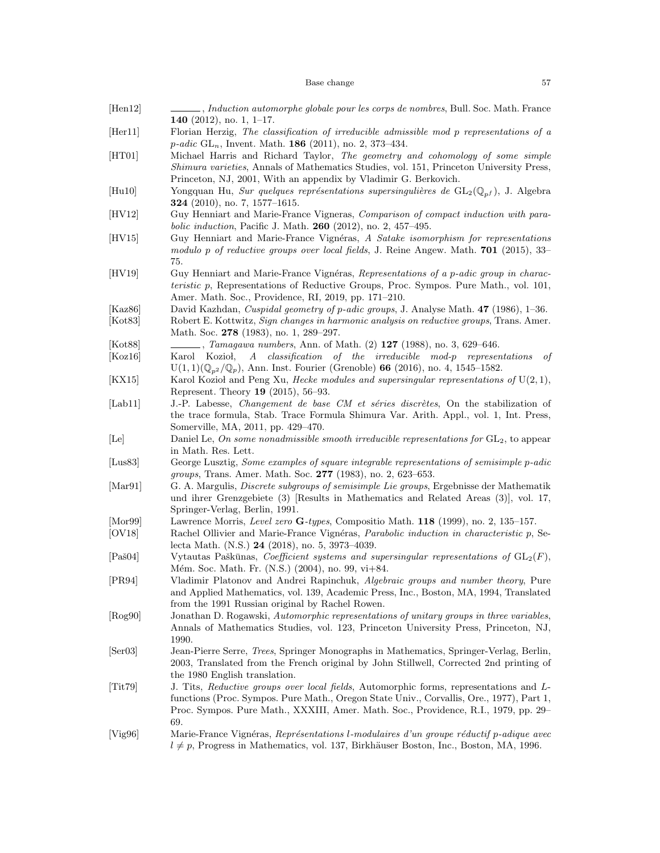# $\bullet \quad$  <br> Base change  $\qquad \qquad$  57

<span id="page-56-23"></span><span id="page-56-22"></span><span id="page-56-21"></span><span id="page-56-20"></span><span id="page-56-19"></span><span id="page-56-18"></span><span id="page-56-17"></span><span id="page-56-16"></span><span id="page-56-15"></span><span id="page-56-14"></span><span id="page-56-13"></span><span id="page-56-12"></span><span id="page-56-11"></span><span id="page-56-10"></span><span id="page-56-9"></span><span id="page-56-8"></span><span id="page-56-7"></span><span id="page-56-6"></span><span id="page-56-5"></span><span id="page-56-4"></span><span id="page-56-3"></span><span id="page-56-2"></span><span id="page-56-1"></span><span id="page-56-0"></span>

| [Hen12]                      | , Induction automorphe globale pour les corps de nombres, Bull. Soc. Math. France<br>140 $(2012)$ , no. 1, 1–17.                                                                                                                                                                 |
|------------------------------|----------------------------------------------------------------------------------------------------------------------------------------------------------------------------------------------------------------------------------------------------------------------------------|
| [Her11]                      | Florian Herzig, The classification of irreducible admissible mod p representations of a<br><i>p-adic</i> GL <sub>n</sub> , Invent. Math. <b>186</b> (2011), no. 2, 373-434.                                                                                                      |
| [HT01]                       | Michael Harris and Richard Taylor, The geometry and cohomology of some simple<br>Shimura varieties, Annals of Mathematics Studies, vol. 151, Princeton University Press,<br>Princeton, NJ, 2001, With an appendix by Vladimir G. Berkovich.                                      |
| [Hu10]                       | Yongquan Hu, Sur quelques représentations supersingulières de $GL_2(\mathbb{Q}_{p^f})$ , J. Algebra<br><b>324</b> (2010), no. 7, 1577–1615.                                                                                                                                      |
| [HV12]                       | Guy Henniart and Marie-France Vigneras, Comparison of compact induction with para-<br>bolic induction, Pacific J. Math. 260 (2012), no. 2, 457-495.                                                                                                                              |
| [HV15]                       | Guy Henniart and Marie-France Vignéras, A Satake isomorphism for representations<br>modulo p of reductive groups over local fields, J. Reine Angew. Math. $701$ (2015), 33–<br>75.                                                                                               |
| [HV19]                       | Guy Henniart and Marie-France Vignéras, Representations of a p-adic group in charac-<br><i>teristic</i> p, Representations of Reductive Groups, Proc. Sympos. Pure Math., vol. 101,<br>Amer. Math. Soc., Providence, RI, 2019, pp. 171-210.                                      |
| [Kaz $86$ ]<br>[Kot83]       | David Kazhdan, Cuspidal geometry of p-adic groups, J. Analyse Math. 47 (1986), 1-36.<br>Robert E. Kottwitz, Sign changes in harmonic analysis on reductive groups, Trans. Amer.                                                                                                  |
|                              | Math. Soc. 278 (1983), no. 1, 289-297.                                                                                                                                                                                                                                           |
| [Kot88]                      | $\,\_$ , <i>Tamagawa numbers</i> , Ann. of Math. (2) <b>127</b> (1988), no. 3, 629–646.                                                                                                                                                                                          |
| [Koz16]                      | A classification of the irreducible mod-p representations<br>Karol Kozioł,<br>οf<br>$U(1,1)(\mathbb{Q}_{p^2}/\mathbb{Q}_p)$ , Ann. Inst. Fourier (Grenoble) 66 (2016), no. 4, 1545–1582.                                                                                         |
| [KX15]                       | Karol Kozioł and Peng Xu, <i>Hecke modules and supersingular representations of</i> $U(2,1)$ ,<br>Represent. Theory 19 (2015), 56–93.                                                                                                                                            |
| [Lab11]                      | J.-P. Labesse, <i>Changement de base CM et séries discrètes</i> , On the stabilization of<br>the trace formula, Stab. Trace Formula Shimura Var. Arith. Appl., vol. 1, Int. Press,<br>Somerville, MA, 2011, pp. 429–470.                                                         |
| [Le]                         | Daniel Le, On some nonadmissible smooth irreducible representations for $GL_2$ , to appear<br>in Math. Res. Lett.                                                                                                                                                                |
| [Lus $83$ ]                  | George Lusztig, Some examples of square integrable representations of semisimple p-adic<br><i>groups</i> , Trans. Amer. Math. Soc. 277 (1983), no. 2, 623–653.                                                                                                                   |
| [Mar91]                      | G. A. Margulis, <i>Discrete subgroups of semisimple Lie groups</i> , Ergebnisse der Mathematik<br>und ihrer Grenzgebiete (3) [Results in Mathematics and Related Areas (3)], vol. 17,<br>Springer-Verlag, Berlin, 1991.                                                          |
| $[{\rm Mor}99]$              | Lawrence Morris, Level zero G-types, Compositio Math. 118 (1999), no. 2, 135-157.                                                                                                                                                                                                |
| [OVI8]                       | Rachel Ollivier and Marie-France Vignéras, <i>Parabolic induction in characteristic p</i> , Se-<br>lecta Math. (N.S.) 24 (2018), no. 5, 3973-4039.                                                                                                                               |
| $[Pa\check{ }804]$           | Vytautas Paškūnas, Coefficient systems and supersingular representations of $GL_2(F)$ ,<br>Mém. Soc. Math. Fr. (N.S.) (2004), no. 99, vi+84.                                                                                                                                     |
| [PR94]                       | Vladimir Platonov and Andrei Rapinchuk, Algebraic groups and number theory, Pure<br>and Applied Mathematics, vol. 139, Academic Press, Inc., Boston, MA, 1994, Translated<br>from the 1991 Russian original by Rachel Rowen.                                                     |
| [Rog90]                      | Jonathan D. Rogawski, Automorphic representations of unitary groups in three variables,<br>Annals of Mathematics Studies, vol. 123, Princeton University Press, Princeton, NJ,<br>1990.                                                                                          |
| $\left[ \text{Ser03}\right]$ | Jean-Pierre Serre, <i>Trees</i> , Springer Monographs in Mathematics, Springer-Verlag, Berlin,<br>2003, Translated from the French original by John Stillwell, Corrected 2nd printing of<br>the 1980 English translation.                                                        |
| [Tit79]                      | J. Tits, Reductive groups over local fields, Automorphic forms, representations and L-<br>functions (Proc. Sympos. Pure Math., Oregon State Univ., Corvallis, Ore., 1977), Part 1,<br>Proc. Sympos. Pure Math., XXXIII, Amer. Math. Soc., Providence, R.I., 1979, pp. 29–<br>69. |
| [Vig96]                      | Marie-France Vignéras, Représentations l-modulaires d'un groupe réductif p-adique avec<br>$l \neq p$ , Progress in Mathematics, vol. 137, Birkhäuser Boston, Inc., Boston, MA, 1996.                                                                                             |